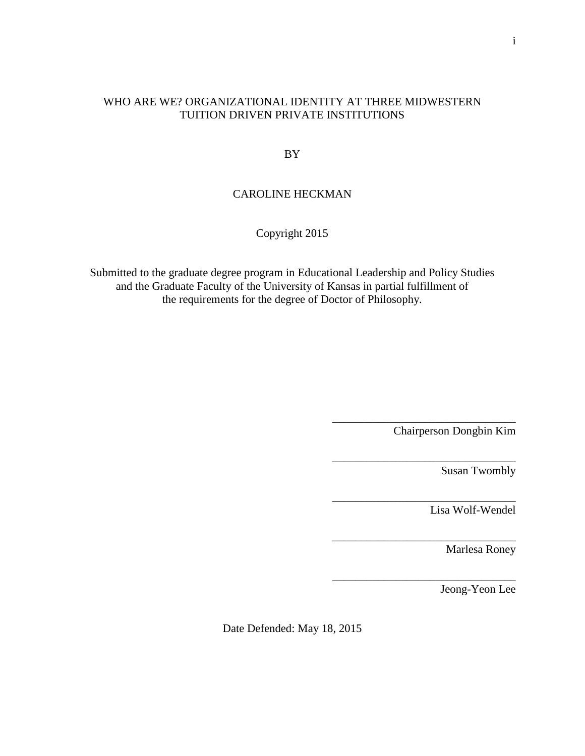# WHO ARE WE? ORGANIZATIONAL IDENTITY AT THREE MIDWESTERN TUITION DRIVEN PRIVATE INSTITUTIONS

BY

# CAROLINE HECKMAN

# Copyright 2015

Submitted to the graduate degree program in Educational Leadership and Policy Studies and the Graduate Faculty of the University of Kansas in partial fulfillment of the requirements for the degree of Doctor of Philosophy.

Chairperson Dongbin Kim

\_\_\_\_\_\_\_\_\_\_\_\_\_\_\_\_\_\_\_\_\_\_\_\_\_\_\_\_\_\_\_\_

\_\_\_\_\_\_\_\_\_\_\_\_\_\_\_\_\_\_\_\_\_\_\_\_\_\_\_\_\_\_\_\_

\_\_\_\_\_\_\_\_\_\_\_\_\_\_\_\_\_\_\_\_\_\_\_\_\_\_\_\_\_\_\_\_

\_\_\_\_\_\_\_\_\_\_\_\_\_\_\_\_\_\_\_\_\_\_\_\_\_\_\_\_\_\_\_\_

Susan Twombly

\_\_\_\_\_\_\_\_\_\_\_\_\_\_\_\_\_\_\_\_\_\_\_\_\_\_\_\_\_\_\_\_ Lisa Wolf-Wendel

Marlesa Roney

Jeong-Yeon Lee

Date Defended: May 18, 2015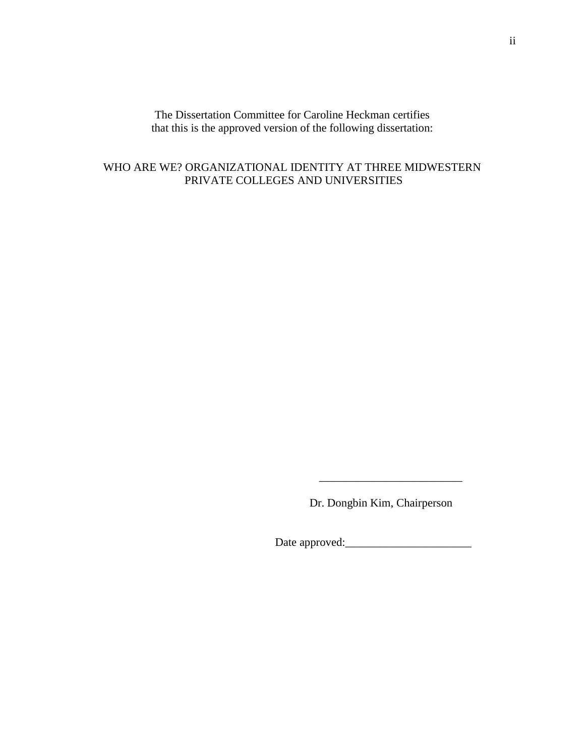The Dissertation Committee for Caroline Heckman certifies that this is the approved version of the following dissertation:

# WHO ARE WE? ORGANIZATIONAL IDENTITY AT THREE MIDWESTERN PRIVATE COLLEGES AND UNIVERSITIES

Dr. Dongbin Kim, Chairperson

 $\overline{\phantom{a}}$  , which is a set of the set of the set of the set of the set of the set of the set of the set of the set of the set of the set of the set of the set of the set of the set of the set of the set of the set of th

Date approved:\_\_\_\_\_\_\_\_\_\_\_\_\_\_\_\_\_\_\_\_\_\_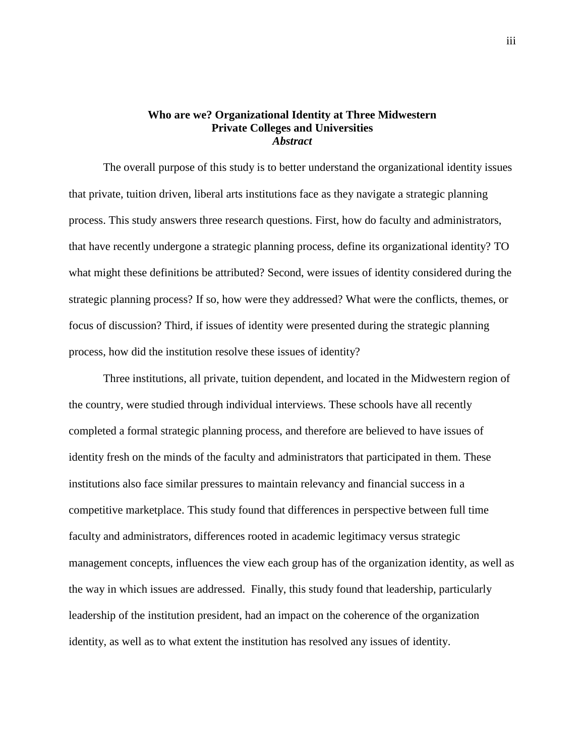## **Who are we? Organizational Identity at Three Midwestern Private Colleges and Universities** *Abstract*

The overall purpose of this study is to better understand the organizational identity issues that private, tuition driven, liberal arts institutions face as they navigate a strategic planning process. This study answers three research questions. First, how do faculty and administrators, that have recently undergone a strategic planning process, define its organizational identity? TO what might these definitions be attributed? Second, were issues of identity considered during the strategic planning process? If so, how were they addressed? What were the conflicts, themes, or focus of discussion? Third, if issues of identity were presented during the strategic planning process, how did the institution resolve these issues of identity?

Three institutions, all private, tuition dependent, and located in the Midwestern region of the country, were studied through individual interviews. These schools have all recently completed a formal strategic planning process, and therefore are believed to have issues of identity fresh on the minds of the faculty and administrators that participated in them. These institutions also face similar pressures to maintain relevancy and financial success in a competitive marketplace. This study found that differences in perspective between full time faculty and administrators, differences rooted in academic legitimacy versus strategic management concepts, influences the view each group has of the organization identity, as well as the way in which issues are addressed. Finally, this study found that leadership, particularly leadership of the institution president, had an impact on the coherence of the organization identity, as well as to what extent the institution has resolved any issues of identity.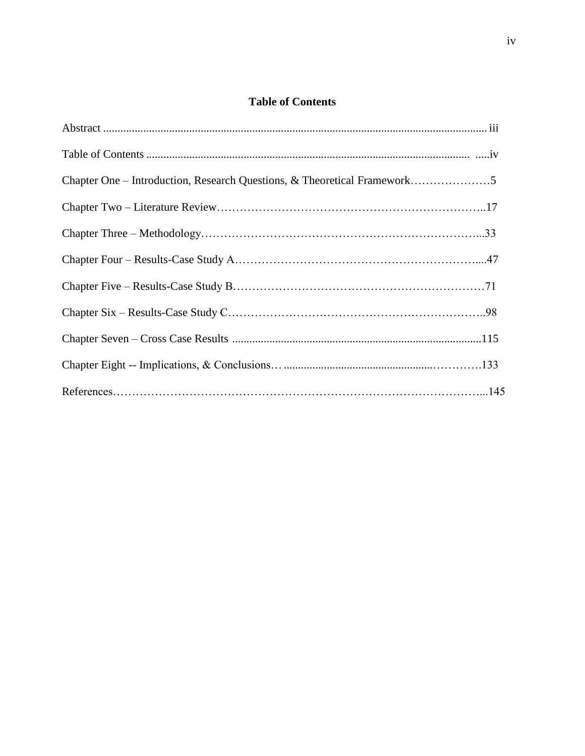# **Table of Contents**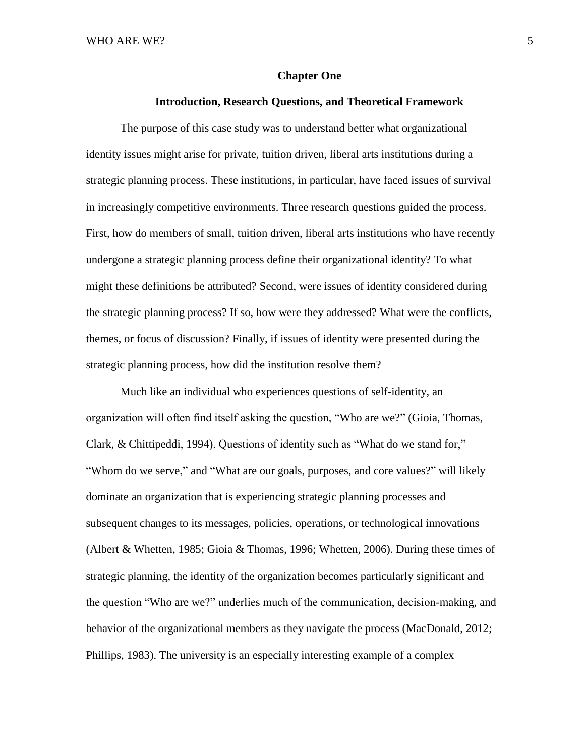### **Chapter One**

### **Introduction, Research Questions, and Theoretical Framework**

The purpose of this case study was to understand better what organizational identity issues might arise for private, tuition driven, liberal arts institutions during a strategic planning process. These institutions, in particular, have faced issues of survival in increasingly competitive environments. Three research questions guided the process. First, how do members of small, tuition driven, liberal arts institutions who have recently undergone a strategic planning process define their organizational identity? To what might these definitions be attributed? Second, were issues of identity considered during the strategic planning process? If so, how were they addressed? What were the conflicts, themes, or focus of discussion? Finally, if issues of identity were presented during the strategic planning process, how did the institution resolve them?

Much like an individual who experiences questions of self-identity, an organization will often find itself asking the question, "Who are we?" (Gioia, Thomas, Clark, & Chittipeddi, 1994). Questions of identity such as "What do we stand for," "Whom do we serve," and "What are our goals, purposes, and core values?" will likely dominate an organization that is experiencing strategic planning processes and subsequent changes to its messages, policies, operations, or technological innovations (Albert & Whetten, 1985; Gioia & Thomas, 1996; Whetten, 2006). During these times of strategic planning, the identity of the organization becomes particularly significant and the question "Who are we?" underlies much of the communication, decision-making, and behavior of the organizational members as they navigate the process (MacDonald, 2012; Phillips, 1983). The university is an especially interesting example of a complex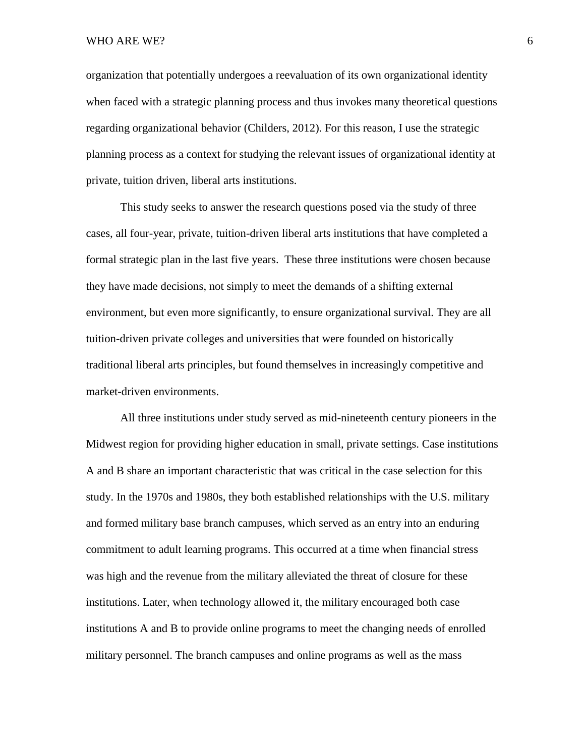WHO ARE WE? 6

organization that potentially undergoes a reevaluation of its own organizational identity when faced with a strategic planning process and thus invokes many theoretical questions regarding organizational behavior (Childers, 2012). For this reason, I use the strategic planning process as a context for studying the relevant issues of organizational identity at private, tuition driven, liberal arts institutions.

This study seeks to answer the research questions posed via the study of three cases, all four-year, private, tuition-driven liberal arts institutions that have completed a formal strategic plan in the last five years. These three institutions were chosen because they have made decisions, not simply to meet the demands of a shifting external environment, but even more significantly, to ensure organizational survival. They are all tuition-driven private colleges and universities that were founded on historically traditional liberal arts principles, but found themselves in increasingly competitive and market-driven environments.

All three institutions under study served as mid-nineteenth century pioneers in the Midwest region for providing higher education in small, private settings. Case institutions A and B share an important characteristic that was critical in the case selection for this study. In the 1970s and 1980s, they both established relationships with the U.S. military and formed military base branch campuses, which served as an entry into an enduring commitment to adult learning programs. This occurred at a time when financial stress was high and the revenue from the military alleviated the threat of closure for these institutions. Later, when technology allowed it, the military encouraged both case institutions A and B to provide online programs to meet the changing needs of enrolled military personnel. The branch campuses and online programs as well as the mass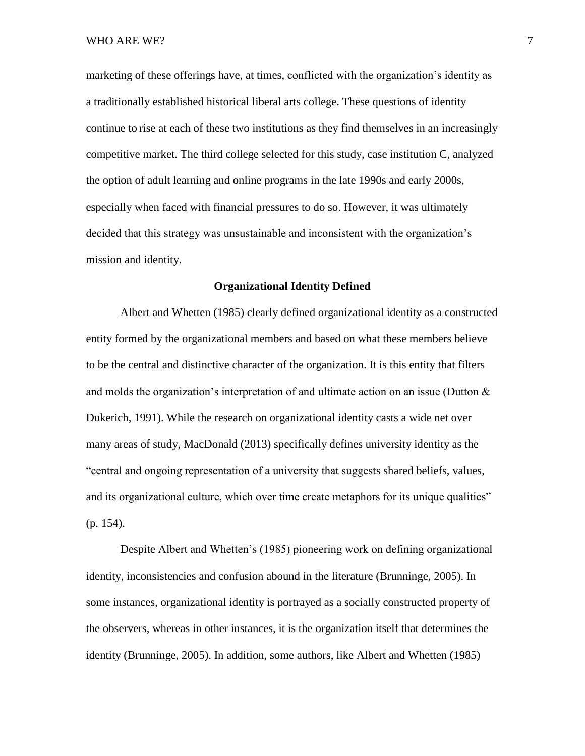marketing of these offerings have, at times, conflicted with the organization's identity as a traditionally established historical liberal arts college. These questions of identity continue to rise at each of these two institutions as they find themselves in an increasingly competitive market. The third college selected for this study, case institution C, analyzed the option of adult learning and online programs in the late 1990s and early 2000s, especially when faced with financial pressures to do so. However, it was ultimately decided that this strategy was unsustainable and inconsistent with the organization's mission and identity.

### **Organizational Identity Defined**

Albert and Whetten (1985) clearly defined organizational identity as a constructed entity formed by the organizational members and based on what these members believe to be the central and distinctive character of the organization. It is this entity that filters and molds the organization's interpretation of and ultimate action on an issue (Dutton  $\&$ Dukerich, 1991). While the research on organizational identity casts a wide net over many areas of study, MacDonald (2013) specifically defines university identity as the "central and ongoing representation of a university that suggests shared beliefs, values, and its organizational culture, which over time create metaphors for its unique qualities" (p. 154).

Despite Albert and Whetten's (1985) pioneering work on defining organizational identity, inconsistencies and confusion abound in the literature (Brunninge, 2005). In some instances, organizational identity is portrayed as a socially constructed property of the observers, whereas in other instances, it is the organization itself that determines the identity (Brunninge, 2005). In addition, some authors, like Albert and Whetten (1985)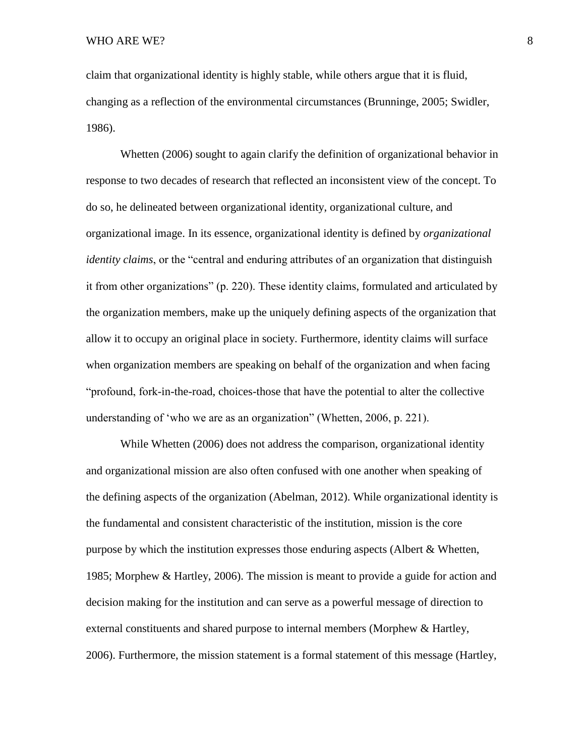claim that organizational identity is highly stable, while others argue that it is fluid, changing as a reflection of the environmental circumstances (Brunninge, 2005; Swidler, 1986).

Whetten (2006) sought to again clarify the definition of organizational behavior in response to two decades of research that reflected an inconsistent view of the concept. To do so, he delineated between organizational identity, organizational culture, and organizational image. In its essence, organizational identity is defined by *organizational identity claims*, or the "central and enduring attributes of an organization that distinguish it from other organizations" (p. 220). These identity claims, formulated and articulated by the organization members, make up the uniquely defining aspects of the organization that allow it to occupy an original place in society. Furthermore, identity claims will surface when organization members are speaking on behalf of the organization and when facing "profound, fork-in-the-road, choices-those that have the potential to alter the collective understanding of 'who we are as an organization" (Whetten, 2006, p. 221).

While Whetten (2006) does not address the comparison, organizational identity and organizational mission are also often confused with one another when speaking of the defining aspects of the organization (Abelman, 2012). While organizational identity is the fundamental and consistent characteristic of the institution, mission is the core purpose by which the institution expresses those enduring aspects (Albert  $\&$  Whetten, 1985; Morphew & Hartley, 2006). The mission is meant to provide a guide for action and decision making for the institution and can serve as a powerful message of direction to external constituents and shared purpose to internal members (Morphew & Hartley, 2006). Furthermore, the mission statement is a formal statement of this message (Hartley,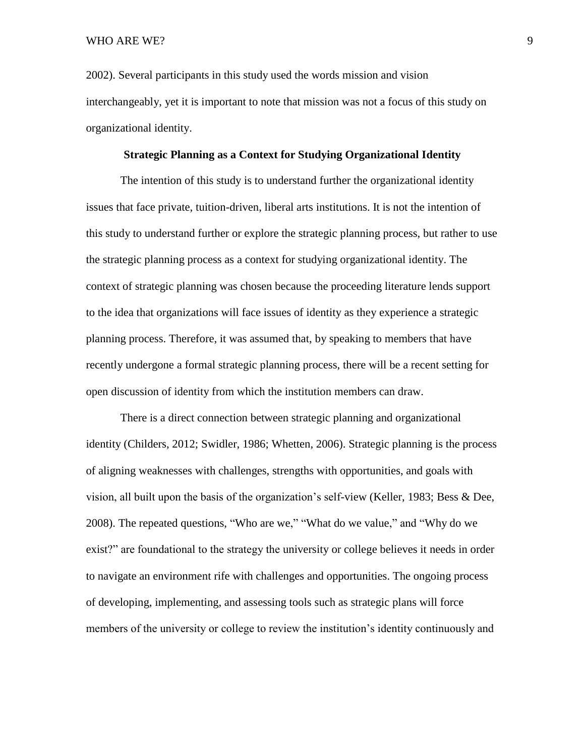2002). Several participants in this study used the words mission and vision interchangeably, yet it is important to note that mission was not a focus of this study on organizational identity.

### **Strategic Planning as a Context for Studying Organizational Identity**

The intention of this study is to understand further the organizational identity issues that face private, tuition-driven, liberal arts institutions. It is not the intention of this study to understand further or explore the strategic planning process, but rather to use the strategic planning process as a context for studying organizational identity. The context of strategic planning was chosen because the proceeding literature lends support to the idea that organizations will face issues of identity as they experience a strategic planning process. Therefore, it was assumed that, by speaking to members that have recently undergone a formal strategic planning process, there will be a recent setting for open discussion of identity from which the institution members can draw.

There is a direct connection between strategic planning and organizational identity (Childers, 2012; Swidler, 1986; Whetten, 2006). Strategic planning is the process of aligning weaknesses with challenges, strengths with opportunities, and goals with vision, all built upon the basis of the organization's self-view (Keller, 1983; Bess & Dee, 2008). The repeated questions, "Who are we," "What do we value," and "Why do we exist?" are foundational to the strategy the university or college believes it needs in order to navigate an environment rife with challenges and opportunities. The ongoing process of developing, implementing, and assessing tools such as strategic plans will force members of the university or college to review the institution's identity continuously and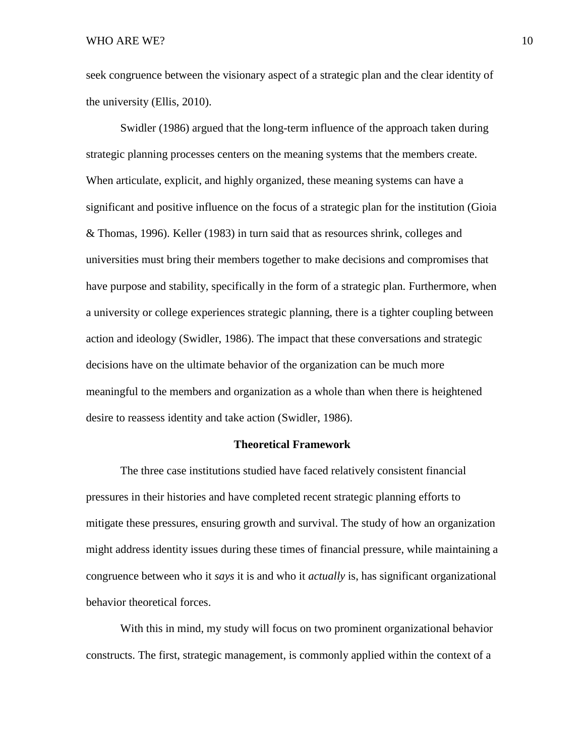seek congruence between the visionary aspect of a strategic plan and the clear identity of the university (Ellis, 2010).

Swidler (1986) argued that the long-term influence of the approach taken during strategic planning processes centers on the meaning systems that the members create. When articulate, explicit, and highly organized, these meaning systems can have a significant and positive influence on the focus of a strategic plan for the institution (Gioia & Thomas, 1996). Keller (1983) in turn said that as resources shrink, colleges and universities must bring their members together to make decisions and compromises that have purpose and stability, specifically in the form of a strategic plan. Furthermore, when a university or college experiences strategic planning, there is a tighter coupling between action and ideology (Swidler, 1986). The impact that these conversations and strategic decisions have on the ultimate behavior of the organization can be much more meaningful to the members and organization as a whole than when there is heightened desire to reassess identity and take action (Swidler, 1986).

#### **Theoretical Framework**

The three case institutions studied have faced relatively consistent financial pressures in their histories and have completed recent strategic planning efforts to mitigate these pressures, ensuring growth and survival. The study of how an organization might address identity issues during these times of financial pressure, while maintaining a congruence between who it *says* it is and who it *actually* is, has significant organizational behavior theoretical forces.

With this in mind, my study will focus on two prominent organizational behavior constructs. The first, strategic management, is commonly applied within the context of a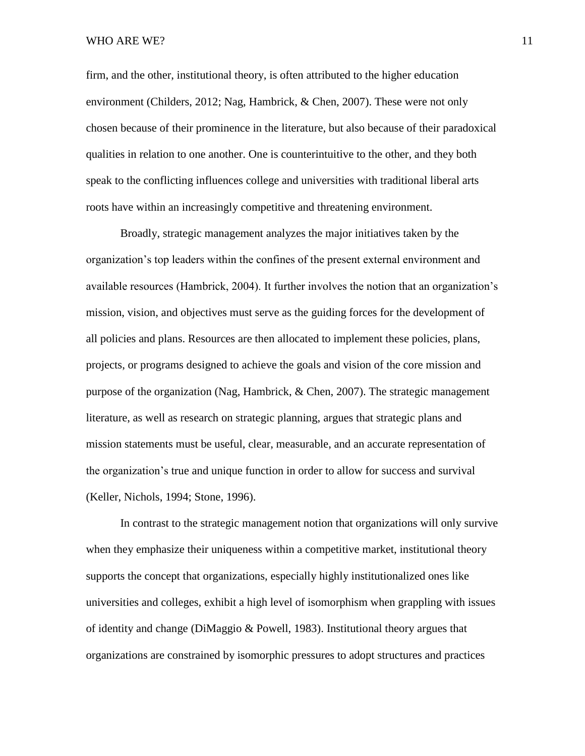#### WHO ARE WE?  $11$

firm, and the other, institutional theory, is often attributed to the higher education environment (Childers, 2012; Nag, Hambrick, & Chen, 2007). These were not only chosen because of their prominence in the literature, but also because of their paradoxical qualities in relation to one another. One is counterintuitive to the other, and they both speak to the conflicting influences college and universities with traditional liberal arts roots have within an increasingly competitive and threatening environment.

Broadly, strategic management analyzes the major initiatives taken by the organization's top leaders within the confines of the present external environment and available resources (Hambrick, 2004). It further involves the notion that an organization's mission, vision, and objectives must serve as the guiding forces for the development of all policies and plans. Resources are then allocated to implement these policies, plans, projects, or programs designed to achieve the goals and vision of the core mission and purpose of the organization (Nag, Hambrick, & Chen, 2007). The strategic management literature, as well as research on strategic planning, argues that strategic plans and mission statements must be useful, clear, measurable, and an accurate representation of the organization's true and unique function in order to allow for success and survival (Keller, Nichols, 1994; Stone, 1996).

In contrast to the strategic management notion that organizations will only survive when they emphasize their uniqueness within a competitive market, institutional theory supports the concept that organizations, especially highly institutionalized ones like universities and colleges, exhibit a high level of isomorphism when grappling with issues of identity and change (DiMaggio & Powell, 1983). Institutional theory argues that organizations are constrained by isomorphic pressures to adopt structures and practices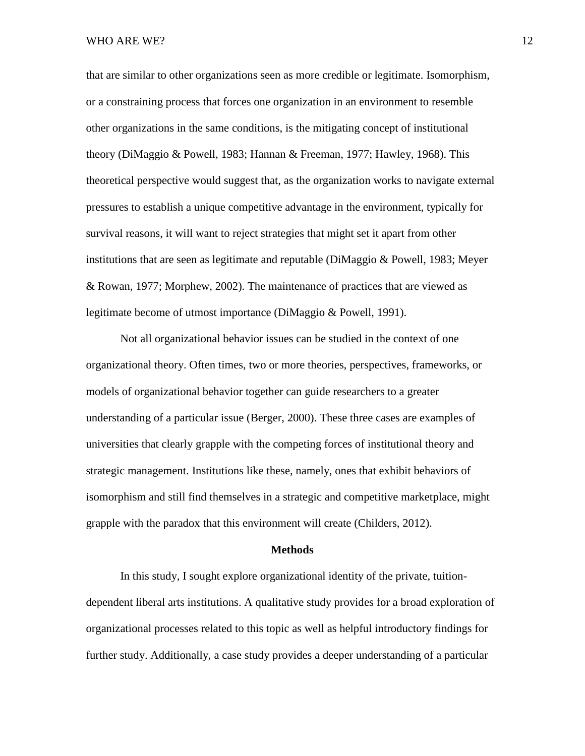that are similar to other organizations seen as more credible or legitimate. Isomorphism, or a constraining process that forces one organization in an environment to resemble other organizations in the same conditions, is the mitigating concept of institutional theory (DiMaggio & Powell, 1983; Hannan & Freeman, 1977; Hawley, 1968). This theoretical perspective would suggest that, as the organization works to navigate external pressures to establish a unique competitive advantage in the environment, typically for survival reasons, it will want to reject strategies that might set it apart from other institutions that are seen as legitimate and reputable (DiMaggio & Powell, 1983; Meyer & Rowan, 1977; Morphew, 2002). The maintenance of practices that are viewed as legitimate become of utmost importance (DiMaggio & Powell, 1991).

Not all organizational behavior issues can be studied in the context of one organizational theory. Often times, two or more theories, perspectives, frameworks, or models of organizational behavior together can guide researchers to a greater understanding of a particular issue (Berger, 2000). These three cases are examples of universities that clearly grapple with the competing forces of institutional theory and strategic management. Institutions like these, namely, ones that exhibit behaviors of isomorphism and still find themselves in a strategic and competitive marketplace, might grapple with the paradox that this environment will create (Childers, 2012).

#### **Methods**

In this study, I sought explore organizational identity of the private, tuitiondependent liberal arts institutions. A qualitative study provides for a broad exploration of organizational processes related to this topic as well as helpful introductory findings for further study. Additionally, a case study provides a deeper understanding of a particular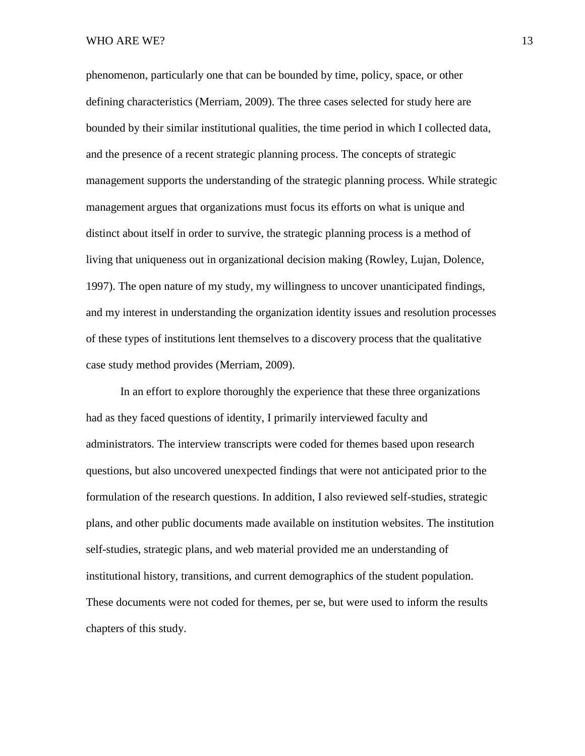phenomenon, particularly one that can be bounded by time, policy, space, or other defining characteristics (Merriam, 2009). The three cases selected for study here are bounded by their similar institutional qualities, the time period in which I collected data, and the presence of a recent strategic planning process. The concepts of strategic management supports the understanding of the strategic planning process. While strategic management argues that organizations must focus its efforts on what is unique and distinct about itself in order to survive, the strategic planning process is a method of living that uniqueness out in organizational decision making (Rowley, Lujan, Dolence, 1997). The open nature of my study, my willingness to uncover unanticipated findings, and my interest in understanding the organization identity issues and resolution processes of these types of institutions lent themselves to a discovery process that the qualitative case study method provides (Merriam, 2009).

In an effort to explore thoroughly the experience that these three organizations had as they faced questions of identity, I primarily interviewed faculty and administrators. The interview transcripts were coded for themes based upon research questions, but also uncovered unexpected findings that were not anticipated prior to the formulation of the research questions. In addition, I also reviewed self-studies, strategic plans, and other public documents made available on institution websites. The institution self-studies, strategic plans, and web material provided me an understanding of institutional history, transitions, and current demographics of the student population. These documents were not coded for themes, per se, but were used to inform the results chapters of this study.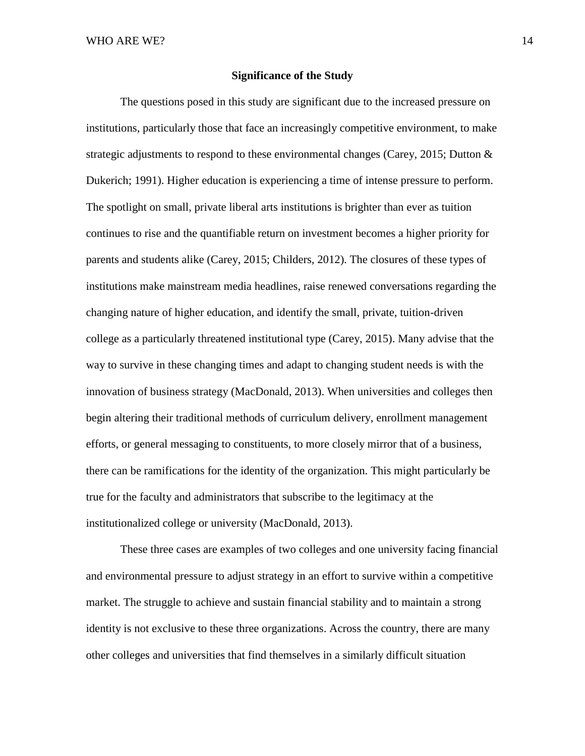### **Significance of the Study**

The questions posed in this study are significant due to the increased pressure on institutions, particularly those that face an increasingly competitive environment, to make strategic adjustments to respond to these environmental changes (Carey, 2015; Dutton & Dukerich; 1991). Higher education is experiencing a time of intense pressure to perform. The spotlight on small, private liberal arts institutions is brighter than ever as tuition continues to rise and the quantifiable return on investment becomes a higher priority for parents and students alike (Carey, 2015; Childers, 2012). The closures of these types of institutions make mainstream media headlines, raise renewed conversations regarding the changing nature of higher education, and identify the small, private, tuition-driven college as a particularly threatened institutional type (Carey, 2015). Many advise that the way to survive in these changing times and adapt to changing student needs is with the innovation of business strategy (MacDonald, 2013). When universities and colleges then begin altering their traditional methods of curriculum delivery, enrollment management efforts, or general messaging to constituents, to more closely mirror that of a business, there can be ramifications for the identity of the organization. This might particularly be true for the faculty and administrators that subscribe to the legitimacy at the institutionalized college or university (MacDonald, 2013).

These three cases are examples of two colleges and one university facing financial and environmental pressure to adjust strategy in an effort to survive within a competitive market. The struggle to achieve and sustain financial stability and to maintain a strong identity is not exclusive to these three organizations. Across the country, there are many other colleges and universities that find themselves in a similarly difficult situation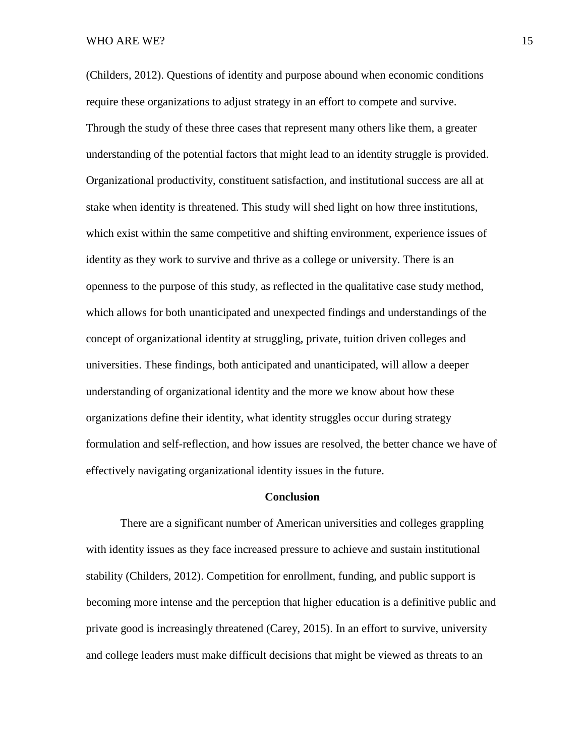(Childers, 2012). Questions of identity and purpose abound when economic conditions require these organizations to adjust strategy in an effort to compete and survive. Through the study of these three cases that represent many others like them, a greater understanding of the potential factors that might lead to an identity struggle is provided. Organizational productivity, constituent satisfaction, and institutional success are all at stake when identity is threatened. This study will shed light on how three institutions, which exist within the same competitive and shifting environment, experience issues of identity as they work to survive and thrive as a college or university. There is an openness to the purpose of this study, as reflected in the qualitative case study method, which allows for both unanticipated and unexpected findings and understandings of the concept of organizational identity at struggling, private, tuition driven colleges and universities. These findings, both anticipated and unanticipated, will allow a deeper understanding of organizational identity and the more we know about how these organizations define their identity, what identity struggles occur during strategy formulation and self-reflection, and how issues are resolved, the better chance we have of effectively navigating organizational identity issues in the future.

### **Conclusion**

There are a significant number of American universities and colleges grappling with identity issues as they face increased pressure to achieve and sustain institutional stability (Childers, 2012). Competition for enrollment, funding, and public support is becoming more intense and the perception that higher education is a definitive public and private good is increasingly threatened (Carey, 2015). In an effort to survive, university and college leaders must make difficult decisions that might be viewed as threats to an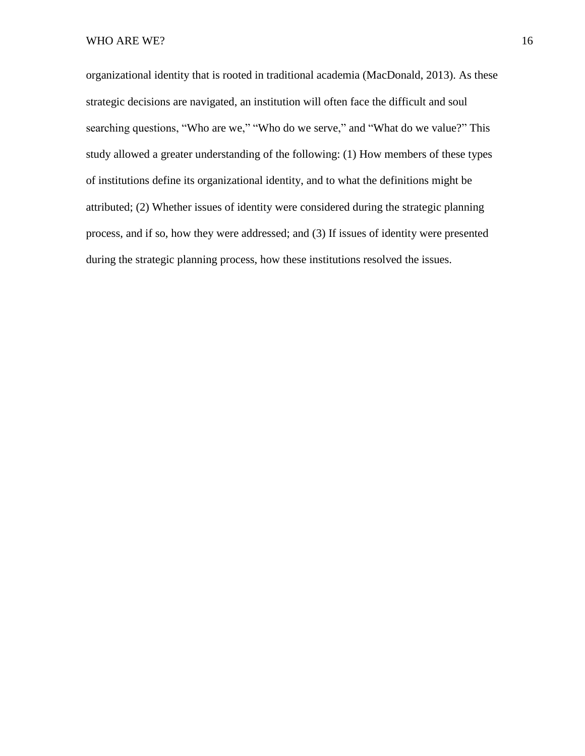organizational identity that is rooted in traditional academia (MacDonald, 2013). As these strategic decisions are navigated, an institution will often face the difficult and soul searching questions, "Who are we," "Who do we serve," and "What do we value?" This study allowed a greater understanding of the following: (1) How members of these types of institutions define its organizational identity, and to what the definitions might be attributed; (2) Whether issues of identity were considered during the strategic planning process, and if so, how they were addressed; and (3) If issues of identity were presented during the strategic planning process, how these institutions resolved the issues.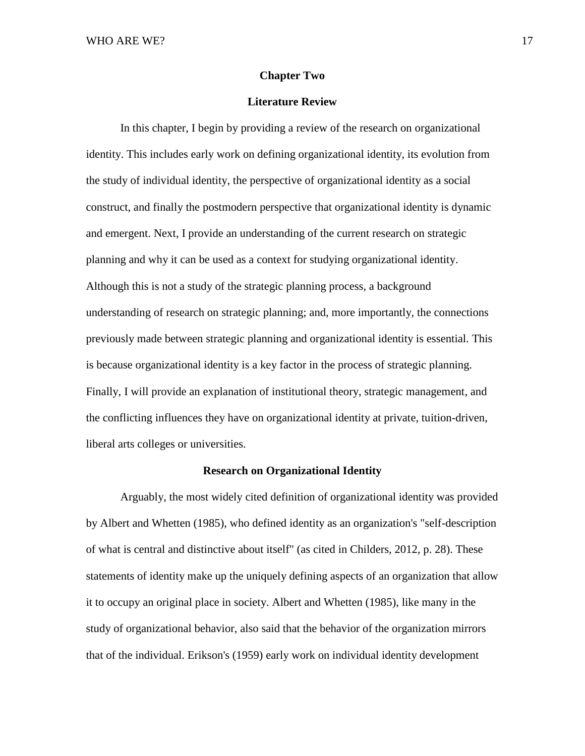### **Chapter Two**

### **Literature Review**

In this chapter, I begin by providing a review of the research on organizational identity. This includes early work on defining organizational identity, its evolution from the study of individual identity, the perspective of organizational identity as a social construct, and finally the postmodern perspective that organizational identity is dynamic and emergent. Next, I provide an understanding of the current research on strategic planning and why it can be used as a context for studying organizational identity. Although this is not a study of the strategic planning process, a background understanding of research on strategic planning; and, more importantly, the connections previously made between strategic planning and organizational identity is essential. This is because organizational identity is a key factor in the process of strategic planning. Finally, I will provide an explanation of institutional theory, strategic management, and the conflicting influences they have on organizational identity at private, tuition-driven, liberal arts colleges or universities.

### **Research on Organizational Identity**

Arguably, the most widely cited definition of organizational identity was provided by Albert and Whetten (1985), who defined identity as an organization's "self-description of what is central and distinctive about itself" (as cited in Childers, 2012, p. 28). These statements of identity make up the uniquely defining aspects of an organization that allow it to occupy an original place in society. Albert and Whetten (1985), like many in the study of organizational behavior, also said that the behavior of the organization mirrors that of the individual. Erikson's (1959) early work on individual identity development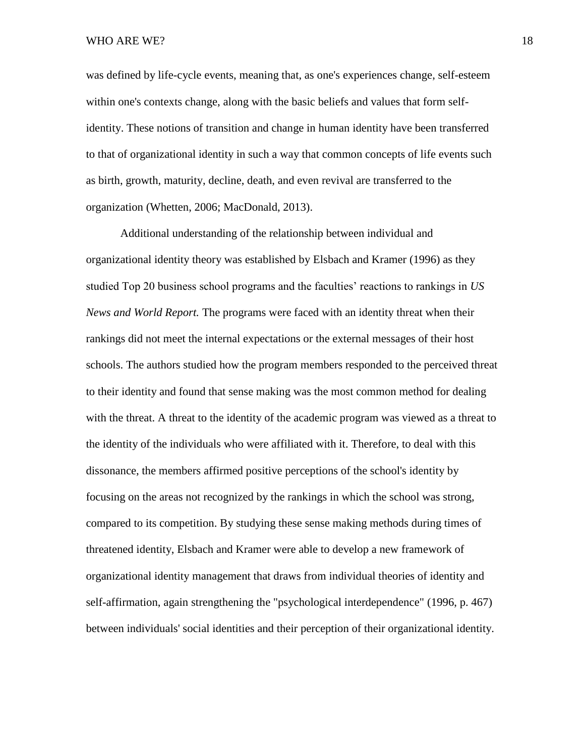was defined by life-cycle events, meaning that, as one's experiences change, self-esteem within one's contexts change, along with the basic beliefs and values that form selfidentity. These notions of transition and change in human identity have been transferred to that of organizational identity in such a way that common concepts of life events such as birth, growth, maturity, decline, death, and even revival are transferred to the organization (Whetten, 2006; MacDonald, 2013).

Additional understanding of the relationship between individual and organizational identity theory was established by Elsbach and Kramer (1996) as they studied Top 20 business school programs and the faculties' reactions to rankings in *US News and World Report.* The programs were faced with an identity threat when their rankings did not meet the internal expectations or the external messages of their host schools. The authors studied how the program members responded to the perceived threat to their identity and found that sense making was the most common method for dealing with the threat. A threat to the identity of the academic program was viewed as a threat to the identity of the individuals who were affiliated with it. Therefore, to deal with this dissonance, the members affirmed positive perceptions of the school's identity by focusing on the areas not recognized by the rankings in which the school was strong, compared to its competition. By studying these sense making methods during times of threatened identity, Elsbach and Kramer were able to develop a new framework of organizational identity management that draws from individual theories of identity and self-affirmation, again strengthening the "psychological interdependence" (1996, p. 467) between individuals' social identities and their perception of their organizational identity.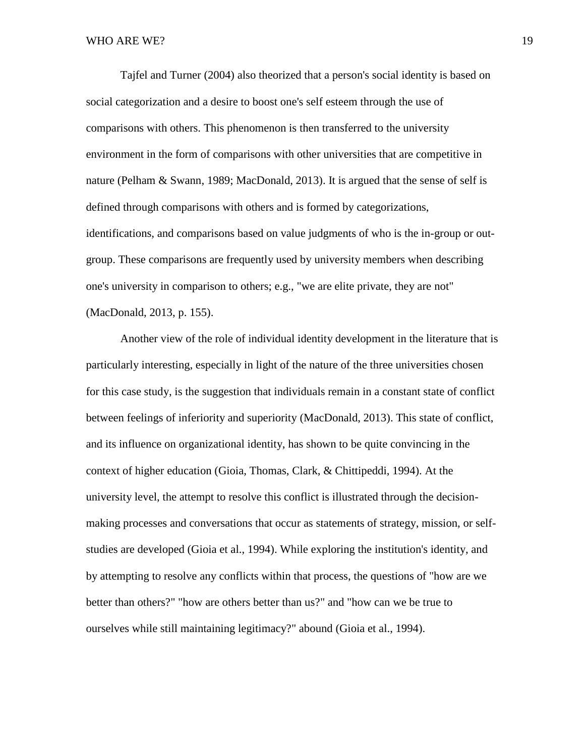Tajfel and Turner (2004) also theorized that a person's social identity is based on social categorization and a desire to boost one's self esteem through the use of comparisons with others. This phenomenon is then transferred to the university environment in the form of comparisons with other universities that are competitive in nature (Pelham & Swann, 1989; MacDonald, 2013). It is argued that the sense of self is defined through comparisons with others and is formed by categorizations, identifications, and comparisons based on value judgments of who is the in-group or outgroup. These comparisons are frequently used by university members when describing one's university in comparison to others; e.g., "we are elite private, they are not" (MacDonald, 2013, p. 155).

Another view of the role of individual identity development in the literature that is particularly interesting, especially in light of the nature of the three universities chosen for this case study, is the suggestion that individuals remain in a constant state of conflict between feelings of inferiority and superiority (MacDonald, 2013). This state of conflict, and its influence on organizational identity, has shown to be quite convincing in the context of higher education (Gioia, Thomas, Clark, & Chittipeddi, 1994). At the university level, the attempt to resolve this conflict is illustrated through the decisionmaking processes and conversations that occur as statements of strategy, mission, or selfstudies are developed (Gioia et al., 1994). While exploring the institution's identity, and by attempting to resolve any conflicts within that process, the questions of "how are we better than others?" "how are others better than us?" and "how can we be true to ourselves while still maintaining legitimacy?" abound (Gioia et al., 1994).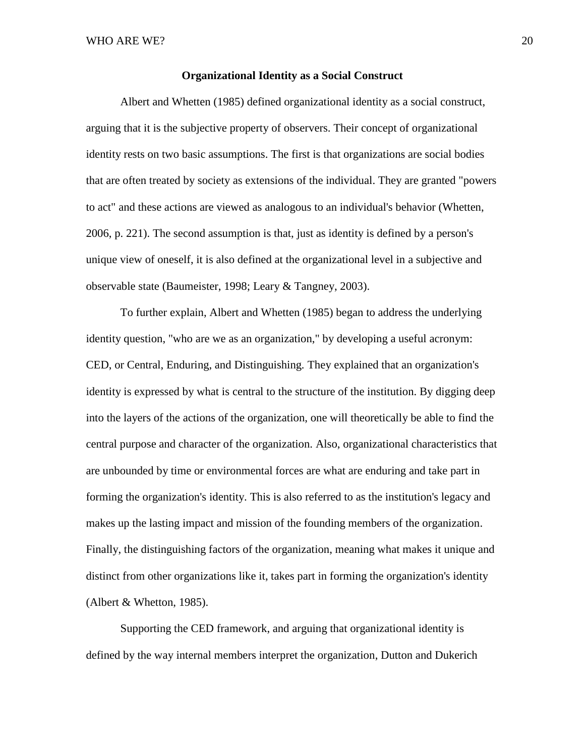### **Organizational Identity as a Social Construct**

Albert and Whetten (1985) defined organizational identity as a social construct, arguing that it is the subjective property of observers. Their concept of organizational identity rests on two basic assumptions. The first is that organizations are social bodies that are often treated by society as extensions of the individual. They are granted "powers to act" and these actions are viewed as analogous to an individual's behavior (Whetten, 2006, p. 221). The second assumption is that, just as identity is defined by a person's unique view of oneself, it is also defined at the organizational level in a subjective and observable state (Baumeister, 1998; Leary & Tangney, 2003).

To further explain, Albert and Whetten (1985) began to address the underlying identity question, "who are we as an organization," by developing a useful acronym: CED, or Central, Enduring, and Distinguishing*.* They explained that an organization's identity is expressed by what is central to the structure of the institution. By digging deep into the layers of the actions of the organization, one will theoretically be able to find the central purpose and character of the organization. Also, organizational characteristics that are unbounded by time or environmental forces are what are enduring and take part in forming the organization's identity. This is also referred to as the institution's legacy and makes up the lasting impact and mission of the founding members of the organization. Finally, the distinguishing factors of the organization, meaning what makes it unique and distinct from other organizations like it, takes part in forming the organization's identity (Albert & Whetton, 1985).

Supporting the CED framework, and arguing that organizational identity is defined by the way internal members interpret the organization, Dutton and Dukerich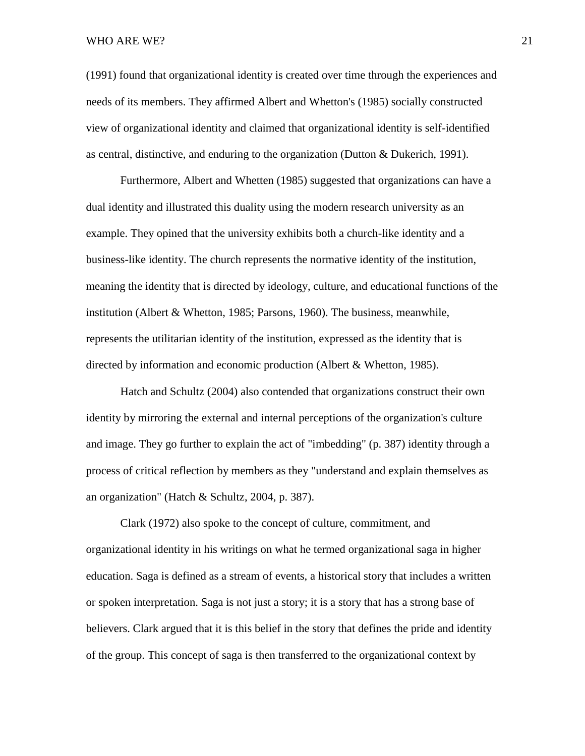### WHO ARE WE? 21

(1991) found that organizational identity is created over time through the experiences and needs of its members. They affirmed Albert and Whetton's (1985) socially constructed view of organizational identity and claimed that organizational identity is self-identified as central, distinctive, and enduring to the organization (Dutton & Dukerich, 1991).

Furthermore, Albert and Whetten (1985) suggested that organizations can have a dual identity and illustrated this duality using the modern research university as an example. They opined that the university exhibits both a church-like identity and a business-like identity. The church represents the normative identity of the institution, meaning the identity that is directed by ideology, culture, and educational functions of the institution (Albert & Whetton, 1985; Parsons, 1960). The business, meanwhile, represents the utilitarian identity of the institution, expressed as the identity that is directed by information and economic production (Albert & Whetton, 1985).

Hatch and Schultz (2004) also contended that organizations construct their own identity by mirroring the external and internal perceptions of the organization's culture and image. They go further to explain the act of "imbedding" (p. 387) identity through a process of critical reflection by members as they "understand and explain themselves as an organization" (Hatch & Schultz, 2004, p. 387).

Clark (1972) also spoke to the concept of culture, commitment, and organizational identity in his writings on what he termed organizational saga in higher education. Saga is defined as a stream of events, a historical story that includes a written or spoken interpretation. Saga is not just a story; it is a story that has a strong base of believers. Clark argued that it is this belief in the story that defines the pride and identity of the group. This concept of saga is then transferred to the organizational context by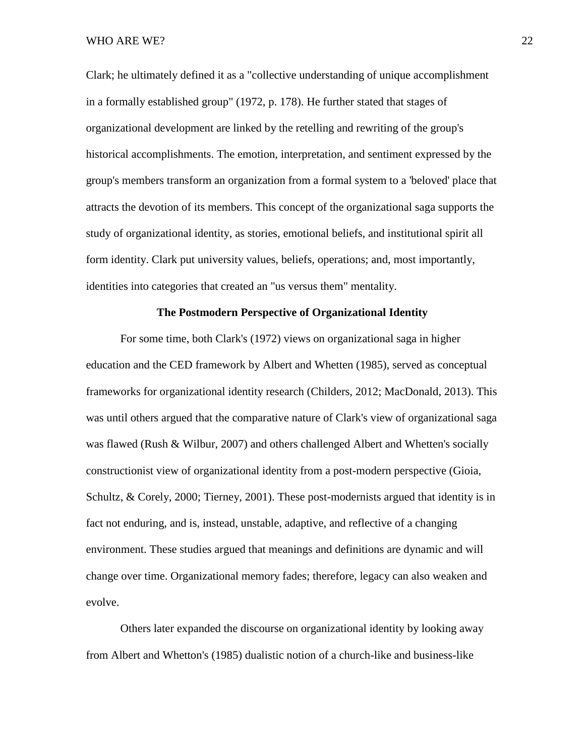Clark; he ultimately defined it as a "collective understanding of unique accomplishment in a formally established group" (1972, p. 178). He further stated that stages of organizational development are linked by the retelling and rewriting of the group's historical accomplishments. The emotion, interpretation, and sentiment expressed by the group's members transform an organization from a formal system to a 'beloved' place that attracts the devotion of its members. This concept of the organizational saga supports the study of organizational identity, as stories, emotional beliefs, and institutional spirit all form identity. Clark put university values, beliefs, operations; and, most importantly, identities into categories that created an "us versus them" mentality.

### **The Postmodern Perspective of Organizational Identity**

For some time, both Clark's (1972) views on organizational saga in higher education and the CED framework by Albert and Whetten (1985), served as conceptual frameworks for organizational identity research (Childers, 2012; MacDonald, 2013). This was until others argued that the comparative nature of Clark's view of organizational saga was flawed (Rush & Wilbur, 2007) and others challenged Albert and Whetten's socially constructionist view of organizational identity from a post-modern perspective (Gioia, Schultz, & Corely, 2000; Tierney, 2001). These post-modernists argued that identity is in fact not enduring, and is, instead, unstable, adaptive, and reflective of a changing environment. These studies argued that meanings and definitions are dynamic and will change over time. Organizational memory fades; therefore, legacy can also weaken and evolve.

Others later expanded the discourse on organizational identity by looking away from Albert and Whetton's (1985) dualistic notion of a church-like and business-like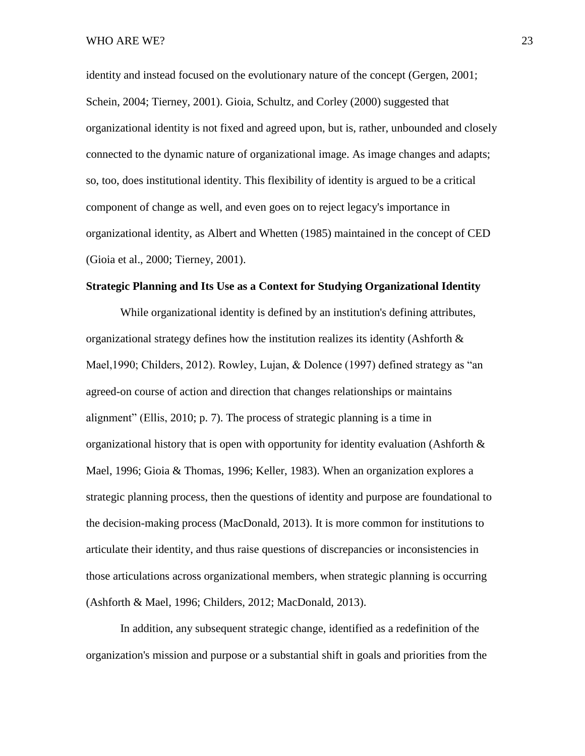identity and instead focused on the evolutionary nature of the concept (Gergen, 2001; Schein, 2004; Tierney, 2001). Gioia, Schultz, and Corley (2000) suggested that organizational identity is not fixed and agreed upon, but is, rather, unbounded and closely connected to the dynamic nature of organizational image. As image changes and adapts; so, too, does institutional identity. This flexibility of identity is argued to be a critical component of change as well, and even goes on to reject legacy's importance in organizational identity, as Albert and Whetten (1985) maintained in the concept of CED (Gioia et al., 2000; Tierney, 2001).

### **Strategic Planning and Its Use as a Context for Studying Organizational Identity**

While organizational identity is defined by an institution's defining attributes, organizational strategy defines how the institution realizes its identity (Ashforth & Mael,1990; Childers, 2012). Rowley, Lujan, & Dolence (1997) defined strategy as "an agreed-on course of action and direction that changes relationships or maintains alignment" (Ellis, 2010; p. 7). The process of strategic planning is a time in organizational history that is open with opportunity for identity evaluation (Ashforth  $\&$ Mael, 1996; Gioia & Thomas, 1996; Keller, 1983). When an organization explores a strategic planning process, then the questions of identity and purpose are foundational to the decision-making process (MacDonald, 2013). It is more common for institutions to articulate their identity, and thus raise questions of discrepancies or inconsistencies in those articulations across organizational members, when strategic planning is occurring (Ashforth & Mael, 1996; Childers, 2012; MacDonald, 2013).

In addition, any subsequent strategic change, identified as a redefinition of the organization's mission and purpose or a substantial shift in goals and priorities from the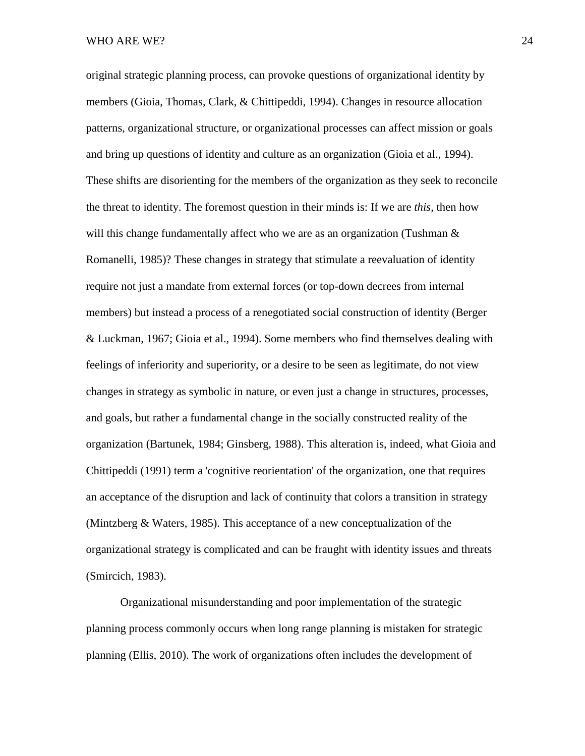original strategic planning process, can provoke questions of organizational identity by members (Gioia, Thomas, Clark, & Chittipeddi, 1994). Changes in resource allocation patterns, organizational structure, or organizational processes can affect mission or goals and bring up questions of identity and culture as an organization (Gioia et al., 1994). These shifts are disorienting for the members of the organization as they seek to reconcile the threat to identity. The foremost question in their minds is: If we are *this*, then how will this change fundamentally affect who we are as an organization (Tushman  $\&$ Romanelli, 1985)? These changes in strategy that stimulate a reevaluation of identity require not just a mandate from external forces (or top-down decrees from internal members) but instead a process of a renegotiated social construction of identity (Berger & Luckman, 1967; Gioia et al., 1994). Some members who find themselves dealing with feelings of inferiority and superiority, or a desire to be seen as legitimate, do not view changes in strategy as symbolic in nature, or even just a change in structures, processes, and goals, but rather a fundamental change in the socially constructed reality of the organization (Bartunek, 1984; Ginsberg, 1988). This alteration is, indeed, what Gioia and Chittipeddi (1991) term a 'cognitive reorientation' of the organization, one that requires an acceptance of the disruption and lack of continuity that colors a transition in strategy (Mintzberg & Waters, 1985). This acceptance of a new conceptualization of the organizational strategy is complicated and can be fraught with identity issues and threats (Smircich, 1983).

Organizational misunderstanding and poor implementation of the strategic planning process commonly occurs when long range planning is mistaken for strategic planning (Ellis, 2010). The work of organizations often includes the development of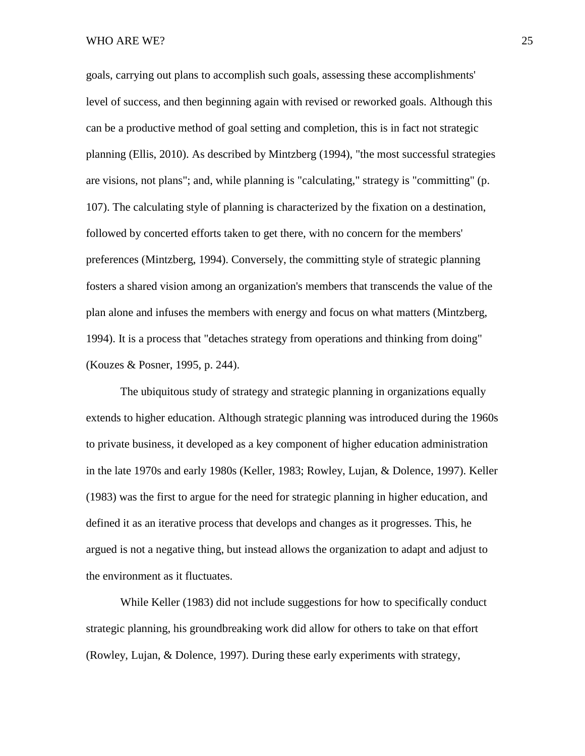WHO ARE WE? 25

goals, carrying out plans to accomplish such goals, assessing these accomplishments' level of success, and then beginning again with revised or reworked goals. Although this can be a productive method of goal setting and completion, this is in fact not strategic planning (Ellis, 2010). As described by Mintzberg (1994), "the most successful strategies are visions, not plans"; and, while planning is "calculating," strategy is "committing" (p. 107). The calculating style of planning is characterized by the fixation on a destination, followed by concerted efforts taken to get there, with no concern for the members' preferences (Mintzberg, 1994). Conversely, the committing style of strategic planning fosters a shared vision among an organization's members that transcends the value of the plan alone and infuses the members with energy and focus on what matters (Mintzberg, 1994). It is a process that "detaches strategy from operations and thinking from doing" (Kouzes & Posner, 1995, p. 244).

The ubiquitous study of strategy and strategic planning in organizations equally extends to higher education. Although strategic planning was introduced during the 1960s to private business, it developed as a key component of higher education administration in the late 1970s and early 1980s (Keller, 1983; Rowley, Lujan, & Dolence, 1997). Keller (1983) was the first to argue for the need for strategic planning in higher education, and defined it as an iterative process that develops and changes as it progresses. This, he argued is not a negative thing, but instead allows the organization to adapt and adjust to the environment as it fluctuates.

While Keller (1983) did not include suggestions for how to specifically conduct strategic planning, his groundbreaking work did allow for others to take on that effort (Rowley, Lujan, & Dolence, 1997). During these early experiments with strategy,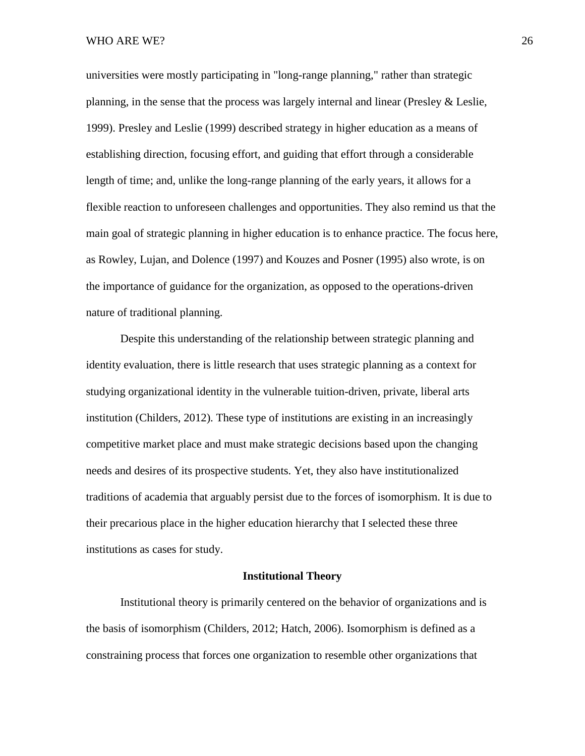#### WHO ARE WE? 26

universities were mostly participating in "long-range planning," rather than strategic planning, in the sense that the process was largely internal and linear (Presley & Leslie, 1999). Presley and Leslie (1999) described strategy in higher education as a means of establishing direction, focusing effort, and guiding that effort through a considerable length of time; and, unlike the long-range planning of the early years, it allows for a flexible reaction to unforeseen challenges and opportunities. They also remind us that the main goal of strategic planning in higher education is to enhance practice. The focus here, as Rowley, Lujan, and Dolence (1997) and Kouzes and Posner (1995) also wrote, is on the importance of guidance for the organization, as opposed to the operations-driven nature of traditional planning.

Despite this understanding of the relationship between strategic planning and identity evaluation, there is little research that uses strategic planning as a context for studying organizational identity in the vulnerable tuition-driven, private, liberal arts institution (Childers, 2012). These type of institutions are existing in an increasingly competitive market place and must make strategic decisions based upon the changing needs and desires of its prospective students. Yet, they also have institutionalized traditions of academia that arguably persist due to the forces of isomorphism. It is due to their precarious place in the higher education hierarchy that I selected these three institutions as cases for study.

### **Institutional Theory**

Institutional theory is primarily centered on the behavior of organizations and is the basis of isomorphism (Childers, 2012; Hatch, 2006). Isomorphism is defined as a constraining process that forces one organization to resemble other organizations that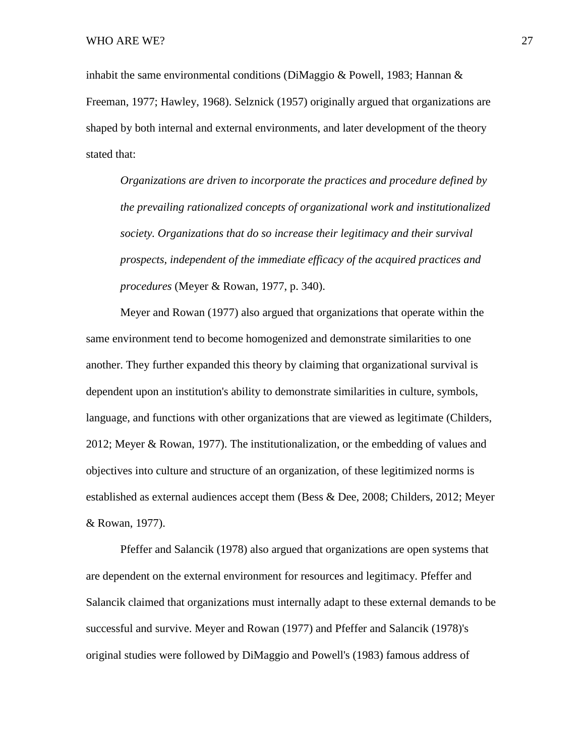inhabit the same environmental conditions (DiMaggio & Powell, 1983; Hannan & Freeman, 1977; Hawley, 1968). Selznick (1957) originally argued that organizations are shaped by both internal and external environments, and later development of the theory stated that:

*Organizations are driven to incorporate the practices and procedure defined by the prevailing rationalized concepts of organizational work and institutionalized society. Organizations that do so increase their legitimacy and their survival prospects, independent of the immediate efficacy of the acquired practices and procedures* (Meyer & Rowan, 1977, p. 340).

Meyer and Rowan (1977) also argued that organizations that operate within the same environment tend to become homogenized and demonstrate similarities to one another. They further expanded this theory by claiming that organizational survival is dependent upon an institution's ability to demonstrate similarities in culture, symbols, language, and functions with other organizations that are viewed as legitimate (Childers, 2012; Meyer & Rowan, 1977). The institutionalization, or the embedding of values and objectives into culture and structure of an organization, of these legitimized norms is established as external audiences accept them (Bess & Dee, 2008; Childers, 2012; Meyer & Rowan, 1977).

Pfeffer and Salancik (1978) also argued that organizations are open systems that are dependent on the external environment for resources and legitimacy. Pfeffer and Salancik claimed that organizations must internally adapt to these external demands to be successful and survive. Meyer and Rowan (1977) and Pfeffer and Salancik (1978)'s original studies were followed by DiMaggio and Powell's (1983) famous address of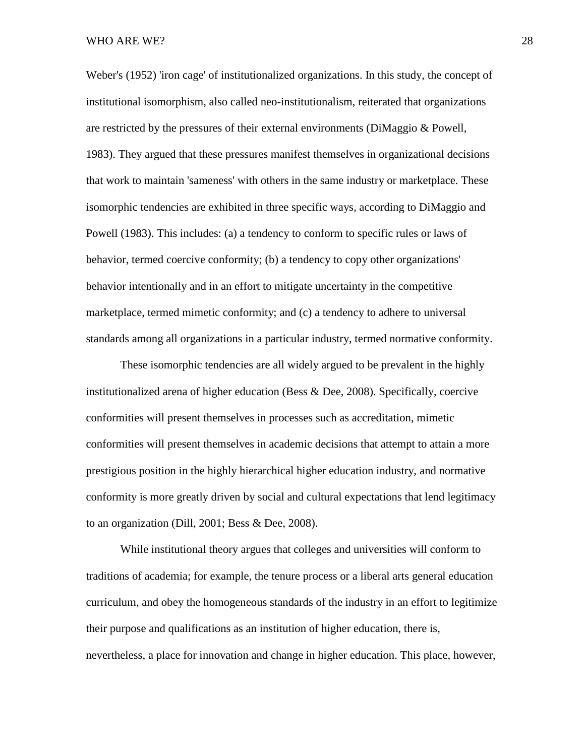#### WHO ARE WE? 28

Weber's (1952) 'iron cage' of institutionalized organizations. In this study, the concept of institutional isomorphism, also called neo-institutionalism, reiterated that organizations are restricted by the pressures of their external environments (DiMaggio & Powell, 1983). They argued that these pressures manifest themselves in organizational decisions that work to maintain 'sameness' with others in the same industry or marketplace. These isomorphic tendencies are exhibited in three specific ways, according to DiMaggio and Powell (1983). This includes: (a) a tendency to conform to specific rules or laws of behavior, termed coercive conformity; (b) a tendency to copy other organizations' behavior intentionally and in an effort to mitigate uncertainty in the competitive marketplace, termed mimetic conformity; and (c) a tendency to adhere to universal standards among all organizations in a particular industry, termed normative conformity.

These isomorphic tendencies are all widely argued to be prevalent in the highly institutionalized arena of higher education (Bess & Dee, 2008). Specifically, coercive conformities will present themselves in processes such as accreditation, mimetic conformities will present themselves in academic decisions that attempt to attain a more prestigious position in the highly hierarchical higher education industry, and normative conformity is more greatly driven by social and cultural expectations that lend legitimacy to an organization (Dill, 2001; Bess & Dee, 2008).

While institutional theory argues that colleges and universities will conform to traditions of academia; for example, the tenure process or a liberal arts general education curriculum, and obey the homogeneous standards of the industry in an effort to legitimize their purpose and qualifications as an institution of higher education, there is, nevertheless, a place for innovation and change in higher education. This place, however,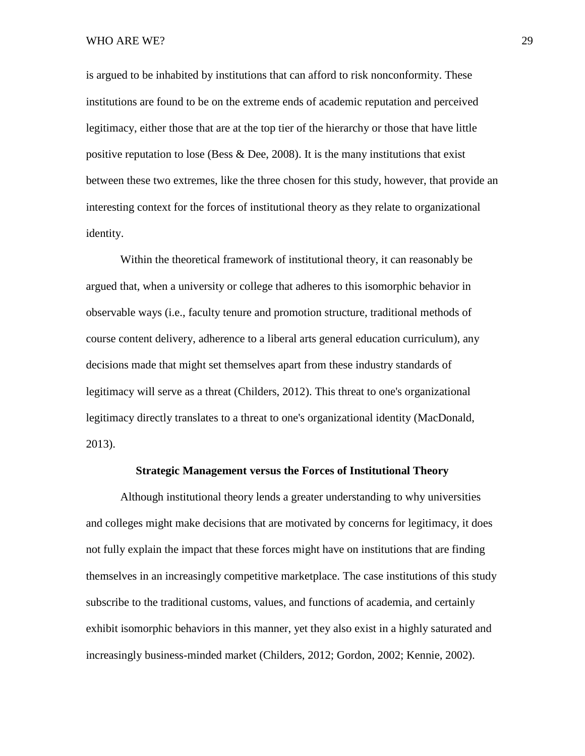is argued to be inhabited by institutions that can afford to risk nonconformity. These institutions are found to be on the extreme ends of academic reputation and perceived legitimacy, either those that are at the top tier of the hierarchy or those that have little positive reputation to lose (Bess & Dee, 2008). It is the many institutions that exist between these two extremes, like the three chosen for this study, however, that provide an interesting context for the forces of institutional theory as they relate to organizational identity.

Within the theoretical framework of institutional theory, it can reasonably be argued that, when a university or college that adheres to this isomorphic behavior in observable ways (i.e., faculty tenure and promotion structure, traditional methods of course content delivery, adherence to a liberal arts general education curriculum), any decisions made that might set themselves apart from these industry standards of legitimacy will serve as a threat (Childers, 2012). This threat to one's organizational legitimacy directly translates to a threat to one's organizational identity (MacDonald, 2013).

### **Strategic Management versus the Forces of Institutional Theory**

Although institutional theory lends a greater understanding to why universities and colleges might make decisions that are motivated by concerns for legitimacy, it does not fully explain the impact that these forces might have on institutions that are finding themselves in an increasingly competitive marketplace. The case institutions of this study subscribe to the traditional customs, values, and functions of academia, and certainly exhibit isomorphic behaviors in this manner, yet they also exist in a highly saturated and increasingly business-minded market (Childers, 2012; Gordon, 2002; Kennie, 2002).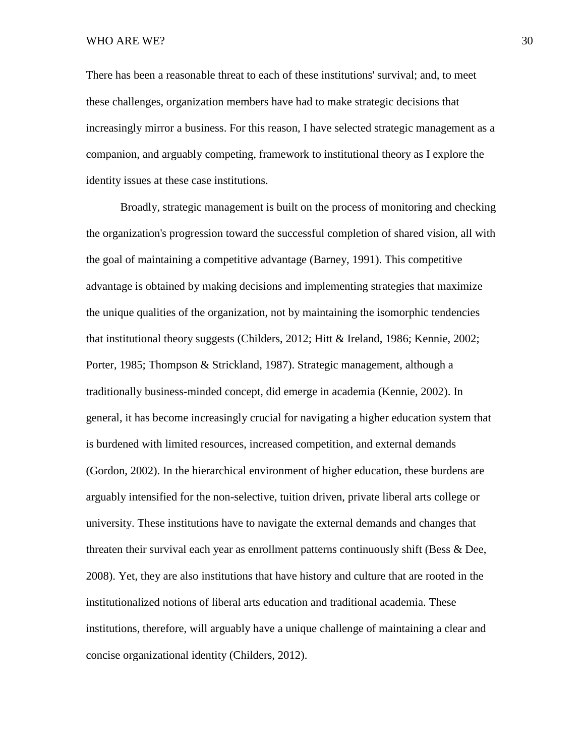WHO ARE WE? 30

There has been a reasonable threat to each of these institutions' survival; and, to meet these challenges, organization members have had to make strategic decisions that increasingly mirror a business. For this reason, I have selected strategic management as a companion, and arguably competing, framework to institutional theory as I explore the identity issues at these case institutions.

Broadly, strategic management is built on the process of monitoring and checking the organization's progression toward the successful completion of shared vision, all with the goal of maintaining a competitive advantage (Barney, 1991). This competitive advantage is obtained by making decisions and implementing strategies that maximize the unique qualities of the organization, not by maintaining the isomorphic tendencies that institutional theory suggests (Childers, 2012; Hitt & Ireland, 1986; Kennie, 2002; Porter, 1985; Thompson & Strickland, 1987). Strategic management, although a traditionally business-minded concept, did emerge in academia (Kennie, 2002). In general, it has become increasingly crucial for navigating a higher education system that is burdened with limited resources, increased competition, and external demands (Gordon, 2002). In the hierarchical environment of higher education, these burdens are arguably intensified for the non-selective, tuition driven, private liberal arts college or university. These institutions have to navigate the external demands and changes that threaten their survival each year as enrollment patterns continuously shift (Bess & Dee, 2008). Yet, they are also institutions that have history and culture that are rooted in the institutionalized notions of liberal arts education and traditional academia. These institutions, therefore, will arguably have a unique challenge of maintaining a clear and concise organizational identity (Childers, 2012).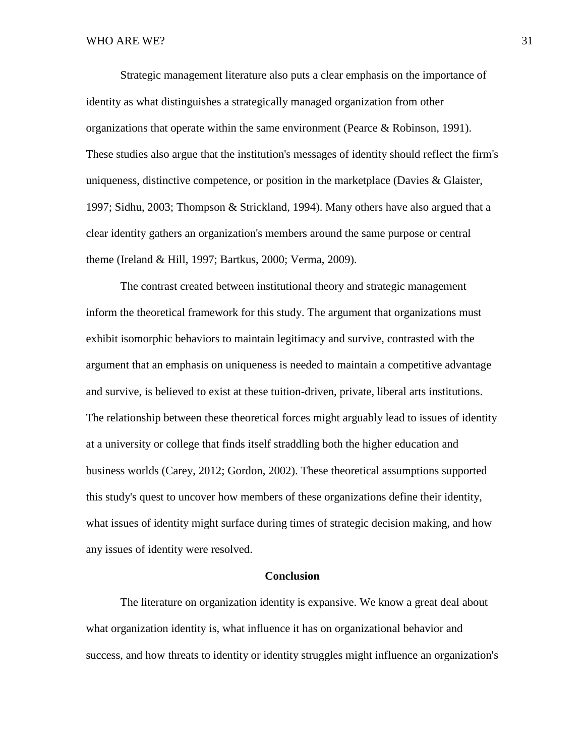Strategic management literature also puts a clear emphasis on the importance of identity as what distinguishes a strategically managed organization from other organizations that operate within the same environment (Pearce & Robinson, 1991). These studies also argue that the institution's messages of identity should reflect the firm's uniqueness, distinctive competence, or position in the marketplace (Davies & Glaister, 1997; Sidhu, 2003; Thompson & Strickland, 1994). Many others have also argued that a clear identity gathers an organization's members around the same purpose or central theme (Ireland & Hill, 1997; Bartkus, 2000; Verma, 2009).

The contrast created between institutional theory and strategic management inform the theoretical framework for this study. The argument that organizations must exhibit isomorphic behaviors to maintain legitimacy and survive, contrasted with the argument that an emphasis on uniqueness is needed to maintain a competitive advantage and survive, is believed to exist at these tuition-driven, private, liberal arts institutions. The relationship between these theoretical forces might arguably lead to issues of identity at a university or college that finds itself straddling both the higher education and business worlds (Carey, 2012; Gordon, 2002). These theoretical assumptions supported this study's quest to uncover how members of these organizations define their identity, what issues of identity might surface during times of strategic decision making, and how any issues of identity were resolved.

### **Conclusion**

The literature on organization identity is expansive. We know a great deal about what organization identity is, what influence it has on organizational behavior and success, and how threats to identity or identity struggles might influence an organization's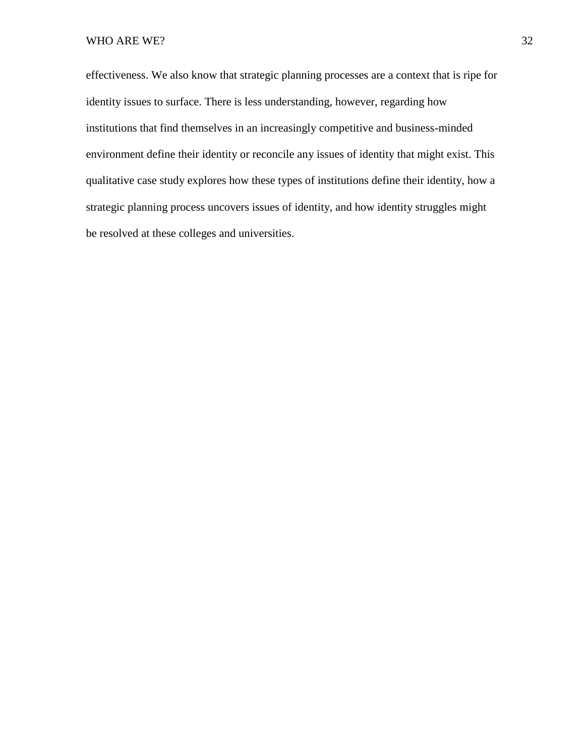effectiveness. We also know that strategic planning processes are a context that is ripe for identity issues to surface. There is less understanding, however, regarding how institutions that find themselves in an increasingly competitive and business-minded environment define their identity or reconcile any issues of identity that might exist. This qualitative case study explores how these types of institutions define their identity, how a strategic planning process uncovers issues of identity, and how identity struggles might be resolved at these colleges and universities.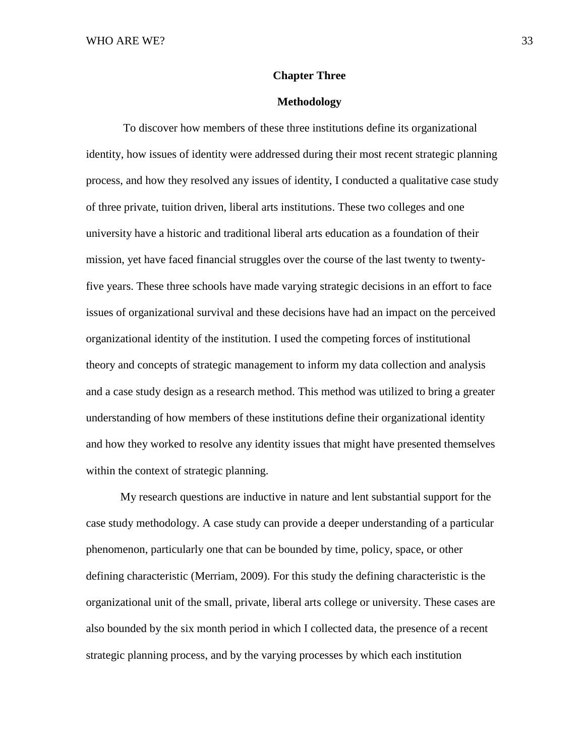### **Chapter Three**

### **Methodology**

To discover how members of these three institutions define its organizational identity, how issues of identity were addressed during their most recent strategic planning process, and how they resolved any issues of identity, I conducted a qualitative case study of three private, tuition driven, liberal arts institutions. These two colleges and one university have a historic and traditional liberal arts education as a foundation of their mission, yet have faced financial struggles over the course of the last twenty to twentyfive years. These three schools have made varying strategic decisions in an effort to face issues of organizational survival and these decisions have had an impact on the perceived organizational identity of the institution. I used the competing forces of institutional theory and concepts of strategic management to inform my data collection and analysis and a case study design as a research method. This method was utilized to bring a greater understanding of how members of these institutions define their organizational identity and how they worked to resolve any identity issues that might have presented themselves within the context of strategic planning.

My research questions are inductive in nature and lent substantial support for the case study methodology. A case study can provide a deeper understanding of a particular phenomenon, particularly one that can be bounded by time, policy, space, or other defining characteristic (Merriam, 2009). For this study the defining characteristic is the organizational unit of the small, private, liberal arts college or university. These cases are also bounded by the six month period in which I collected data, the presence of a recent strategic planning process, and by the varying processes by which each institution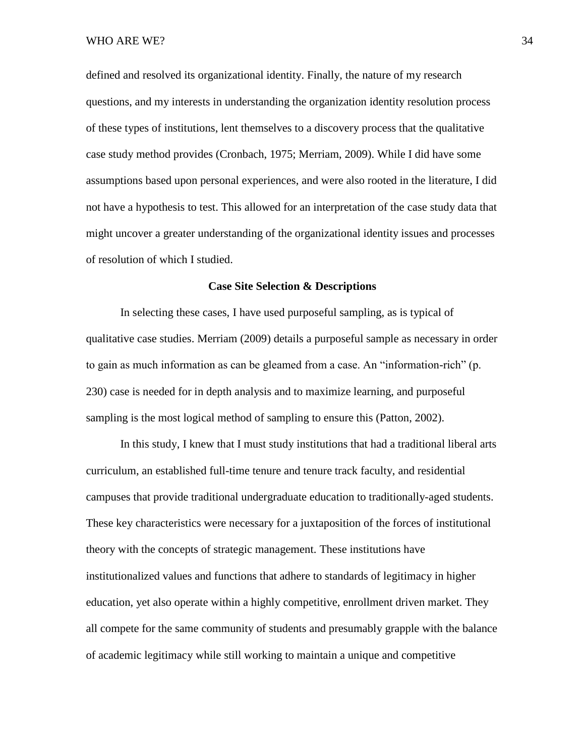defined and resolved its organizational identity. Finally, the nature of my research questions, and my interests in understanding the organization identity resolution process of these types of institutions, lent themselves to a discovery process that the qualitative case study method provides (Cronbach, 1975; Merriam, 2009). While I did have some assumptions based upon personal experiences, and were also rooted in the literature, I did not have a hypothesis to test. This allowed for an interpretation of the case study data that might uncover a greater understanding of the organizational identity issues and processes of resolution of which I studied.

#### **Case Site Selection & Descriptions**

In selecting these cases, I have used purposeful sampling, as is typical of qualitative case studies. Merriam (2009) details a purposeful sample as necessary in order to gain as much information as can be gleamed from a case. An "information-rich" (p. 230) case is needed for in depth analysis and to maximize learning, and purposeful sampling is the most logical method of sampling to ensure this (Patton, 2002).

In this study, I knew that I must study institutions that had a traditional liberal arts curriculum, an established full-time tenure and tenure track faculty, and residential campuses that provide traditional undergraduate education to traditionally-aged students. These key characteristics were necessary for a juxtaposition of the forces of institutional theory with the concepts of strategic management. These institutions have institutionalized values and functions that adhere to standards of legitimacy in higher education, yet also operate within a highly competitive, enrollment driven market. They all compete for the same community of students and presumably grapple with the balance of academic legitimacy while still working to maintain a unique and competitive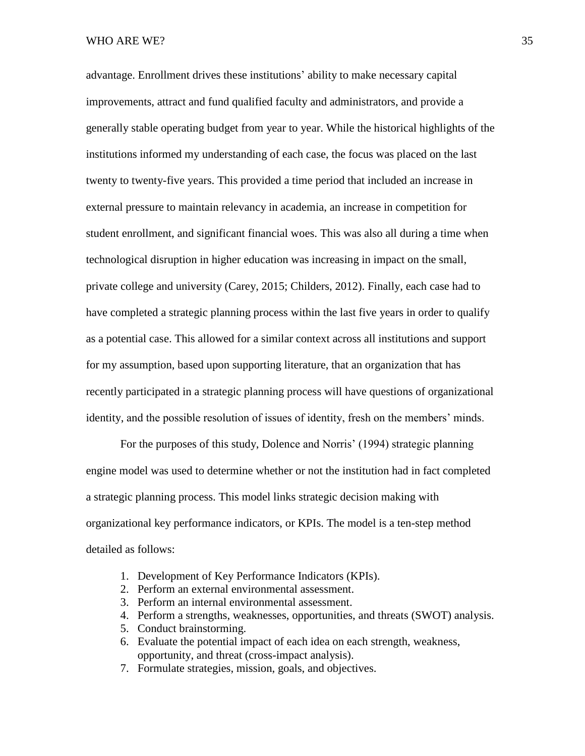advantage. Enrollment drives these institutions' ability to make necessary capital improvements, attract and fund qualified faculty and administrators, and provide a generally stable operating budget from year to year. While the historical highlights of the institutions informed my understanding of each case, the focus was placed on the last twenty to twenty-five years. This provided a time period that included an increase in external pressure to maintain relevancy in academia, an increase in competition for student enrollment, and significant financial woes. This was also all during a time when technological disruption in higher education was increasing in impact on the small, private college and university (Carey, 2015; Childers, 2012). Finally, each case had to have completed a strategic planning process within the last five years in order to qualify as a potential case. This allowed for a similar context across all institutions and support for my assumption, based upon supporting literature, that an organization that has recently participated in a strategic planning process will have questions of organizational identity, and the possible resolution of issues of identity, fresh on the members' minds.

For the purposes of this study, Dolence and Norris' (1994) strategic planning engine model was used to determine whether or not the institution had in fact completed a strategic planning process. This model links strategic decision making with organizational key performance indicators, or KPIs. The model is a ten-step method detailed as follows:

- 1. Development of Key Performance Indicators (KPIs).
- 2. Perform an external environmental assessment.
- 3. Perform an internal environmental assessment.
- 4. Perform a strengths, weaknesses, opportunities, and threats (SWOT) analysis.
- 5. Conduct brainstorming.
- 6. Evaluate the potential impact of each idea on each strength, weakness, opportunity, and threat (cross-impact analysis).
- 7. Formulate strategies, mission, goals, and objectives.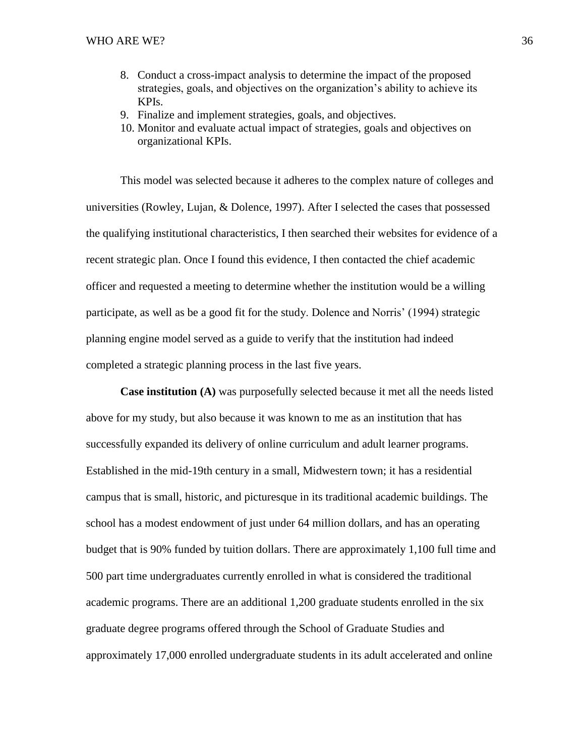- 8. Conduct a cross-impact analysis to determine the impact of the proposed strategies, goals, and objectives on the organization's ability to achieve its KPIs.
- 9. Finalize and implement strategies, goals, and objectives.
- 10. Monitor and evaluate actual impact of strategies, goals and objectives on organizational KPIs.

This model was selected because it adheres to the complex nature of colleges and universities (Rowley, Lujan, & Dolence, 1997). After I selected the cases that possessed the qualifying institutional characteristics, I then searched their websites for evidence of a recent strategic plan. Once I found this evidence, I then contacted the chief academic officer and requested a meeting to determine whether the institution would be a willing participate, as well as be a good fit for the study. Dolence and Norris' (1994) strategic planning engine model served as a guide to verify that the institution had indeed completed a strategic planning process in the last five years.

**Case institution (A)** was purposefully selected because it met all the needs listed above for my study, but also because it was known to me as an institution that has successfully expanded its delivery of online curriculum and adult learner programs. Established in the mid-19th century in a small, Midwestern town; it has a residential campus that is small, historic, and picturesque in its traditional academic buildings. The school has a modest endowment of just under 64 million dollars, and has an operating budget that is 90% funded by tuition dollars. There are approximately 1,100 full time and 500 part time undergraduates currently enrolled in what is considered the traditional academic programs. There are an additional 1,200 graduate students enrolled in the six graduate degree programs offered through the School of Graduate Studies and approximately 17,000 enrolled undergraduate students in its adult accelerated and online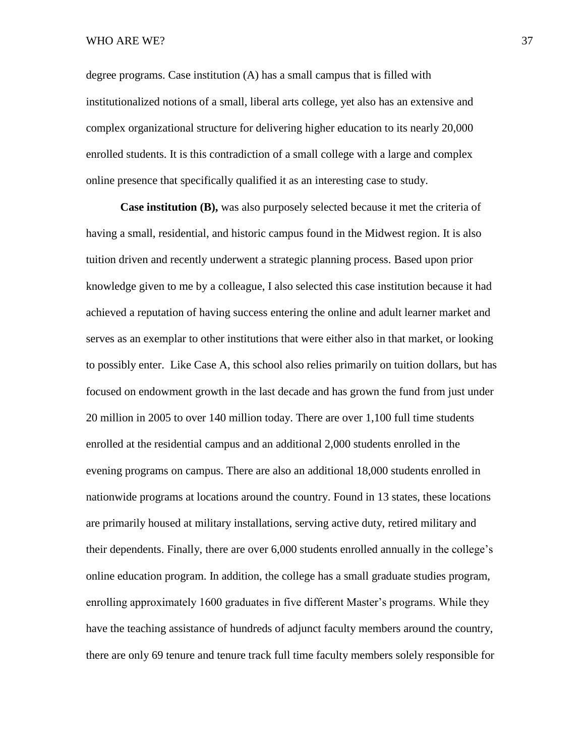## WHO ARE WE? 37

degree programs. Case institution (A) has a small campus that is filled with institutionalized notions of a small, liberal arts college, yet also has an extensive and complex organizational structure for delivering higher education to its nearly 20,000 enrolled students. It is this contradiction of a small college with a large and complex online presence that specifically qualified it as an interesting case to study.

**Case institution (B),** was also purposely selected because it met the criteria of having a small, residential, and historic campus found in the Midwest region. It is also tuition driven and recently underwent a strategic planning process. Based upon prior knowledge given to me by a colleague, I also selected this case institution because it had achieved a reputation of having success entering the online and adult learner market and serves as an exemplar to other institutions that were either also in that market, or looking to possibly enter. Like Case A, this school also relies primarily on tuition dollars, but has focused on endowment growth in the last decade and has grown the fund from just under 20 million in 2005 to over 140 million today. There are over 1,100 full time students enrolled at the residential campus and an additional 2,000 students enrolled in the evening programs on campus. There are also an additional 18,000 students enrolled in nationwide programs at locations around the country. Found in 13 states, these locations are primarily housed at military installations, serving active duty, retired military and their dependents. Finally, there are over 6,000 students enrolled annually in the college's online education program. In addition, the college has a small graduate studies program, enrolling approximately 1600 graduates in five different Master's programs. While they have the teaching assistance of hundreds of adjunct faculty members around the country, there are only 69 tenure and tenure track full time faculty members solely responsible for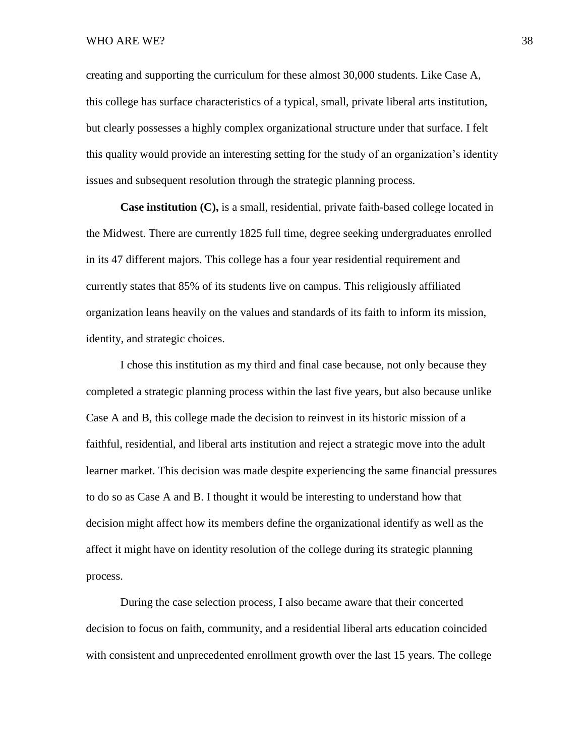## WHO ARE WE? 38

creating and supporting the curriculum for these almost 30,000 students. Like Case A, this college has surface characteristics of a typical, small, private liberal arts institution, but clearly possesses a highly complex organizational structure under that surface. I felt this quality would provide an interesting setting for the study of an organization's identity issues and subsequent resolution through the strategic planning process.

**Case institution (C),** is a small, residential, private faith-based college located in the Midwest. There are currently 1825 full time, degree seeking undergraduates enrolled in its 47 different majors. This college has a four year residential requirement and currently states that 85% of its students live on campus. This religiously affiliated organization leans heavily on the values and standards of its faith to inform its mission, identity, and strategic choices.

I chose this institution as my third and final case because, not only because they completed a strategic planning process within the last five years, but also because unlike Case A and B, this college made the decision to reinvest in its historic mission of a faithful, residential, and liberal arts institution and reject a strategic move into the adult learner market. This decision was made despite experiencing the same financial pressures to do so as Case A and B. I thought it would be interesting to understand how that decision might affect how its members define the organizational identify as well as the affect it might have on identity resolution of the college during its strategic planning process.

During the case selection process, I also became aware that their concerted decision to focus on faith, community, and a residential liberal arts education coincided with consistent and unprecedented enrollment growth over the last 15 years. The college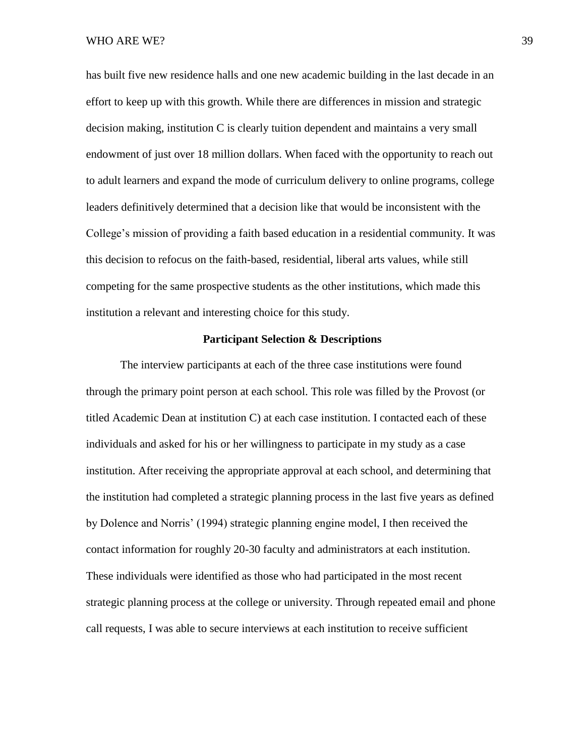has built five new residence halls and one new academic building in the last decade in an effort to keep up with this growth. While there are differences in mission and strategic decision making, institution C is clearly tuition dependent and maintains a very small endowment of just over 18 million dollars. When faced with the opportunity to reach out to adult learners and expand the mode of curriculum delivery to online programs, college leaders definitively determined that a decision like that would be inconsistent with the College's mission of providing a faith based education in a residential community. It was this decision to refocus on the faith-based, residential, liberal arts values, while still competing for the same prospective students as the other institutions, which made this institution a relevant and interesting choice for this study.

## **Participant Selection & Descriptions**

The interview participants at each of the three case institutions were found through the primary point person at each school. This role was filled by the Provost (or titled Academic Dean at institution C) at each case institution. I contacted each of these individuals and asked for his or her willingness to participate in my study as a case institution. After receiving the appropriate approval at each school, and determining that the institution had completed a strategic planning process in the last five years as defined by Dolence and Norris' (1994) strategic planning engine model, I then received the contact information for roughly 20-30 faculty and administrators at each institution. These individuals were identified as those who had participated in the most recent strategic planning process at the college or university. Through repeated email and phone call requests, I was able to secure interviews at each institution to receive sufficient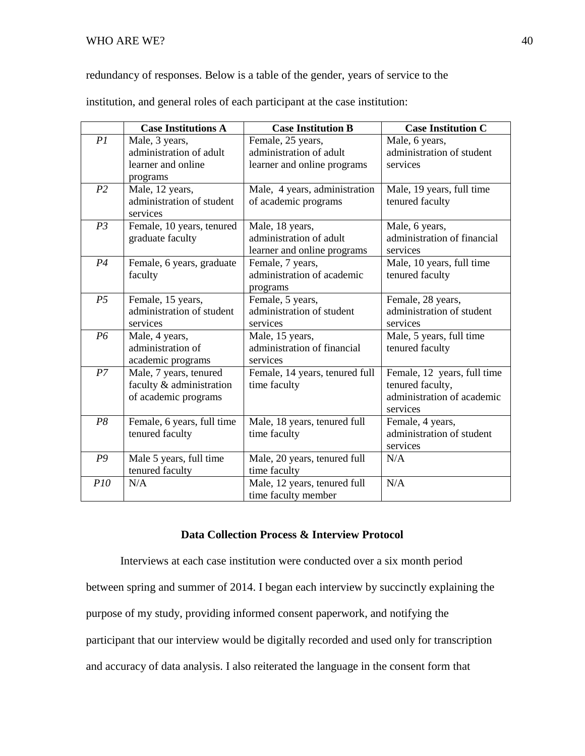redundancy of responses. Below is a table of the gender, years of service to the

institution, and general roles of each participant at the case institution:

|                | <b>Case Institutions A</b> | <b>Case Institution B</b>      | <b>Case Institution C</b>   |
|----------------|----------------------------|--------------------------------|-----------------------------|
| PI             | Male, 3 years,             | Female, 25 years,              | Male, 6 years,              |
|                | administration of adult    | administration of adult        | administration of student   |
|                | learner and online         | learner and online programs    | services                    |
|                | programs                   |                                |                             |
| P <sub>2</sub> | Male, 12 years,            | Male, 4 years, administration  | Male, 19 years, full time   |
|                | administration of student  | of academic programs           | tenured faculty             |
|                | services                   |                                |                             |
| P <sub>3</sub> | Female, 10 years, tenured  | Male, 18 years,                | Male, 6 years,              |
|                | graduate faculty           | administration of adult        | administration of financial |
|                |                            | learner and online programs    | services                    |
| P <sub>4</sub> | Female, 6 years, graduate  | Female, 7 years,               | Male, 10 years, full time   |
|                | faculty                    | administration of academic     | tenured faculty             |
|                |                            | programs                       |                             |
| P <sub>5</sub> | Female, 15 years,          | Female, 5 years,               | Female, 28 years,           |
|                | administration of student  | administration of student      | administration of student   |
|                | services                   | services                       | services                    |
| P6             | Male, 4 years,             | Male, 15 years,                | Male, 5 years, full time    |
|                | administration of          | administration of financial    | tenured faculty             |
|                | academic programs          | services                       |                             |
| P <sub>7</sub> | Male, 7 years, tenured     | Female, 14 years, tenured full | Female, 12 years, full time |
|                | faculty & administration   | time faculty                   | tenured faculty,            |
|                | of academic programs       |                                | administration of academic  |
|                |                            |                                | services                    |
| P8             | Female, 6 years, full time | Male, 18 years, tenured full   | Female, 4 years,            |
|                | tenured faculty            | time faculty                   | administration of student   |
|                |                            |                                | services                    |
| P9             | Male 5 years, full time    | Male, 20 years, tenured full   | N/A                         |
|                | tenured faculty            | time faculty                   |                             |
| P10            | N/A                        | Male, 12 years, tenured full   | N/A                         |
|                |                            | time faculty member            |                             |

# **Data Collection Process & Interview Protocol**

Interviews at each case institution were conducted over a six month period between spring and summer of 2014. I began each interview by succinctly explaining the purpose of my study, providing informed consent paperwork, and notifying the participant that our interview would be digitally recorded and used only for transcription and accuracy of data analysis. I also reiterated the language in the consent form that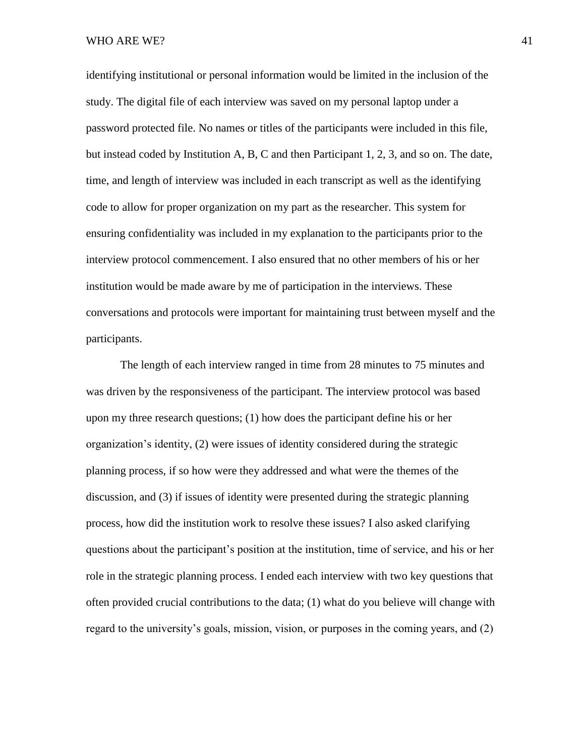identifying institutional or personal information would be limited in the inclusion of the study. The digital file of each interview was saved on my personal laptop under a password protected file. No names or titles of the participants were included in this file, but instead coded by Institution A, B, C and then Participant 1, 2, 3, and so on. The date, time, and length of interview was included in each transcript as well as the identifying code to allow for proper organization on my part as the researcher. This system for ensuring confidentiality was included in my explanation to the participants prior to the interview protocol commencement. I also ensured that no other members of his or her institution would be made aware by me of participation in the interviews. These conversations and protocols were important for maintaining trust between myself and the participants.

The length of each interview ranged in time from 28 minutes to 75 minutes and was driven by the responsiveness of the participant. The interview protocol was based upon my three research questions; (1) how does the participant define his or her organization's identity, (2) were issues of identity considered during the strategic planning process, if so how were they addressed and what were the themes of the discussion, and (3) if issues of identity were presented during the strategic planning process, how did the institution work to resolve these issues? I also asked clarifying questions about the participant's position at the institution, time of service, and his or her role in the strategic planning process. I ended each interview with two key questions that often provided crucial contributions to the data; (1) what do you believe will change with regard to the university's goals, mission, vision, or purposes in the coming years, and (2)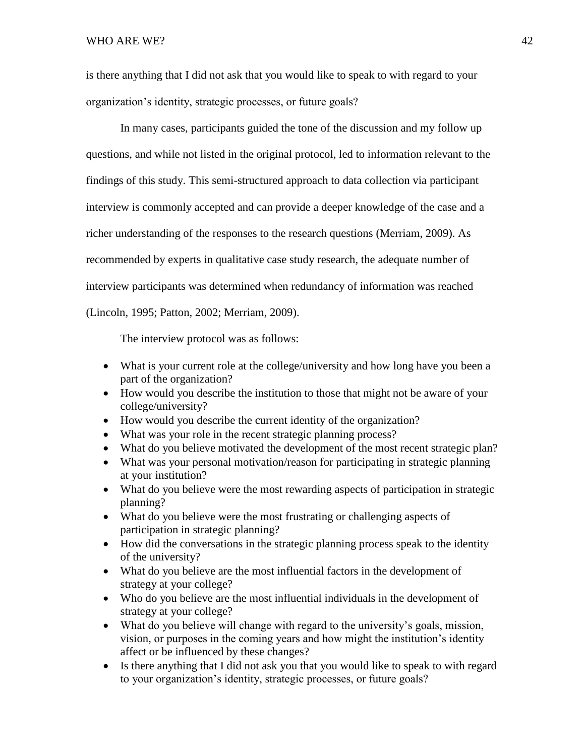WHO ARE WE? 42

is there anything that I did not ask that you would like to speak to with regard to your organization's identity, strategic processes, or future goals?

In many cases, participants guided the tone of the discussion and my follow up questions, and while not listed in the original protocol, led to information relevant to the findings of this study. This semi-structured approach to data collection via participant interview is commonly accepted and can provide a deeper knowledge of the case and a richer understanding of the responses to the research questions (Merriam, 2009). As recommended by experts in qualitative case study research, the adequate number of interview participants was determined when redundancy of information was reached (Lincoln, 1995; Patton, 2002; Merriam, 2009).

The interview protocol was as follows:

- What is your current role at the college/university and how long have you been a part of the organization?
- How would you describe the institution to those that might not be aware of your college/university?
- How would you describe the current identity of the organization?
- What was your role in the recent strategic planning process?
- What do you believe motivated the development of the most recent strategic plan?
- What was your personal motivation/reason for participating in strategic planning at your institution?
- What do you believe were the most rewarding aspects of participation in strategic planning?
- What do you believe were the most frustrating or challenging aspects of participation in strategic planning?
- How did the conversations in the strategic planning process speak to the identity of the university?
- What do you believe are the most influential factors in the development of strategy at your college?
- Who do you believe are the most influential individuals in the development of strategy at your college?
- What do you believe will change with regard to the university's goals, mission, vision, or purposes in the coming years and how might the institution's identity affect or be influenced by these changes?
- Is there anything that I did not ask you that you would like to speak to with regard to your organization's identity, strategic processes, or future goals?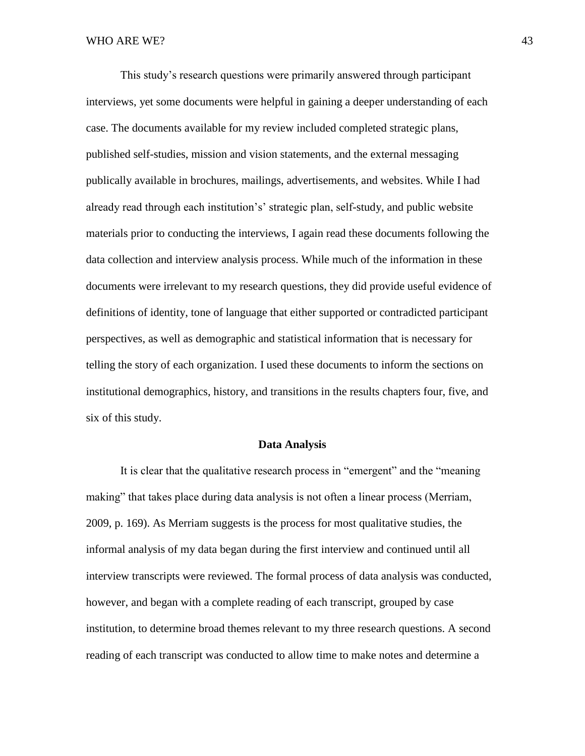This study's research questions were primarily answered through participant interviews, yet some documents were helpful in gaining a deeper understanding of each case. The documents available for my review included completed strategic plans, published self-studies, mission and vision statements, and the external messaging publically available in brochures, mailings, advertisements, and websites. While I had already read through each institution's' strategic plan, self-study, and public website materials prior to conducting the interviews, I again read these documents following the data collection and interview analysis process. While much of the information in these documents were irrelevant to my research questions, they did provide useful evidence of definitions of identity, tone of language that either supported or contradicted participant perspectives, as well as demographic and statistical information that is necessary for telling the story of each organization. I used these documents to inform the sections on institutional demographics, history, and transitions in the results chapters four, five, and six of this study.

## **Data Analysis**

It is clear that the qualitative research process in "emergent" and the "meaning making" that takes place during data analysis is not often a linear process (Merriam, 2009, p. 169). As Merriam suggests is the process for most qualitative studies, the informal analysis of my data began during the first interview and continued until all interview transcripts were reviewed. The formal process of data analysis was conducted, however, and began with a complete reading of each transcript, grouped by case institution, to determine broad themes relevant to my three research questions. A second reading of each transcript was conducted to allow time to make notes and determine a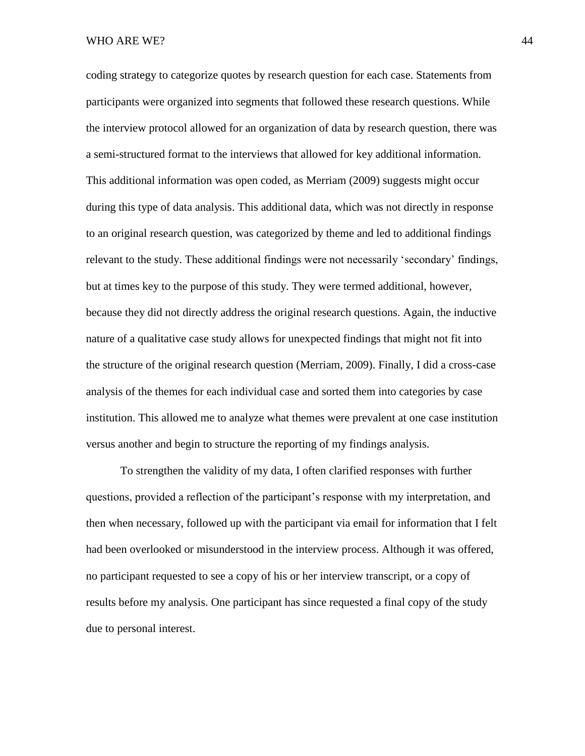#### WHO ARE WE? 44

coding strategy to categorize quotes by research question for each case. Statements from participants were organized into segments that followed these research questions. While the interview protocol allowed for an organization of data by research question, there was a semi-structured format to the interviews that allowed for key additional information. This additional information was open coded, as Merriam (2009) suggests might occur during this type of data analysis. This additional data, which was not directly in response to an original research question, was categorized by theme and led to additional findings relevant to the study. These additional findings were not necessarily 'secondary' findings, but at times key to the purpose of this study. They were termed additional, however, because they did not directly address the original research questions. Again, the inductive nature of a qualitative case study allows for unexpected findings that might not fit into the structure of the original research question (Merriam, 2009). Finally, I did a cross-case analysis of the themes for each individual case and sorted them into categories by case institution. This allowed me to analyze what themes were prevalent at one case institution versus another and begin to structure the reporting of my findings analysis.

To strengthen the validity of my data, I often clarified responses with further questions, provided a reflection of the participant's response with my interpretation, and then when necessary, followed up with the participant via email for information that I felt had been overlooked or misunderstood in the interview process. Although it was offered, no participant requested to see a copy of his or her interview transcript, or a copy of results before my analysis. One participant has since requested a final copy of the study due to personal interest.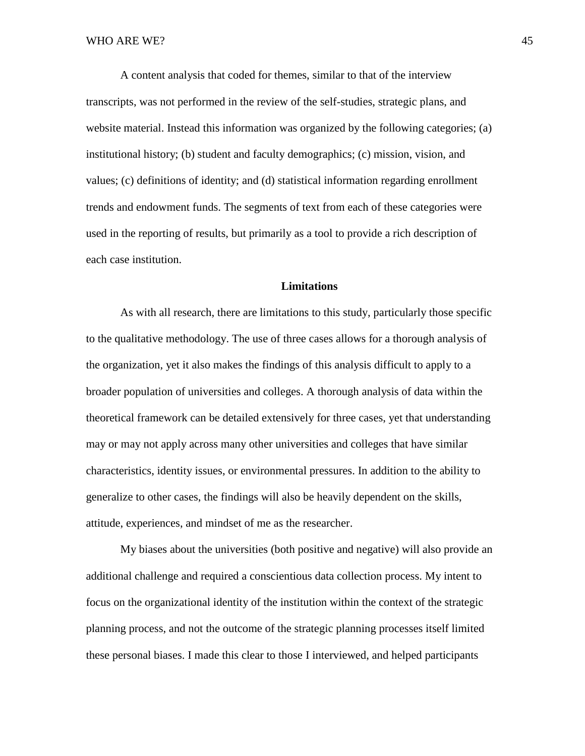A content analysis that coded for themes, similar to that of the interview transcripts, was not performed in the review of the self-studies, strategic plans, and website material. Instead this information was organized by the following categories; (a) institutional history; (b) student and faculty demographics; (c) mission, vision, and values; (c) definitions of identity; and (d) statistical information regarding enrollment trends and endowment funds. The segments of text from each of these categories were used in the reporting of results, but primarily as a tool to provide a rich description of each case institution.

# **Limitations**

As with all research, there are limitations to this study, particularly those specific to the qualitative methodology. The use of three cases allows for a thorough analysis of the organization, yet it also makes the findings of this analysis difficult to apply to a broader population of universities and colleges. A thorough analysis of data within the theoretical framework can be detailed extensively for three cases, yet that understanding may or may not apply across many other universities and colleges that have similar characteristics, identity issues, or environmental pressures. In addition to the ability to generalize to other cases, the findings will also be heavily dependent on the skills, attitude, experiences, and mindset of me as the researcher.

My biases about the universities (both positive and negative) will also provide an additional challenge and required a conscientious data collection process. My intent to focus on the organizational identity of the institution within the context of the strategic planning process, and not the outcome of the strategic planning processes itself limited these personal biases. I made this clear to those I interviewed, and helped participants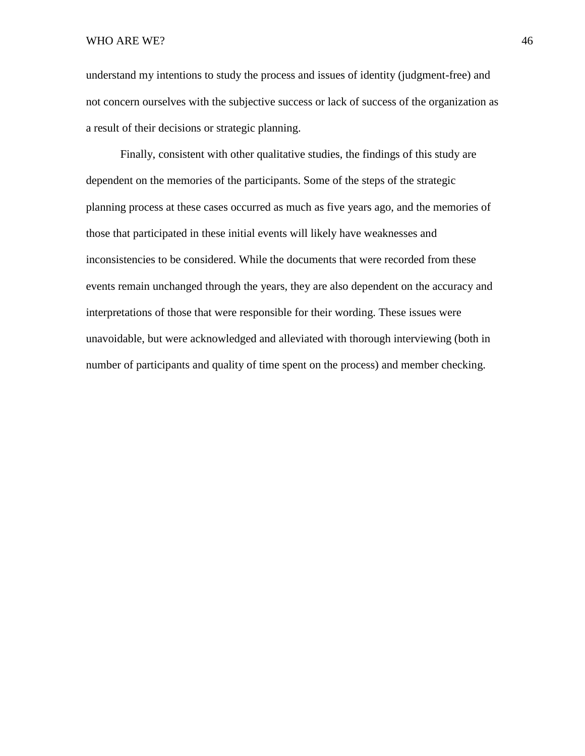understand my intentions to study the process and issues of identity (judgment-free) and not concern ourselves with the subjective success or lack of success of the organization as a result of their decisions or strategic planning.

Finally, consistent with other qualitative studies, the findings of this study are dependent on the memories of the participants. Some of the steps of the strategic planning process at these cases occurred as much as five years ago, and the memories of those that participated in these initial events will likely have weaknesses and inconsistencies to be considered. While the documents that were recorded from these events remain unchanged through the years, they are also dependent on the accuracy and interpretations of those that were responsible for their wording. These issues were unavoidable, but were acknowledged and alleviated with thorough interviewing (both in number of participants and quality of time spent on the process) and member checking.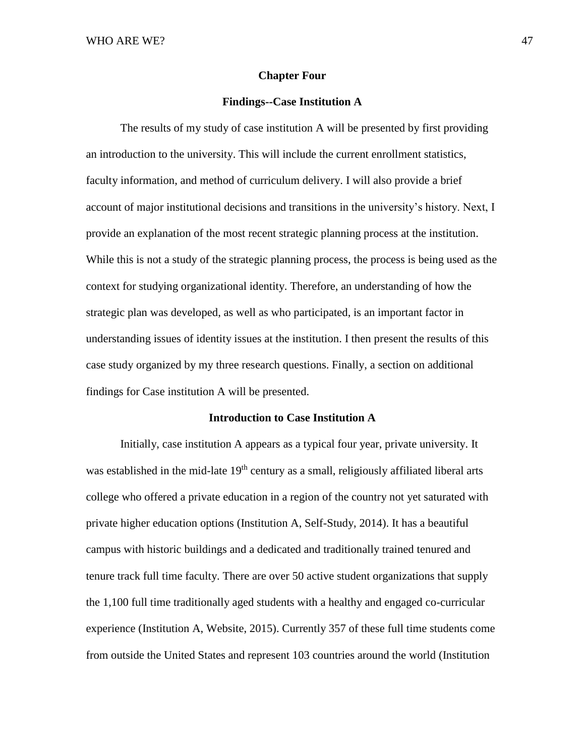## **Chapter Four**

## **Findings--Case Institution A**

The results of my study of case institution A will be presented by first providing an introduction to the university. This will include the current enrollment statistics, faculty information, and method of curriculum delivery. I will also provide a brief account of major institutional decisions and transitions in the university's history. Next, I provide an explanation of the most recent strategic planning process at the institution. While this is not a study of the strategic planning process, the process is being used as the context for studying organizational identity. Therefore, an understanding of how the strategic plan was developed, as well as who participated, is an important factor in understanding issues of identity issues at the institution. I then present the results of this case study organized by my three research questions. Finally, a section on additional findings for Case institution A will be presented.

## **Introduction to Case Institution A**

Initially, case institution A appears as a typical four year, private university. It was established in the mid-late  $19<sup>th</sup>$  century as a small, religiously affiliated liberal arts college who offered a private education in a region of the country not yet saturated with private higher education options (Institution A, Self-Study, 2014). It has a beautiful campus with historic buildings and a dedicated and traditionally trained tenured and tenure track full time faculty. There are over 50 active student organizations that supply the 1,100 full time traditionally aged students with a healthy and engaged co-curricular experience (Institution A, Website, 2015). Currently 357 of these full time students come from outside the United States and represent 103 countries around the world (Institution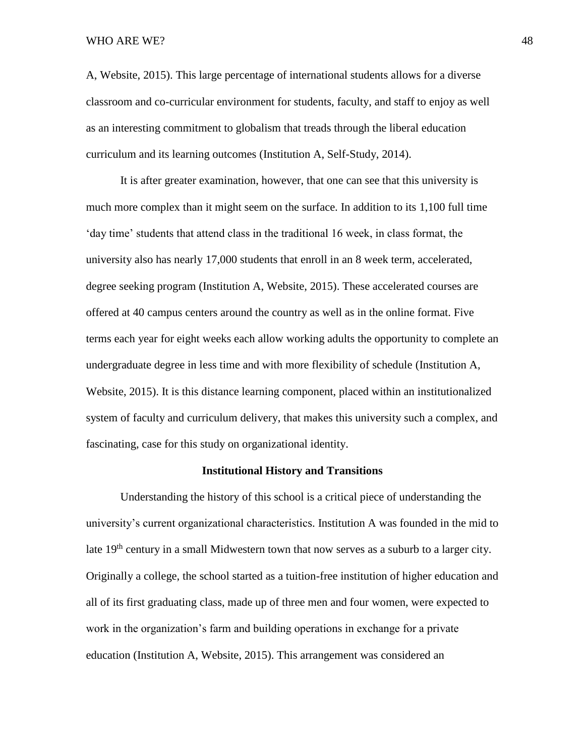## WHO ARE WE? 48

A, Website, 2015). This large percentage of international students allows for a diverse classroom and co-curricular environment for students, faculty, and staff to enjoy as well as an interesting commitment to globalism that treads through the liberal education curriculum and its learning outcomes (Institution A, Self-Study, 2014).

It is after greater examination, however, that one can see that this university is much more complex than it might seem on the surface. In addition to its 1,100 full time 'day time' students that attend class in the traditional 16 week, in class format, the university also has nearly 17,000 students that enroll in an 8 week term, accelerated, degree seeking program (Institution A, Website, 2015). These accelerated courses are offered at 40 campus centers around the country as well as in the online format. Five terms each year for eight weeks each allow working adults the opportunity to complete an undergraduate degree in less time and with more flexibility of schedule (Institution A, Website, 2015). It is this distance learning component, placed within an institutionalized system of faculty and curriculum delivery, that makes this university such a complex, and fascinating, case for this study on organizational identity.

## **Institutional History and Transitions**

Understanding the history of this school is a critical piece of understanding the university's current organizational characteristics. Institution A was founded in the mid to late  $19<sup>th</sup>$  century in a small Midwestern town that now serves as a suburb to a larger city. Originally a college, the school started as a tuition-free institution of higher education and all of its first graduating class, made up of three men and four women, were expected to work in the organization's farm and building operations in exchange for a private education (Institution A, Website, 2015). This arrangement was considered an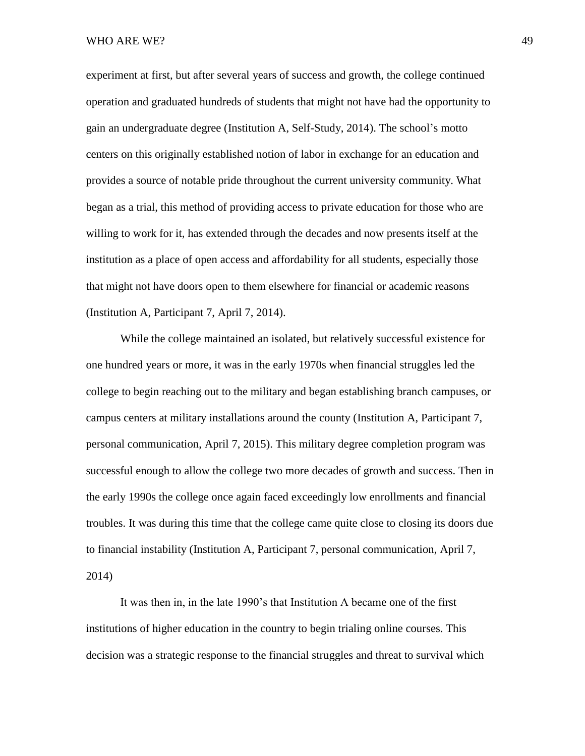experiment at first, but after several years of success and growth, the college continued operation and graduated hundreds of students that might not have had the opportunity to gain an undergraduate degree (Institution A, Self-Study, 2014). The school's motto centers on this originally established notion of labor in exchange for an education and provides a source of notable pride throughout the current university community. What began as a trial, this method of providing access to private education for those who are willing to work for it, has extended through the decades and now presents itself at the institution as a place of open access and affordability for all students, especially those that might not have doors open to them elsewhere for financial or academic reasons (Institution A, Participant 7, April 7, 2014).

While the college maintained an isolated, but relatively successful existence for one hundred years or more, it was in the early 1970s when financial struggles led the college to begin reaching out to the military and began establishing branch campuses, or campus centers at military installations around the county (Institution A, Participant 7, personal communication, April 7, 2015). This military degree completion program was successful enough to allow the college two more decades of growth and success. Then in the early 1990s the college once again faced exceedingly low enrollments and financial troubles. It was during this time that the college came quite close to closing its doors due to financial instability (Institution A, Participant 7, personal communication, April 7, 2014)

It was then in, in the late 1990's that Institution A became one of the first institutions of higher education in the country to begin trialing online courses. This decision was a strategic response to the financial struggles and threat to survival which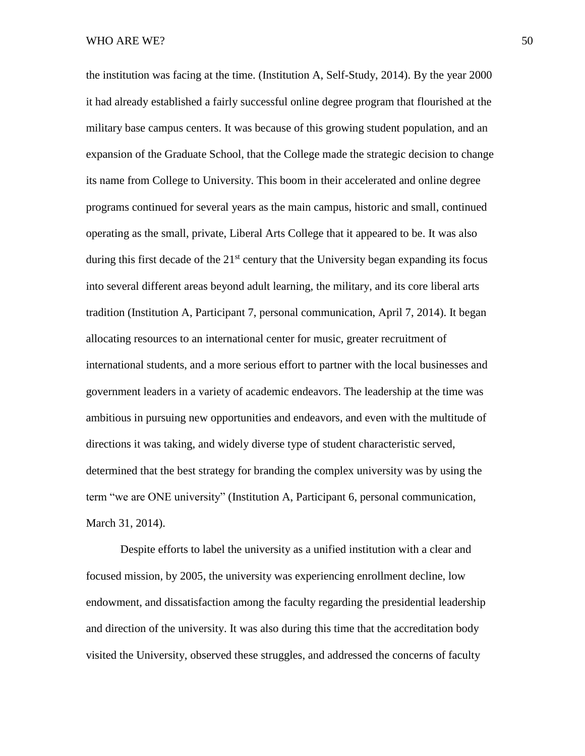the institution was facing at the time. (Institution A, Self-Study, 2014). By the year 2000 it had already established a fairly successful online degree program that flourished at the military base campus centers. It was because of this growing student population, and an expansion of the Graduate School, that the College made the strategic decision to change its name from College to University. This boom in their accelerated and online degree programs continued for several years as the main campus, historic and small, continued operating as the small, private, Liberal Arts College that it appeared to be. It was also during this first decade of the  $21<sup>st</sup>$  century that the University began expanding its focus into several different areas beyond adult learning, the military, and its core liberal arts tradition (Institution A, Participant 7, personal communication, April 7, 2014). It began allocating resources to an international center for music, greater recruitment of international students, and a more serious effort to partner with the local businesses and government leaders in a variety of academic endeavors. The leadership at the time was ambitious in pursuing new opportunities and endeavors, and even with the multitude of directions it was taking, and widely diverse type of student characteristic served, determined that the best strategy for branding the complex university was by using the term "we are ONE university" (Institution A, Participant 6, personal communication, March 31, 2014).

Despite efforts to label the university as a unified institution with a clear and focused mission, by 2005, the university was experiencing enrollment decline, low endowment, and dissatisfaction among the faculty regarding the presidential leadership and direction of the university. It was also during this time that the accreditation body visited the University, observed these struggles, and addressed the concerns of faculty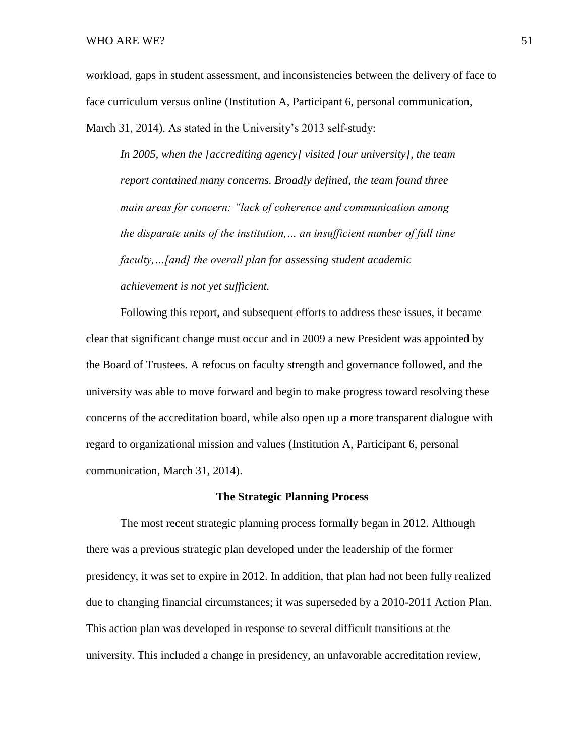workload, gaps in student assessment, and inconsistencies between the delivery of face to face curriculum versus online (Institution A, Participant 6, personal communication, March 31, 2014). As stated in the University's 2013 self-study:

*In 2005, when the [accrediting agency] visited [our university], the team report contained many concerns. Broadly defined, the team found three main areas for concern: "lack of coherence and communication among the disparate units of the institution,… an insufficient number of full time faculty,…[and] the overall plan for assessing student academic achievement is not yet sufficient.* 

Following this report, and subsequent efforts to address these issues, it became clear that significant change must occur and in 2009 a new President was appointed by the Board of Trustees. A refocus on faculty strength and governance followed, and the university was able to move forward and begin to make progress toward resolving these concerns of the accreditation board, while also open up a more transparent dialogue with regard to organizational mission and values (Institution A, Participant 6, personal communication, March 31, 2014).

## **The Strategic Planning Process**

The most recent strategic planning process formally began in 2012. Although there was a previous strategic plan developed under the leadership of the former presidency, it was set to expire in 2012. In addition, that plan had not been fully realized due to changing financial circumstances; it was superseded by a 2010-2011 Action Plan. This action plan was developed in response to several difficult transitions at the university. This included a change in presidency, an unfavorable accreditation review,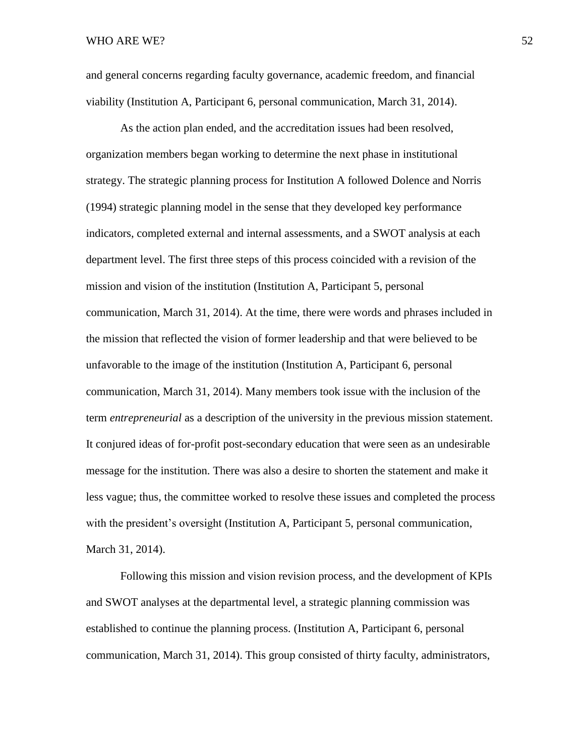and general concerns regarding faculty governance, academic freedom, and financial viability (Institution A, Participant 6, personal communication, March 31, 2014).

As the action plan ended, and the accreditation issues had been resolved, organization members began working to determine the next phase in institutional strategy. The strategic planning process for Institution A followed Dolence and Norris (1994) strategic planning model in the sense that they developed key performance indicators, completed external and internal assessments, and a SWOT analysis at each department level. The first three steps of this process coincided with a revision of the mission and vision of the institution (Institution A, Participant 5, personal communication, March 31, 2014). At the time, there were words and phrases included in the mission that reflected the vision of former leadership and that were believed to be unfavorable to the image of the institution (Institution A, Participant 6, personal communication, March 31, 2014). Many members took issue with the inclusion of the term *entrepreneurial* as a description of the university in the previous mission statement. It conjured ideas of for-profit post-secondary education that were seen as an undesirable message for the institution. There was also a desire to shorten the statement and make it less vague; thus, the committee worked to resolve these issues and completed the process with the president's oversight (Institution A, Participant 5, personal communication, March 31, 2014).

Following this mission and vision revision process, and the development of KPIs and SWOT analyses at the departmental level, a strategic planning commission was established to continue the planning process. (Institution A, Participant 6, personal communication, March 31, 2014). This group consisted of thirty faculty, administrators,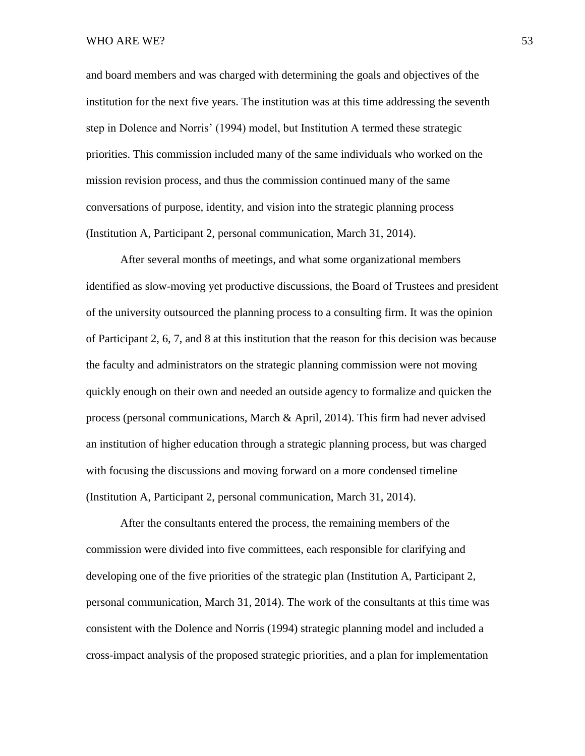and board members and was charged with determining the goals and objectives of the institution for the next five years. The institution was at this time addressing the seventh step in Dolence and Norris' (1994) model, but Institution A termed these strategic priorities. This commission included many of the same individuals who worked on the mission revision process, and thus the commission continued many of the same conversations of purpose, identity, and vision into the strategic planning process (Institution A, Participant 2, personal communication, March 31, 2014).

After several months of meetings, and what some organizational members identified as slow-moving yet productive discussions, the Board of Trustees and president of the university outsourced the planning process to a consulting firm. It was the opinion of Participant 2, 6, 7, and 8 at this institution that the reason for this decision was because the faculty and administrators on the strategic planning commission were not moving quickly enough on their own and needed an outside agency to formalize and quicken the process (personal communications, March & April, 2014). This firm had never advised an institution of higher education through a strategic planning process, but was charged with focusing the discussions and moving forward on a more condensed timeline (Institution A, Participant 2, personal communication, March 31, 2014).

After the consultants entered the process, the remaining members of the commission were divided into five committees, each responsible for clarifying and developing one of the five priorities of the strategic plan (Institution A, Participant 2, personal communication, March 31, 2014). The work of the consultants at this time was consistent with the Dolence and Norris (1994) strategic planning model and included a cross-impact analysis of the proposed strategic priorities, and a plan for implementation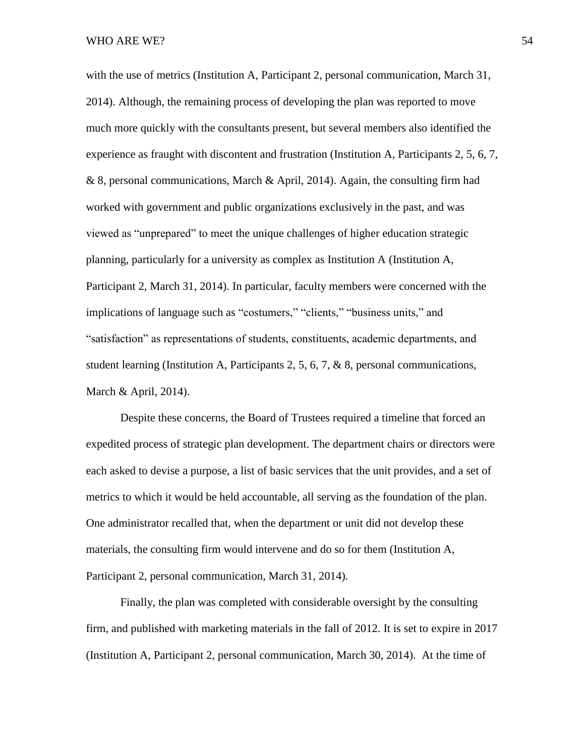with the use of metrics (Institution A, Participant 2, personal communication, March 31, 2014). Although, the remaining process of developing the plan was reported to move much more quickly with the consultants present, but several members also identified the experience as fraught with discontent and frustration (Institution A, Participants 2, 5, 6, 7, & 8, personal communications, March & April, 2014). Again, the consulting firm had worked with government and public organizations exclusively in the past, and was viewed as "unprepared" to meet the unique challenges of higher education strategic planning, particularly for a university as complex as Institution A (Institution A, Participant 2, March 31, 2014). In particular, faculty members were concerned with the implications of language such as "costumers," "clients," "business units," and "satisfaction" as representations of students, constituents, academic departments, and student learning (Institution A, Participants 2, 5, 6, 7, & 8, personal communications, March & April, 2014).

Despite these concerns, the Board of Trustees required a timeline that forced an expedited process of strategic plan development. The department chairs or directors were each asked to devise a purpose, a list of basic services that the unit provides, and a set of metrics to which it would be held accountable, all serving as the foundation of the plan. One administrator recalled that, when the department or unit did not develop these materials, the consulting firm would intervene and do so for them (Institution A, Participant 2, personal communication, March 31, 2014).

Finally, the plan was completed with considerable oversight by the consulting firm, and published with marketing materials in the fall of 2012. It is set to expire in 2017 (Institution A, Participant 2, personal communication, March 30, 2014). At the time of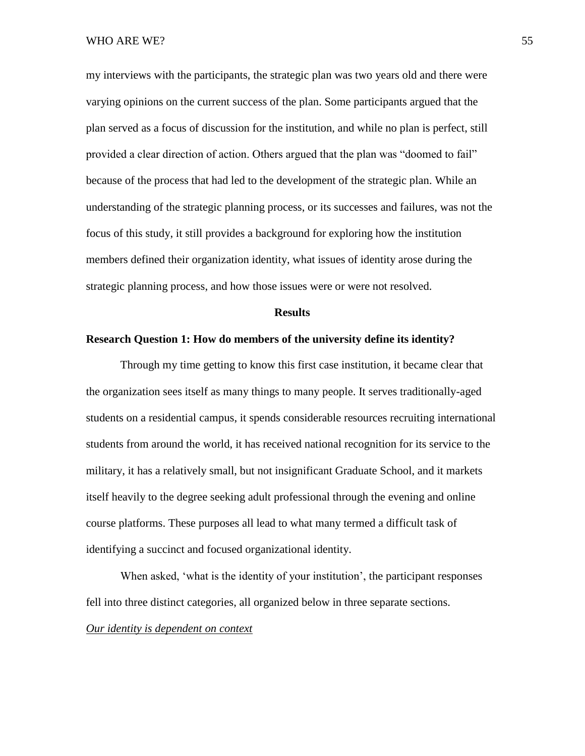my interviews with the participants, the strategic plan was two years old and there were varying opinions on the current success of the plan. Some participants argued that the plan served as a focus of discussion for the institution, and while no plan is perfect, still provided a clear direction of action. Others argued that the plan was "doomed to fail" because of the process that had led to the development of the strategic plan. While an understanding of the strategic planning process, or its successes and failures, was not the focus of this study, it still provides a background for exploring how the institution members defined their organization identity, what issues of identity arose during the strategic planning process, and how those issues were or were not resolved.

## **Results**

## **Research Question 1: How do members of the university define its identity?**

Through my time getting to know this first case institution, it became clear that the organization sees itself as many things to many people. It serves traditionally-aged students on a residential campus, it spends considerable resources recruiting international students from around the world, it has received national recognition for its service to the military, it has a relatively small, but not insignificant Graduate School, and it markets itself heavily to the degree seeking adult professional through the evening and online course platforms. These purposes all lead to what many termed a difficult task of identifying a succinct and focused organizational identity.

When asked, 'what is the identity of your institution', the participant responses fell into three distinct categories, all organized below in three separate sections. *Our identity is dependent on context*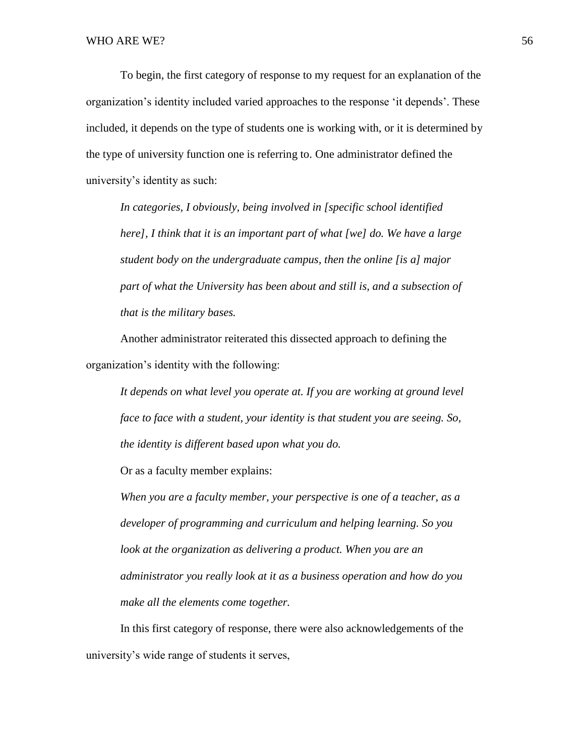To begin, the first category of response to my request for an explanation of the organization's identity included varied approaches to the response 'it depends'. These included, it depends on the type of students one is working with, or it is determined by the type of university function one is referring to. One administrator defined the university's identity as such:

*In categories, I obviously, being involved in [specific school identified here], I think that it is an important part of what [we] do. We have a large student body on the undergraduate campus, then the online [is a] major part of what the University has been about and still is, and a subsection of that is the military bases.*

Another administrator reiterated this dissected approach to defining the organization's identity with the following:

*It depends on what level you operate at. If you are working at ground level face to face with a student, your identity is that student you are seeing. So, the identity is different based upon what you do.* 

Or as a faculty member explains:

*When you are a faculty member, your perspective is one of a teacher, as a developer of programming and curriculum and helping learning. So you look at the organization as delivering a product. When you are an administrator you really look at it as a business operation and how do you make all the elements come together.* 

In this first category of response, there were also acknowledgements of the university's wide range of students it serves,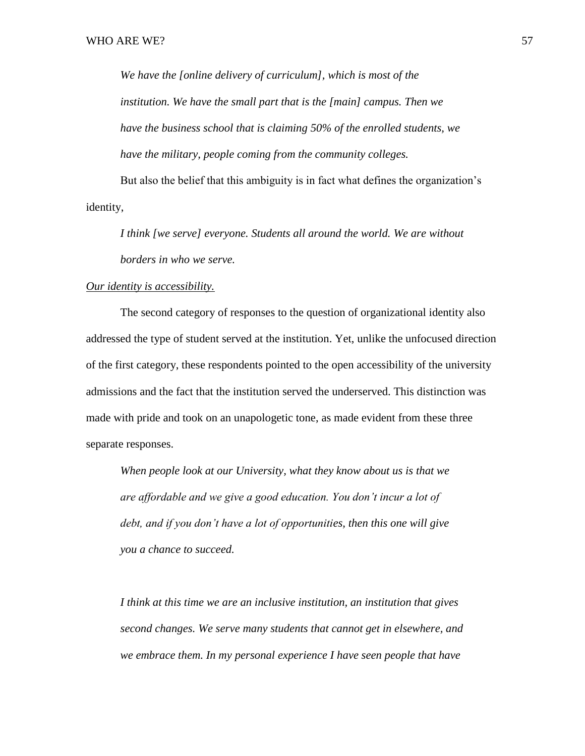*We have the [online delivery of curriculum], which is most of the institution. We have the small part that is the [main] campus. Then we have the business school that is claiming 50% of the enrolled students, we have the military, people coming from the community colleges.*

But also the belief that this ambiguity is in fact what defines the organization's identity,

*I think [we serve] everyone. Students all around the world. We are without borders in who we serve.*

## *Our identity is accessibility.*

The second category of responses to the question of organizational identity also addressed the type of student served at the institution. Yet, unlike the unfocused direction of the first category, these respondents pointed to the open accessibility of the university admissions and the fact that the institution served the underserved. This distinction was made with pride and took on an unapologetic tone, as made evident from these three separate responses.

*When people look at our University, what they know about us is that we are affordable and we give a good education. You don't incur a lot of debt, and if you don't have a lot of opportunities, then this one will give you a chance to succeed.* 

*I think at this time we are an inclusive institution, an institution that gives second changes. We serve many students that cannot get in elsewhere, and we embrace them. In my personal experience I have seen people that have*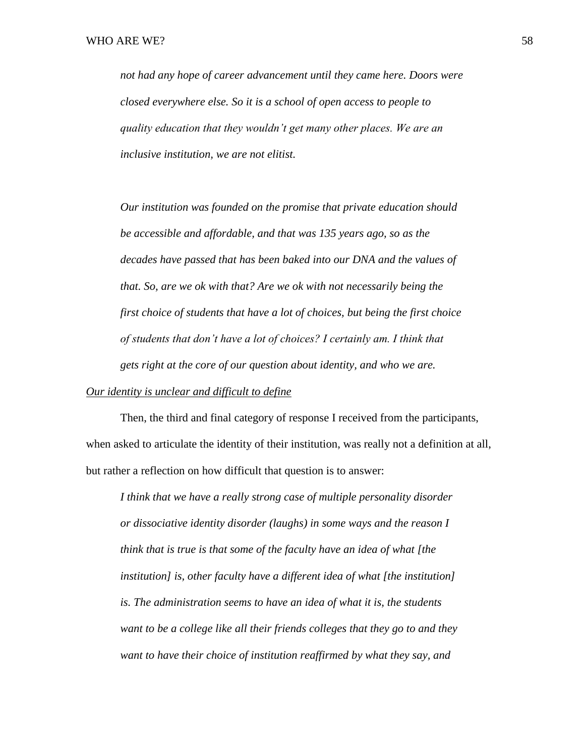*not had any hope of career advancement until they came here. Doors were closed everywhere else. So it is a school of open access to people to quality education that they wouldn't get many other places. We are an inclusive institution, we are not elitist.*

*Our institution was founded on the promise that private education should be accessible and affordable, and that was 135 years ago, so as the decades have passed that has been baked into our DNA and the values of that. So, are we ok with that? Are we ok with not necessarily being the first choice of students that have a lot of choices, but being the first choice of students that don't have a lot of choices? I certainly am. I think that gets right at the core of our question about identity, and who we are.* 

# *Our identity is unclear and difficult to define*

Then, the third and final category of response I received from the participants, when asked to articulate the identity of their institution, was really not a definition at all, but rather a reflection on how difficult that question is to answer:

*I think that we have a really strong case of multiple personality disorder or dissociative identity disorder (laughs) in some ways and the reason I think that is true is that some of the faculty have an idea of what [the institution] is, other faculty have a different idea of what [the institution] is. The administration seems to have an idea of what it is, the students want to be a college like all their friends colleges that they go to and they want to have their choice of institution reaffirmed by what they say, and*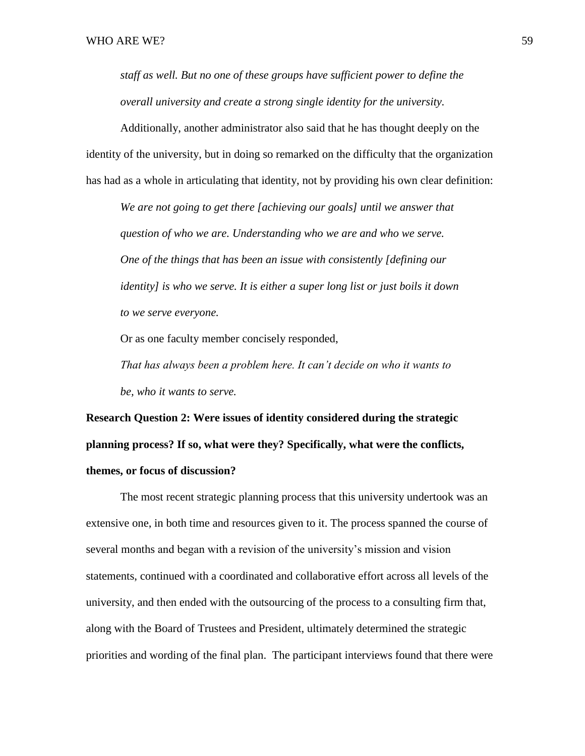*staff as well. But no one of these groups have sufficient power to define the overall university and create a strong single identity for the university.* 

Additionally, another administrator also said that he has thought deeply on the identity of the university, but in doing so remarked on the difficulty that the organization has had as a whole in articulating that identity, not by providing his own clear definition:

*We are not going to get there [achieving our goals] until we answer that question of who we are. Understanding who we are and who we serve. One of the things that has been an issue with consistently [defining our identity] is who we serve. It is either a super long list or just boils it down to we serve everyone.* 

Or as one faculty member concisely responded,

*That has always been a problem here. It can't decide on who it wants to be, who it wants to serve.*

**Research Question 2: Were issues of identity considered during the strategic planning process? If so, what were they? Specifically, what were the conflicts, themes, or focus of discussion?**

The most recent strategic planning process that this university undertook was an extensive one, in both time and resources given to it. The process spanned the course of several months and began with a revision of the university's mission and vision statements, continued with a coordinated and collaborative effort across all levels of the university, and then ended with the outsourcing of the process to a consulting firm that, along with the Board of Trustees and President, ultimately determined the strategic priorities and wording of the final plan. The participant interviews found that there were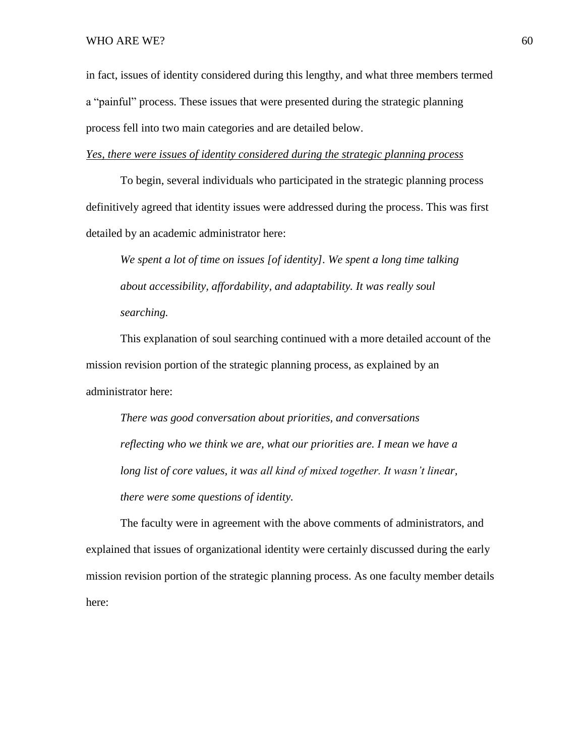in fact, issues of identity considered during this lengthy, and what three members termed a "painful" process. These issues that were presented during the strategic planning process fell into two main categories and are detailed below.

# *Yes, there were issues of identity considered during the strategic planning process*

To begin, several individuals who participated in the strategic planning process definitively agreed that identity issues were addressed during the process. This was first detailed by an academic administrator here:

*We spent a lot of time on issues [of identity]. We spent a long time talking about accessibility, affordability, and adaptability. It was really soul searching.* 

This explanation of soul searching continued with a more detailed account of the mission revision portion of the strategic planning process, as explained by an administrator here:

*There was good conversation about priorities, and conversations reflecting who we think we are, what our priorities are. I mean we have a*  long list of core values, it was all kind of mixed together. It wasn't linear, *there were some questions of identity.*

The faculty were in agreement with the above comments of administrators, and explained that issues of organizational identity were certainly discussed during the early mission revision portion of the strategic planning process. As one faculty member details here: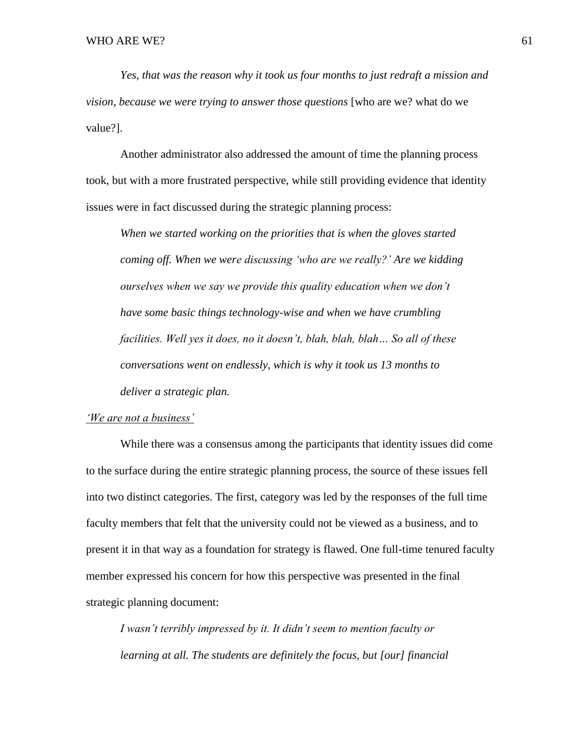*Yes, that was the reason why it took us four months to just redraft a mission and vision, because we were trying to answer those questions* [who are we? what do we value?].

Another administrator also addressed the amount of time the planning process took, but with a more frustrated perspective, while still providing evidence that identity issues were in fact discussed during the strategic planning process:

*When we started working on the priorities that is when the gloves started coming off. When we were discussing 'who are we really?' Are we kidding ourselves when we say we provide this quality education when we don't have some basic things technology-wise and when we have crumbling facilities. Well yes it does, no it doesn't, blah, blah, blah… So all of these conversations went on endlessly, which is why it took us 13 months to deliver a strategic plan.* 

## *'We are not a business'*

While there was a consensus among the participants that identity issues did come to the surface during the entire strategic planning process, the source of these issues fell into two distinct categories. The first, category was led by the responses of the full time faculty members that felt that the university could not be viewed as a business, and to present it in that way as a foundation for strategy is flawed. One full-time tenured faculty member expressed his concern for how this perspective was presented in the final strategic planning document:

*I wasn't terribly impressed by it. It didn't seem to mention faculty or learning at all. The students are definitely the focus, but [our] financial*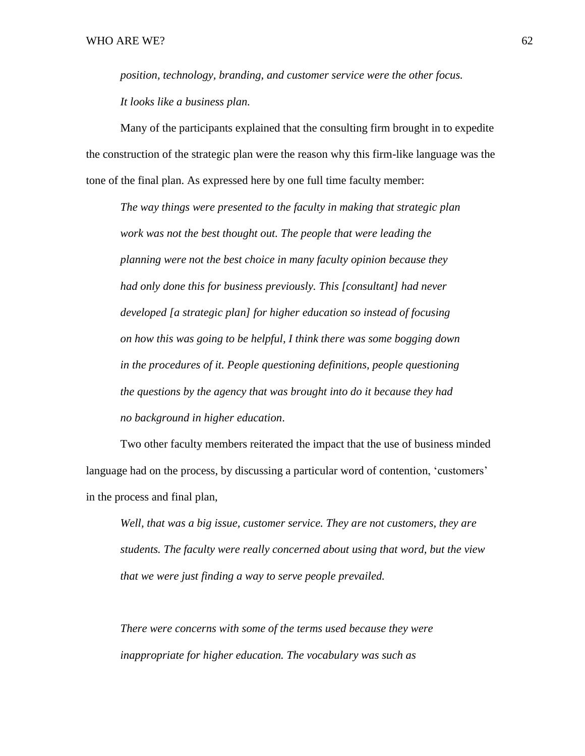*position, technology, branding, and customer service were the other focus. It looks like a business plan.*

Many of the participants explained that the consulting firm brought in to expedite the construction of the strategic plan were the reason why this firm-like language was the tone of the final plan. As expressed here by one full time faculty member:

*The way things were presented to the faculty in making that strategic plan work was not the best thought out. The people that were leading the planning were not the best choice in many faculty opinion because they had only done this for business previously. This [consultant] had never developed [a strategic plan] for higher education so instead of focusing on how this was going to be helpful, I think there was some bogging down in the procedures of it. People questioning definitions, people questioning the questions by the agency that was brought into do it because they had no background in higher education*.

Two other faculty members reiterated the impact that the use of business minded language had on the process, by discussing a particular word of contention, 'customers' in the process and final plan,

*Well, that was a big issue, customer service. They are not customers, they are students. The faculty were really concerned about using that word, but the view that we were just finding a way to serve people prevailed.* 

*There were concerns with some of the terms used because they were inappropriate for higher education. The vocabulary was such as*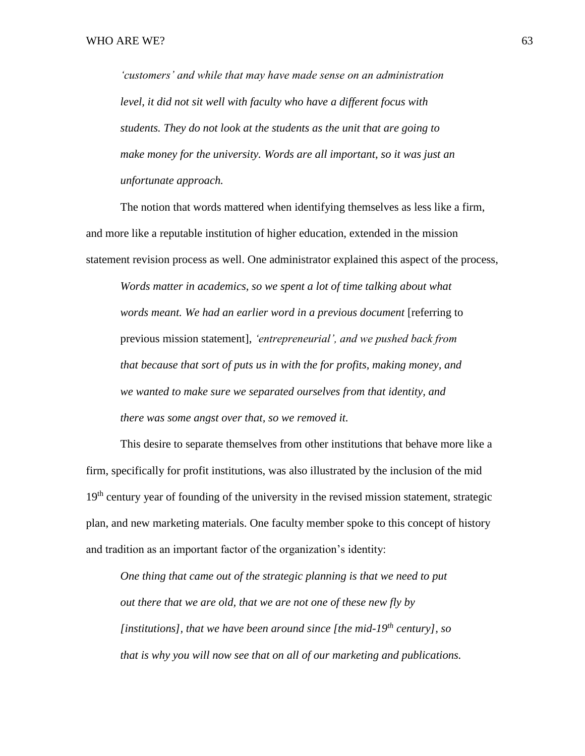*'customers' and while that may have made sense on an administration level, it did not sit well with faculty who have a different focus with students. They do not look at the students as the unit that are going to make money for the university. Words are all important, so it was just an unfortunate approach.* 

The notion that words mattered when identifying themselves as less like a firm, and more like a reputable institution of higher education, extended in the mission statement revision process as well. One administrator explained this aspect of the process,

*Words matter in academics, so we spent a lot of time talking about what words meant. We had an earlier word in a previous document* [referring to previous mission statement], *'entrepreneurial', and we pushed back from that because that sort of puts us in with the for profits, making money, and we wanted to make sure we separated ourselves from that identity, and there was some angst over that, so we removed it.* 

This desire to separate themselves from other institutions that behave more like a firm, specifically for profit institutions, was also illustrated by the inclusion of the mid 19<sup>th</sup> century year of founding of the university in the revised mission statement, strategic plan, and new marketing materials. One faculty member spoke to this concept of history and tradition as an important factor of the organization's identity:

*One thing that came out of the strategic planning is that we need to put out there that we are old, that we are not one of these new fly by [institutions], that we have been around since [the mid-19th century], so that is why you will now see that on all of our marketing and publications.*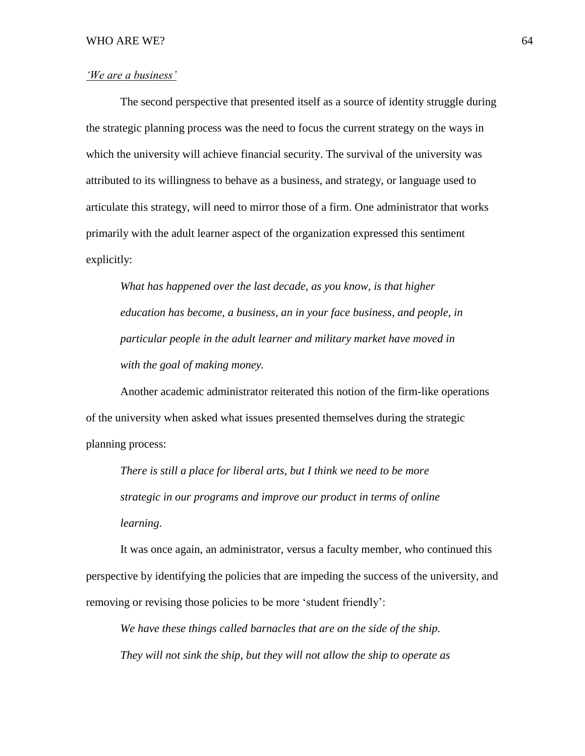# *'We are a business'*

The second perspective that presented itself as a source of identity struggle during the strategic planning process was the need to focus the current strategy on the ways in which the university will achieve financial security. The survival of the university was attributed to its willingness to behave as a business, and strategy, or language used to articulate this strategy, will need to mirror those of a firm. One administrator that works primarily with the adult learner aspect of the organization expressed this sentiment explicitly:

*What has happened over the last decade, as you know, is that higher education has become, a business, an in your face business, and people, in particular people in the adult learner and military market have moved in with the goal of making money.* 

Another academic administrator reiterated this notion of the firm-like operations of the university when asked what issues presented themselves during the strategic planning process:

*There is still a place for liberal arts, but I think we need to be more strategic in our programs and improve our product in terms of online learning*.

It was once again, an administrator, versus a faculty member, who continued this perspective by identifying the policies that are impeding the success of the university, and removing or revising those policies to be more 'student friendly':

*We have these things called barnacles that are on the side of the ship. They will not sink the ship, but they will not allow the ship to operate as*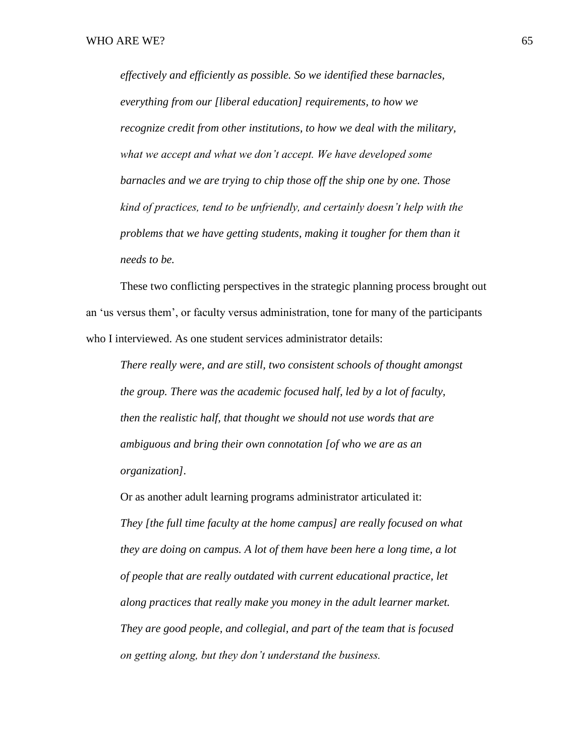*effectively and efficiently as possible. So we identified these barnacles, everything from our [liberal education] requirements, to how we recognize credit from other institutions, to how we deal with the military, what we accept and what we don't accept. We have developed some barnacles and we are trying to chip those off the ship one by one. Those kind of practices, tend to be unfriendly, and certainly doesn't help with the problems that we have getting students, making it tougher for them than it needs to be.* 

These two conflicting perspectives in the strategic planning process brought out an 'us versus them', or faculty versus administration, tone for many of the participants who I interviewed. As one student services administrator details:

*There really were, and are still, two consistent schools of thought amongst the group. There was the academic focused half, led by a lot of faculty, then the realistic half, that thought we should not use words that are ambiguous and bring their own connotation [of who we are as an organization].* 

Or as another adult learning programs administrator articulated it: *They [the full time faculty at the home campus] are really focused on what they are doing on campus. A lot of them have been here a long time, a lot of people that are really outdated with current educational practice, let along practices that really make you money in the adult learner market. They are good people, and collegial, and part of the team that is focused on getting along, but they don't understand the business.*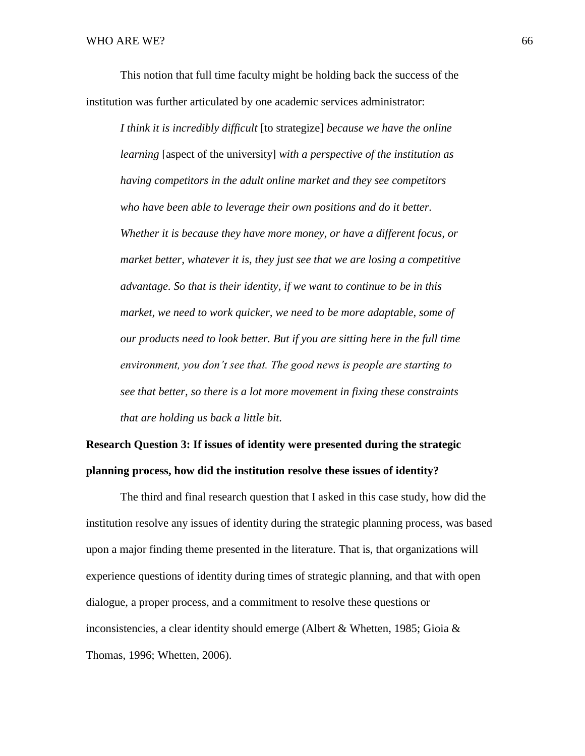This notion that full time faculty might be holding back the success of the institution was further articulated by one academic services administrator:

*I think it is incredibly difficult* [to strategize] *because we have the online learning* [aspect of the university] *with a perspective of the institution as having competitors in the adult online market and they see competitors who have been able to leverage their own positions and do it better. Whether it is because they have more money, or have a different focus, or market better, whatever it is, they just see that we are losing a competitive advantage. So that is their identity, if we want to continue to be in this market, we need to work quicker, we need to be more adaptable, some of our products need to look better. But if you are sitting here in the full time environment, you don't see that. The good news is people are starting to see that better, so there is a lot more movement in fixing these constraints that are holding us back a little bit.* 

# **Research Question 3: If issues of identity were presented during the strategic planning process, how did the institution resolve these issues of identity?**

The third and final research question that I asked in this case study, how did the institution resolve any issues of identity during the strategic planning process, was based upon a major finding theme presented in the literature. That is, that organizations will experience questions of identity during times of strategic planning, and that with open dialogue, a proper process, and a commitment to resolve these questions or inconsistencies, a clear identity should emerge (Albert & Whetten, 1985; Gioia & Thomas, 1996; Whetten, 2006).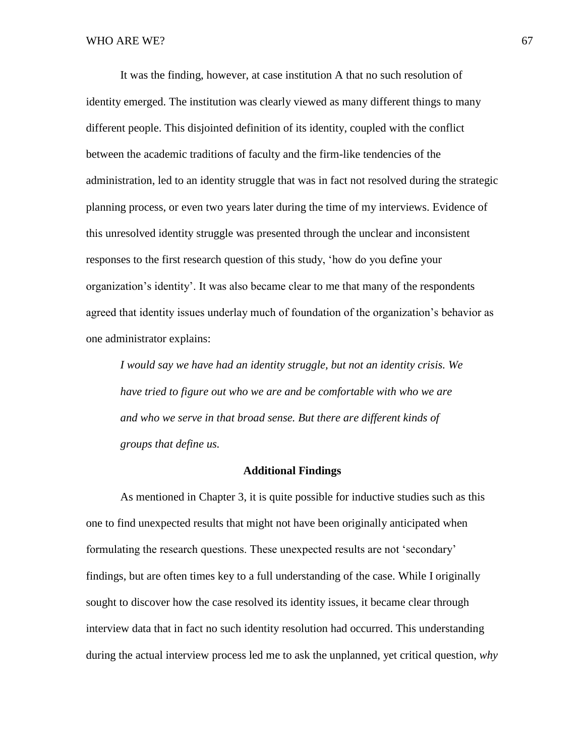It was the finding, however, at case institution A that no such resolution of identity emerged. The institution was clearly viewed as many different things to many different people. This disjointed definition of its identity, coupled with the conflict between the academic traditions of faculty and the firm-like tendencies of the administration, led to an identity struggle that was in fact not resolved during the strategic planning process, or even two years later during the time of my interviews. Evidence of this unresolved identity struggle was presented through the unclear and inconsistent responses to the first research question of this study, 'how do you define your organization's identity'. It was also became clear to me that many of the respondents agreed that identity issues underlay much of foundation of the organization's behavior as one administrator explains:

*I would say we have had an identity struggle, but not an identity crisis. We have tried to figure out who we are and be comfortable with who we are and who we serve in that broad sense. But there are different kinds of groups that define us.* 

## **Additional Findings**

As mentioned in Chapter 3, it is quite possible for inductive studies such as this one to find unexpected results that might not have been originally anticipated when formulating the research questions. These unexpected results are not 'secondary' findings, but are often times key to a full understanding of the case. While I originally sought to discover how the case resolved its identity issues, it became clear through interview data that in fact no such identity resolution had occurred. This understanding during the actual interview process led me to ask the unplanned, yet critical question, *why*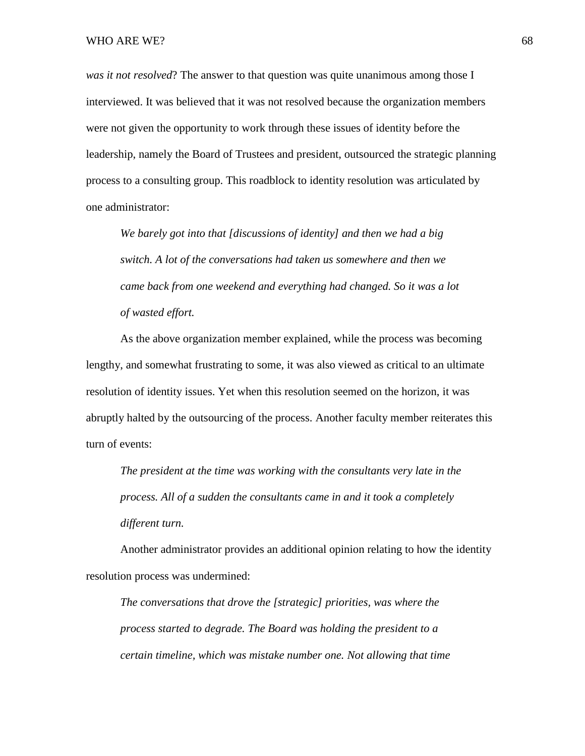#### WHO ARE WE?  $68$

*was it not resolved*? The answer to that question was quite unanimous among those I interviewed. It was believed that it was not resolved because the organization members were not given the opportunity to work through these issues of identity before the leadership, namely the Board of Trustees and president, outsourced the strategic planning process to a consulting group. This roadblock to identity resolution was articulated by one administrator:

*We barely got into that [discussions of identity] and then we had a big switch. A lot of the conversations had taken us somewhere and then we came back from one weekend and everything had changed. So it was a lot of wasted effort.*

As the above organization member explained, while the process was becoming lengthy, and somewhat frustrating to some, it was also viewed as critical to an ultimate resolution of identity issues. Yet when this resolution seemed on the horizon, it was abruptly halted by the outsourcing of the process. Another faculty member reiterates this turn of events:

*The president at the time was working with the consultants very late in the process. All of a sudden the consultants came in and it took a completely different turn.*

Another administrator provides an additional opinion relating to how the identity resolution process was undermined:

*The conversations that drove the [strategic] priorities, was where the process started to degrade. The Board was holding the president to a certain timeline, which was mistake number one. Not allowing that time*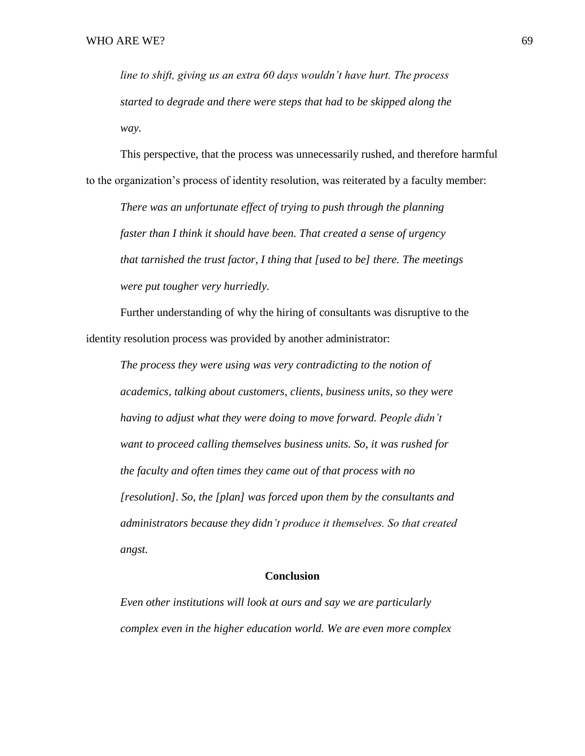*line to shift, giving us an extra 60 days wouldn't have hurt. The process started to degrade and there were steps that had to be skipped along the way.*

This perspective, that the process was unnecessarily rushed, and therefore harmful to the organization's process of identity resolution, was reiterated by a faculty member:

*There was an unfortunate effect of trying to push through the planning faster than I think it should have been. That created a sense of urgency that tarnished the trust factor, I thing that [used to be] there. The meetings were put tougher very hurriedly.* 

Further understanding of why the hiring of consultants was disruptive to the identity resolution process was provided by another administrator:

*The process they were using was very contradicting to the notion of academics, talking about customers, clients, business units, so they were having to adjust what they were doing to move forward. People didn't want to proceed calling themselves business units. So, it was rushed for the faculty and often times they came out of that process with no [resolution]. So, the [plan] was forced upon them by the consultants and administrators because they didn't produce it themselves. So that created angst.* 

## **Conclusion**

*Even other institutions will look at ours and say we are particularly complex even in the higher education world. We are even more complex*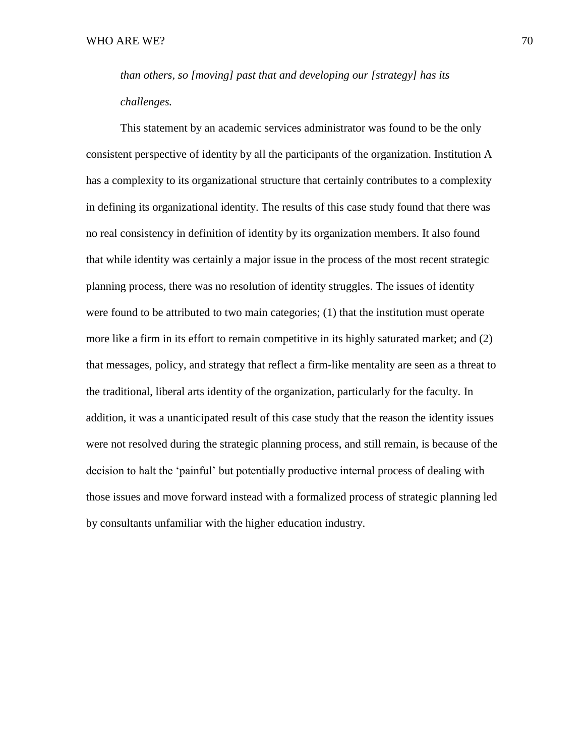*than others, so [moving] past that and developing our [strategy] has its challenges.*

This statement by an academic services administrator was found to be the only consistent perspective of identity by all the participants of the organization. Institution A has a complexity to its organizational structure that certainly contributes to a complexity in defining its organizational identity. The results of this case study found that there was no real consistency in definition of identity by its organization members. It also found that while identity was certainly a major issue in the process of the most recent strategic planning process, there was no resolution of identity struggles. The issues of identity were found to be attributed to two main categories; (1) that the institution must operate more like a firm in its effort to remain competitive in its highly saturated market; and (2) that messages, policy, and strategy that reflect a firm-like mentality are seen as a threat to the traditional, liberal arts identity of the organization, particularly for the faculty. In addition, it was a unanticipated result of this case study that the reason the identity issues were not resolved during the strategic planning process, and still remain, is because of the decision to halt the 'painful' but potentially productive internal process of dealing with those issues and move forward instead with a formalized process of strategic planning led by consultants unfamiliar with the higher education industry.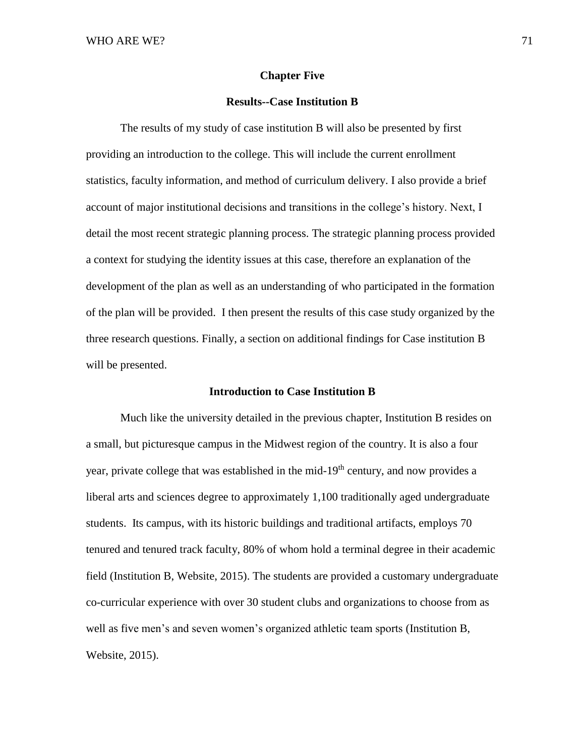#### **Chapter Five**

# **Results--Case Institution B**

The results of my study of case institution B will also be presented by first providing an introduction to the college. This will include the current enrollment statistics, faculty information, and method of curriculum delivery. I also provide a brief account of major institutional decisions and transitions in the college's history. Next, I detail the most recent strategic planning process. The strategic planning process provided a context for studying the identity issues at this case, therefore an explanation of the development of the plan as well as an understanding of who participated in the formation of the plan will be provided. I then present the results of this case study organized by the three research questions. Finally, a section on additional findings for Case institution B will be presented.

## **Introduction to Case Institution B**

Much like the university detailed in the previous chapter, Institution B resides on a small, but picturesque campus in the Midwest region of the country. It is also a four year, private college that was established in the mid-19<sup>th</sup> century, and now provides a liberal arts and sciences degree to approximately 1,100 traditionally aged undergraduate students. Its campus, with its historic buildings and traditional artifacts, employs 70 tenured and tenured track faculty, 80% of whom hold a terminal degree in their academic field (Institution B, Website, 2015). The students are provided a customary undergraduate co-curricular experience with over 30 student clubs and organizations to choose from as well as five men's and seven women's organized athletic team sports (Institution B, Website, 2015).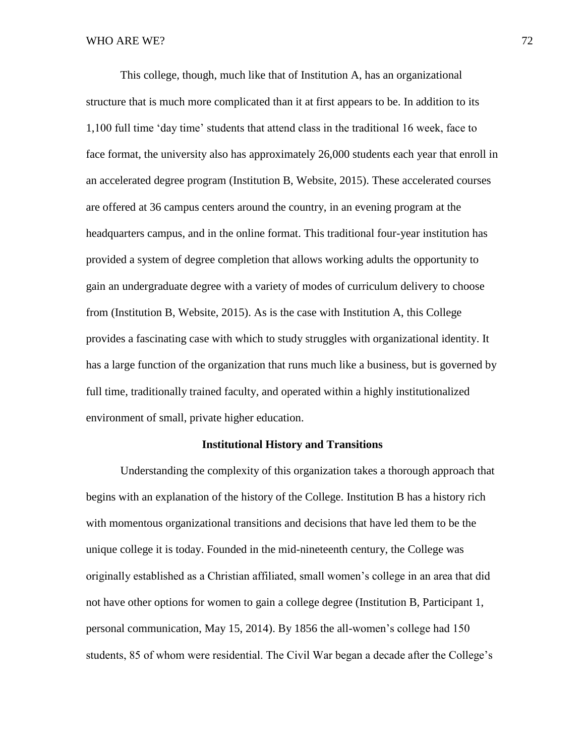This college, though, much like that of Institution A, has an organizational structure that is much more complicated than it at first appears to be. In addition to its 1,100 full time 'day time' students that attend class in the traditional 16 week, face to face format, the university also has approximately 26,000 students each year that enroll in an accelerated degree program (Institution B, Website, 2015). These accelerated courses are offered at 36 campus centers around the country, in an evening program at the headquarters campus, and in the online format. This traditional four-year institution has provided a system of degree completion that allows working adults the opportunity to gain an undergraduate degree with a variety of modes of curriculum delivery to choose from (Institution B, Website, 2015). As is the case with Institution A, this College provides a fascinating case with which to study struggles with organizational identity. It has a large function of the organization that runs much like a business, but is governed by full time, traditionally trained faculty, and operated within a highly institutionalized environment of small, private higher education.

## **Institutional History and Transitions**

Understanding the complexity of this organization takes a thorough approach that begins with an explanation of the history of the College. Institution B has a history rich with momentous organizational transitions and decisions that have led them to be the unique college it is today. Founded in the mid-nineteenth century, the College was originally established as a Christian affiliated, small women's college in an area that did not have other options for women to gain a college degree (Institution B, Participant 1, personal communication, May 15, 2014). By 1856 the all-women's college had 150 students, 85 of whom were residential. The Civil War began a decade after the College's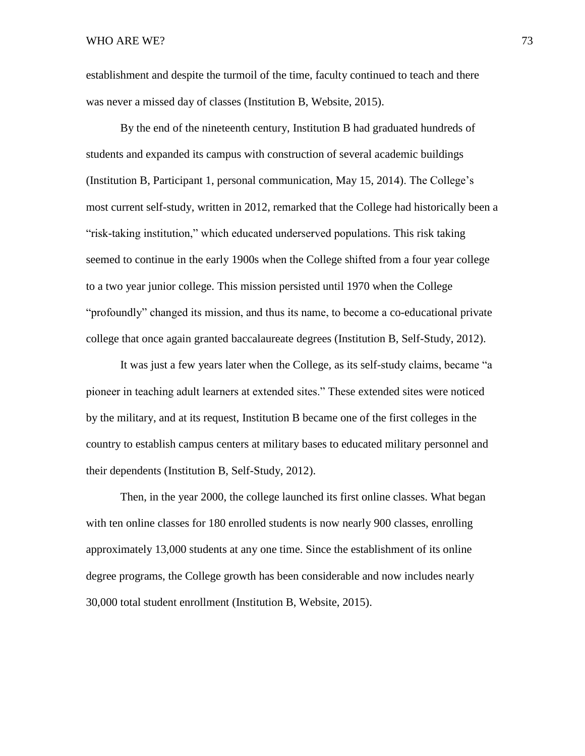establishment and despite the turmoil of the time, faculty continued to teach and there was never a missed day of classes (Institution B, Website, 2015).

By the end of the nineteenth century, Institution B had graduated hundreds of students and expanded its campus with construction of several academic buildings (Institution B, Participant 1, personal communication, May 15, 2014). The College's most current self-study, written in 2012, remarked that the College had historically been a "risk-taking institution," which educated underserved populations. This risk taking seemed to continue in the early 1900s when the College shifted from a four year college to a two year junior college. This mission persisted until 1970 when the College "profoundly" changed its mission, and thus its name, to become a co-educational private college that once again granted baccalaureate degrees (Institution B, Self-Study, 2012).

It was just a few years later when the College, as its self-study claims, became "a pioneer in teaching adult learners at extended sites." These extended sites were noticed by the military, and at its request, Institution B became one of the first colleges in the country to establish campus centers at military bases to educated military personnel and their dependents (Institution B, Self-Study, 2012).

Then, in the year 2000, the college launched its first online classes. What began with ten online classes for 180 enrolled students is now nearly 900 classes, enrolling approximately 13,000 students at any one time. Since the establishment of its online degree programs, the College growth has been considerable and now includes nearly 30,000 total student enrollment (Institution B, Website, 2015).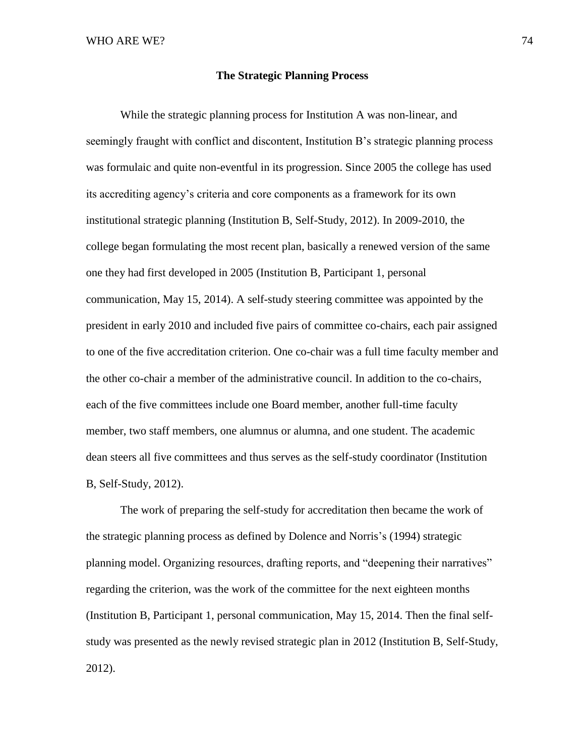## **The Strategic Planning Process**

While the strategic planning process for Institution A was non-linear, and seemingly fraught with conflict and discontent, Institution B's strategic planning process was formulaic and quite non-eventful in its progression. Since 2005 the college has used its accrediting agency's criteria and core components as a framework for its own institutional strategic planning (Institution B, Self-Study, 2012). In 2009-2010, the college began formulating the most recent plan, basically a renewed version of the same one they had first developed in 2005 (Institution B, Participant 1, personal communication, May 15, 2014). A self-study steering committee was appointed by the president in early 2010 and included five pairs of committee co-chairs, each pair assigned to one of the five accreditation criterion. One co-chair was a full time faculty member and the other co-chair a member of the administrative council. In addition to the co-chairs, each of the five committees include one Board member, another full-time faculty member, two staff members, one alumnus or alumna, and one student. The academic dean steers all five committees and thus serves as the self-study coordinator (Institution B, Self-Study, 2012).

The work of preparing the self-study for accreditation then became the work of the strategic planning process as defined by Dolence and Norris's (1994) strategic planning model. Organizing resources, drafting reports, and "deepening their narratives" regarding the criterion, was the work of the committee for the next eighteen months (Institution B, Participant 1, personal communication, May 15, 2014. Then the final selfstudy was presented as the newly revised strategic plan in 2012 (Institution B, Self-Study, 2012).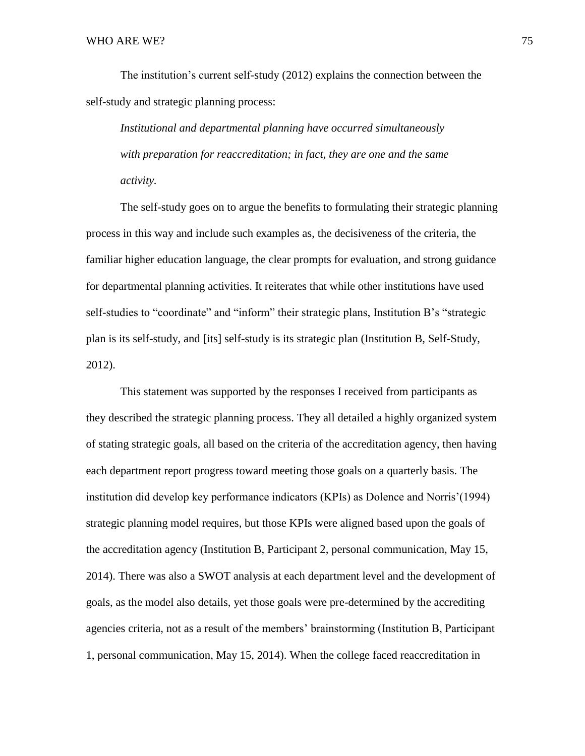The institution's current self-study (2012) explains the connection between the self-study and strategic planning process:

*Institutional and departmental planning have occurred simultaneously with preparation for reaccreditation; in fact, they are one and the same activity.* 

The self-study goes on to argue the benefits to formulating their strategic planning process in this way and include such examples as, the decisiveness of the criteria, the familiar higher education language, the clear prompts for evaluation, and strong guidance for departmental planning activities. It reiterates that while other institutions have used self-studies to "coordinate" and "inform" their strategic plans, Institution B's "strategic plan is its self-study, and [its] self-study is its strategic plan (Institution B, Self-Study, 2012).

This statement was supported by the responses I received from participants as they described the strategic planning process. They all detailed a highly organized system of stating strategic goals, all based on the criteria of the accreditation agency, then having each department report progress toward meeting those goals on a quarterly basis. The institution did develop key performance indicators (KPIs) as Dolence and Norris'(1994) strategic planning model requires, but those KPIs were aligned based upon the goals of the accreditation agency (Institution B, Participant 2, personal communication, May 15, 2014). There was also a SWOT analysis at each department level and the development of goals, as the model also details, yet those goals were pre-determined by the accrediting agencies criteria, not as a result of the members' brainstorming (Institution B, Participant 1, personal communication, May 15, 2014). When the college faced reaccreditation in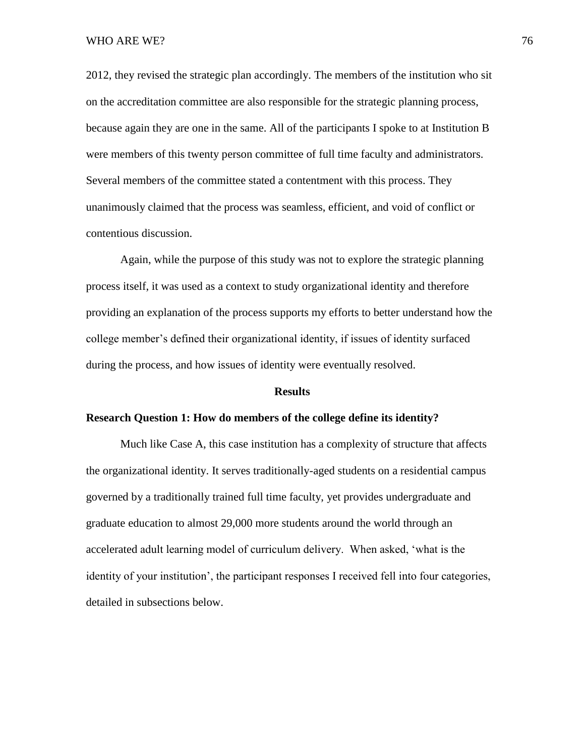2012, they revised the strategic plan accordingly. The members of the institution who sit on the accreditation committee are also responsible for the strategic planning process, because again they are one in the same. All of the participants I spoke to at Institution B were members of this twenty person committee of full time faculty and administrators. Several members of the committee stated a contentment with this process. They unanimously claimed that the process was seamless, efficient, and void of conflict or contentious discussion.

Again, while the purpose of this study was not to explore the strategic planning process itself, it was used as a context to study organizational identity and therefore providing an explanation of the process supports my efforts to better understand how the college member's defined their organizational identity, if issues of identity surfaced during the process, and how issues of identity were eventually resolved.

#### **Results**

#### **Research Question 1: How do members of the college define its identity?**

Much like Case A, this case institution has a complexity of structure that affects the organizational identity. It serves traditionally-aged students on a residential campus governed by a traditionally trained full time faculty, yet provides undergraduate and graduate education to almost 29,000 more students around the world through an accelerated adult learning model of curriculum delivery. When asked, 'what is the identity of your institution', the participant responses I received fell into four categories, detailed in subsections below.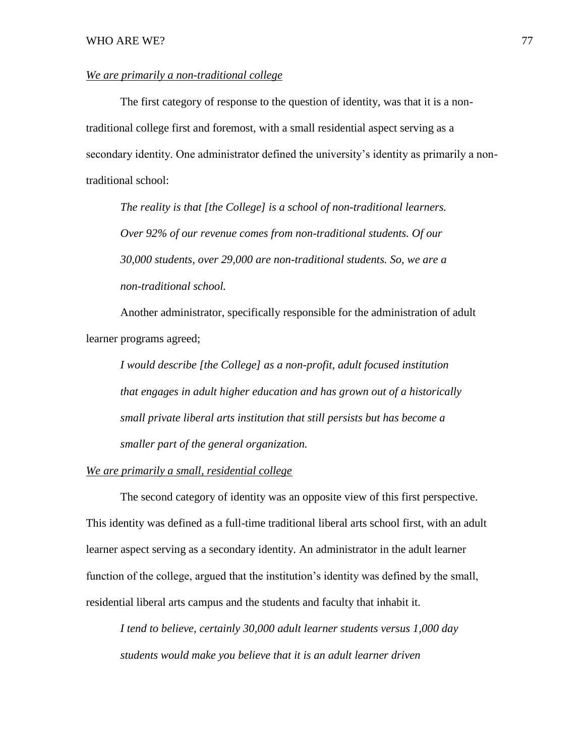# *We are primarily a non-traditional college*

The first category of response to the question of identity, was that it is a nontraditional college first and foremost, with a small residential aspect serving as a secondary identity. One administrator defined the university's identity as primarily a nontraditional school:

*The reality is that [the College] is a school of non-traditional learners. Over 92% of our revenue comes from non-traditional students. Of our 30,000 students, over 29,000 are non-traditional students. So, we are a non-traditional school.* 

Another administrator, specifically responsible for the administration of adult learner programs agreed;

*I would describe [the College] as a non-profit, adult focused institution that engages in adult higher education and has grown out of a historically small private liberal arts institution that still persists but has become a smaller part of the general organization.*

# *We are primarily a small, residential college*

The second category of identity was an opposite view of this first perspective. This identity was defined as a full-time traditional liberal arts school first, with an adult learner aspect serving as a secondary identity. An administrator in the adult learner function of the college, argued that the institution's identity was defined by the small, residential liberal arts campus and the students and faculty that inhabit it.

*I tend to believe, certainly 30,000 adult learner students versus 1,000 day students would make you believe that it is an adult learner driven*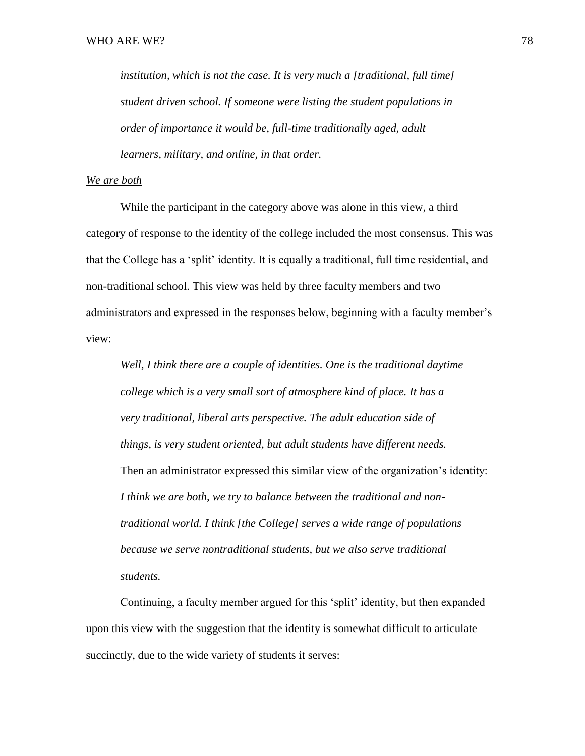*institution, which is not the case. It is very much a [traditional, full time] student driven school. If someone were listing the student populations in order of importance it would be, full-time traditionally aged, adult learners, military, and online, in that order.* 

## *We are both*

While the participant in the category above was alone in this view, a third category of response to the identity of the college included the most consensus. This was that the College has a 'split' identity. It is equally a traditional, full time residential, and non-traditional school. This view was held by three faculty members and two administrators and expressed in the responses below, beginning with a faculty member's view:

*Well, I think there are a couple of identities. One is the traditional daytime college which is a very small sort of atmosphere kind of place. It has a very traditional, liberal arts perspective. The adult education side of things, is very student oriented, but adult students have different needs.*  Then an administrator expressed this similar view of the organization's identity: *I think we are both, we try to balance between the traditional and nontraditional world. I think [the College] serves a wide range of populations because we serve nontraditional students, but we also serve traditional students.* 

Continuing, a faculty member argued for this 'split' identity, but then expanded upon this view with the suggestion that the identity is somewhat difficult to articulate succinctly, due to the wide variety of students it serves: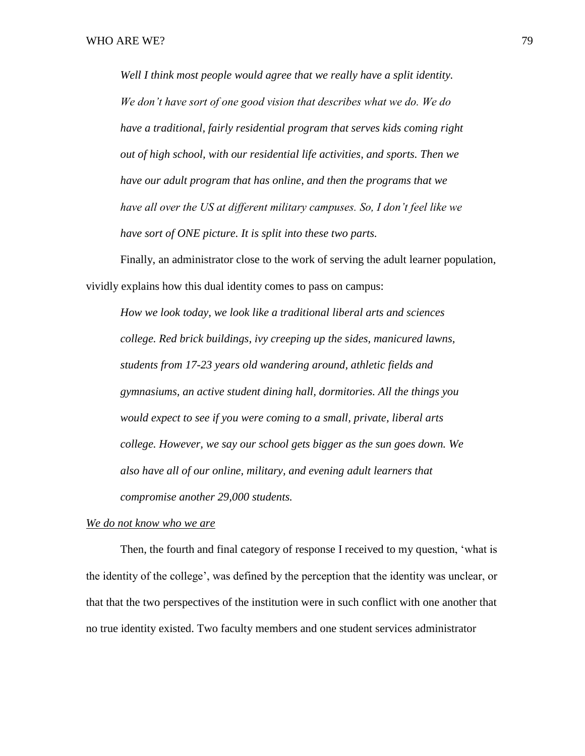*Well I think most people would agree that we really have a split identity. We don't have sort of one good vision that describes what we do. We do have a traditional, fairly residential program that serves kids coming right out of high school, with our residential life activities, and sports. Then we have our adult program that has online, and then the programs that we have all over the US at different military campuses. So, I don't feel like we have sort of ONE picture. It is split into these two parts.* 

Finally, an administrator close to the work of serving the adult learner population, vividly explains how this dual identity comes to pass on campus:

*How we look today, we look like a traditional liberal arts and sciences college. Red brick buildings, ivy creeping up the sides, manicured lawns, students from 17-23 years old wandering around, athletic fields and gymnasiums, an active student dining hall, dormitories. All the things you would expect to see if you were coming to a small, private, liberal arts college. However, we say our school gets bigger as the sun goes down. We also have all of our online, military, and evening adult learners that compromise another 29,000 students.* 

## *We do not know who we are*

Then, the fourth and final category of response I received to my question, 'what is the identity of the college', was defined by the perception that the identity was unclear, or that that the two perspectives of the institution were in such conflict with one another that no true identity existed. Two faculty members and one student services administrator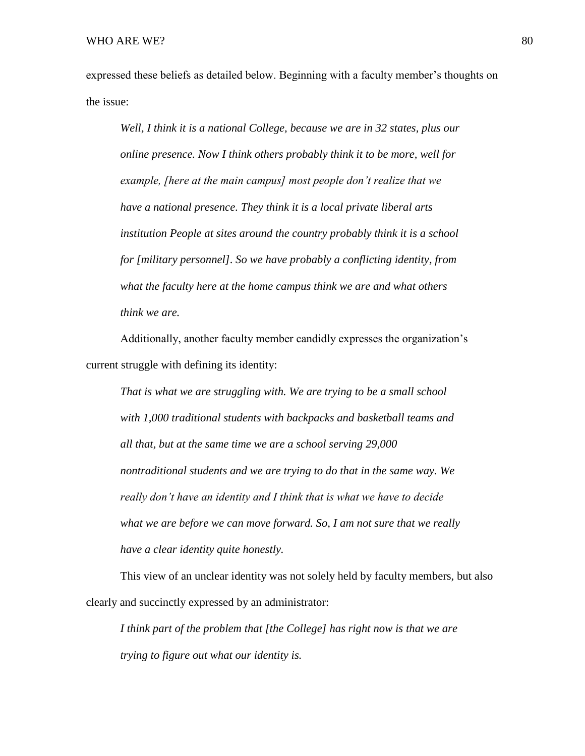expressed these beliefs as detailed below. Beginning with a faculty member's thoughts on the issue:

*Well, I think it is a national College, because we are in 32 states, plus our online presence. Now I think others probably think it to be more, well for example, [here at the main campus] most people don't realize that we have a national presence. They think it is a local private liberal arts institution People at sites around the country probably think it is a school for [military personnel]. So we have probably a conflicting identity, from what the faculty here at the home campus think we are and what others think we are.* 

Additionally, another faculty member candidly expresses the organization's current struggle with defining its identity:

*That is what we are struggling with. We are trying to be a small school with 1,000 traditional students with backpacks and basketball teams and all that, but at the same time we are a school serving 29,000 nontraditional students and we are trying to do that in the same way. We really don't have an identity and I think that is what we have to decide what we are before we can move forward. So, I am not sure that we really have a clear identity quite honestly.* 

This view of an unclear identity was not solely held by faculty members, but also clearly and succinctly expressed by an administrator:

*I think part of the problem that [the College] has right now is that we are trying to figure out what our identity is.*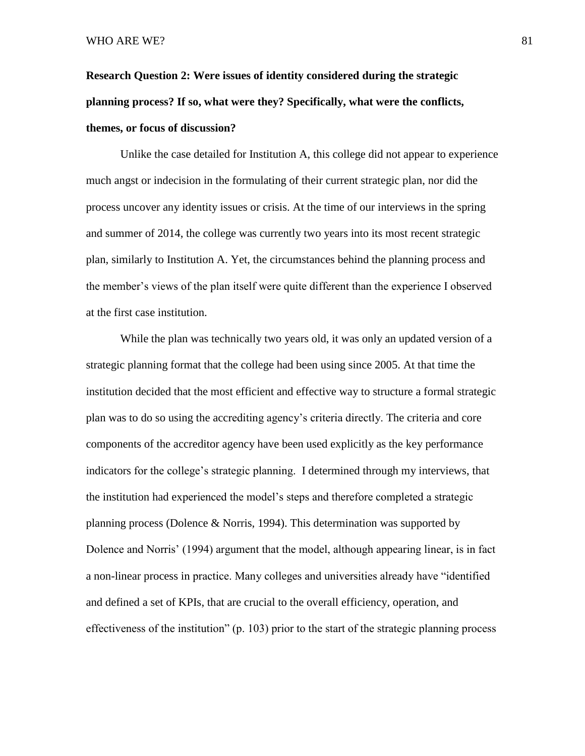**Research Question 2: Were issues of identity considered during the strategic planning process? If so, what were they? Specifically, what were the conflicts, themes, or focus of discussion?**

Unlike the case detailed for Institution A, this college did not appear to experience much angst or indecision in the formulating of their current strategic plan, nor did the process uncover any identity issues or crisis. At the time of our interviews in the spring and summer of 2014, the college was currently two years into its most recent strategic plan, similarly to Institution A. Yet, the circumstances behind the planning process and the member's views of the plan itself were quite different than the experience I observed at the first case institution.

While the plan was technically two years old, it was only an updated version of a strategic planning format that the college had been using since 2005. At that time the institution decided that the most efficient and effective way to structure a formal strategic plan was to do so using the accrediting agency's criteria directly. The criteria and core components of the accreditor agency have been used explicitly as the key performance indicators for the college's strategic planning. I determined through my interviews, that the institution had experienced the model's steps and therefore completed a strategic planning process (Dolence & Norris, 1994). This determination was supported by Dolence and Norris' (1994) argument that the model, although appearing linear, is in fact a non-linear process in practice. Many colleges and universities already have "identified and defined a set of KPIs, that are crucial to the overall efficiency, operation, and effectiveness of the institution" (p. 103) prior to the start of the strategic planning process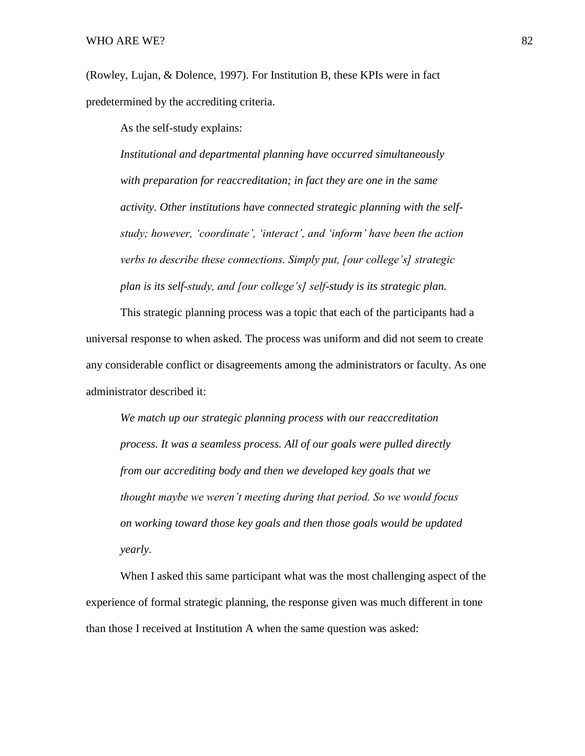(Rowley, Lujan, & Dolence, 1997). For Institution B, these KPIs were in fact predetermined by the accrediting criteria.

As the self-study explains:

*Institutional and departmental planning have occurred simultaneously with preparation for reaccreditation; in fact they are one in the same activity. Other institutions have connected strategic planning with the selfstudy; however, 'coordinate', 'interact', and 'inform' have been the action verbs to describe these connections. Simply put, [our college's] strategic plan is its self-study, and [our college's] self-study is its strategic plan.* 

This strategic planning process was a topic that each of the participants had a universal response to when asked. The process was uniform and did not seem to create any considerable conflict or disagreements among the administrators or faculty. As one administrator described it:

*We match up our strategic planning process with our reaccreditation process. It was a seamless process. All of our goals were pulled directly from our accrediting body and then we developed key goals that we thought maybe we weren't meeting during that period. So we would focus on working toward those key goals and then those goals would be updated yearly.* 

When I asked this same participant what was the most challenging aspect of the experience of formal strategic planning, the response given was much different in tone than those I received at Institution A when the same question was asked: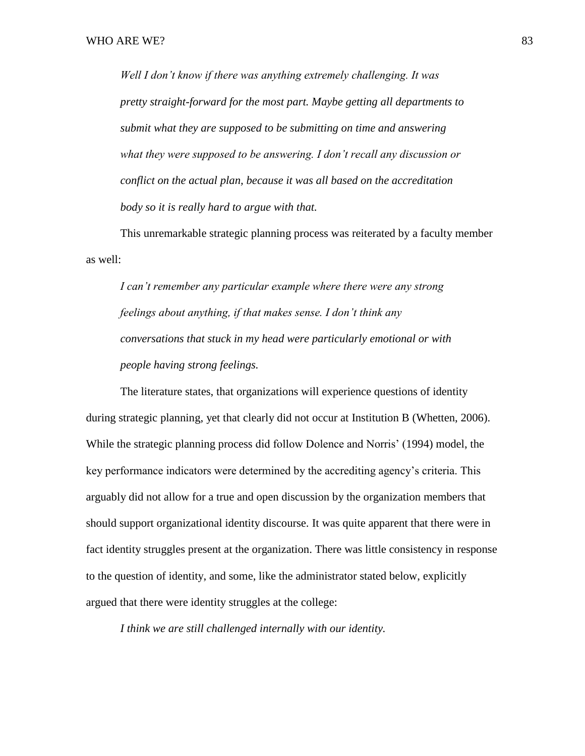*Well I don't know if there was anything extremely challenging. It was pretty straight-forward for the most part. Maybe getting all departments to submit what they are supposed to be submitting on time and answering what they were supposed to be answering. I don't recall any discussion or conflict on the actual plan, because it was all based on the accreditation body so it is really hard to argue with that.* 

This unremarkable strategic planning process was reiterated by a faculty member as well:

*I can't remember any particular example where there were any strong feelings about anything, if that makes sense. I don't think any conversations that stuck in my head were particularly emotional or with people having strong feelings.*

The literature states, that organizations will experience questions of identity during strategic planning, yet that clearly did not occur at Institution B (Whetten, 2006). While the strategic planning process did follow Dolence and Norris' (1994) model, the key performance indicators were determined by the accrediting agency's criteria. This arguably did not allow for a true and open discussion by the organization members that should support organizational identity discourse. It was quite apparent that there were in fact identity struggles present at the organization. There was little consistency in response to the question of identity, and some, like the administrator stated below, explicitly argued that there were identity struggles at the college:

*I think we are still challenged internally with our identity.*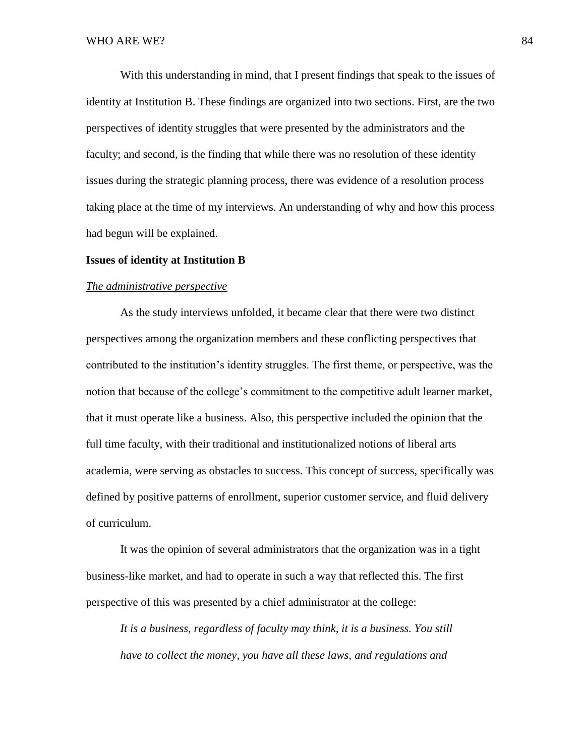With this understanding in mind, that I present findings that speak to the issues of identity at Institution B. These findings are organized into two sections. First, are the two perspectives of identity struggles that were presented by the administrators and the faculty; and second, is the finding that while there was no resolution of these identity issues during the strategic planning process, there was evidence of a resolution process taking place at the time of my interviews. An understanding of why and how this process had begun will be explained.

## **Issues of identity at Institution B**

#### *The administrative perspective*

As the study interviews unfolded, it became clear that there were two distinct perspectives among the organization members and these conflicting perspectives that contributed to the institution's identity struggles. The first theme, or perspective, was the notion that because of the college's commitment to the competitive adult learner market, that it must operate like a business. Also, this perspective included the opinion that the full time faculty, with their traditional and institutionalized notions of liberal arts academia, were serving as obstacles to success. This concept of success, specifically was defined by positive patterns of enrollment, superior customer service, and fluid delivery of curriculum.

It was the opinion of several administrators that the organization was in a tight business-like market, and had to operate in such a way that reflected this. The first perspective of this was presented by a chief administrator at the college:

*It is a business, regardless of faculty may think, it is a business. You still have to collect the money, you have all these laws, and regulations and*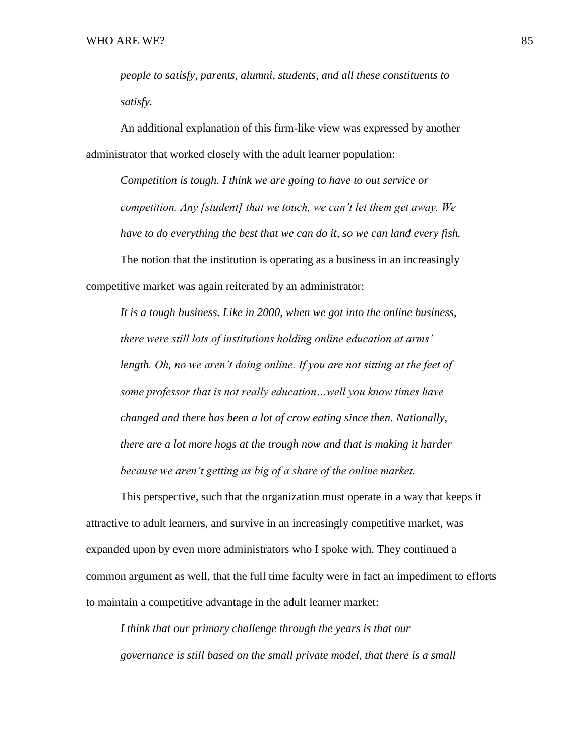*people to satisfy, parents, alumni, students, and all these constituents to satisfy.* 

An additional explanation of this firm-like view was expressed by another administrator that worked closely with the adult learner population:

*Competition is tough. I think we are going to have to out service or competition. Any [student] that we touch, we can't let them get away. We have to do everything the best that we can do it, so we can land every fish.* The notion that the institution is operating as a business in an increasingly

competitive market was again reiterated by an administrator:

*It is a tough business. Like in 2000, when we got into the online business, there were still lots of institutions holding online education at arms'*  length. Oh, no we aren't doing online. If you are not sitting at the feet of *some professor that is not really education…well you know times have changed and there has been a lot of crow eating since then. Nationally, there are a lot more hogs at the trough now and that is making it harder because we aren't getting as big of a share of the online market.*

This perspective, such that the organization must operate in a way that keeps it attractive to adult learners, and survive in an increasingly competitive market, was expanded upon by even more administrators who I spoke with. They continued a common argument as well, that the full time faculty were in fact an impediment to efforts to maintain a competitive advantage in the adult learner market:

*I think that our primary challenge through the years is that our governance is still based on the small private model, that there is a small*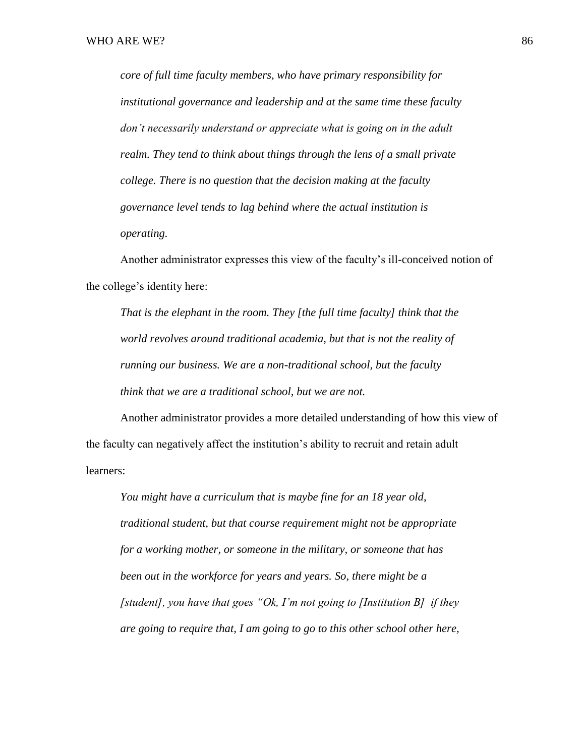*core of full time faculty members, who have primary responsibility for institutional governance and leadership and at the same time these faculty don't necessarily understand or appreciate what is going on in the adult realm. They tend to think about things through the lens of a small private college. There is no question that the decision making at the faculty governance level tends to lag behind where the actual institution is operating.* 

Another administrator expresses this view of the faculty's ill-conceived notion of the college's identity here:

*That is the elephant in the room. They [the full time faculty] think that the world revolves around traditional academia, but that is not the reality of running our business. We are a non-traditional school, but the faculty think that we are a traditional school, but we are not.* 

Another administrator provides a more detailed understanding of how this view of the faculty can negatively affect the institution's ability to recruit and retain adult learners:

*You might have a curriculum that is maybe fine for an 18 year old, traditional student, but that course requirement might not be appropriate for a working mother, or someone in the military, or someone that has been out in the workforce for years and years. So, there might be a [student], you have that goes "Ok, I'm not going to [Institution B] if they are going to require that, I am going to go to this other school other here,*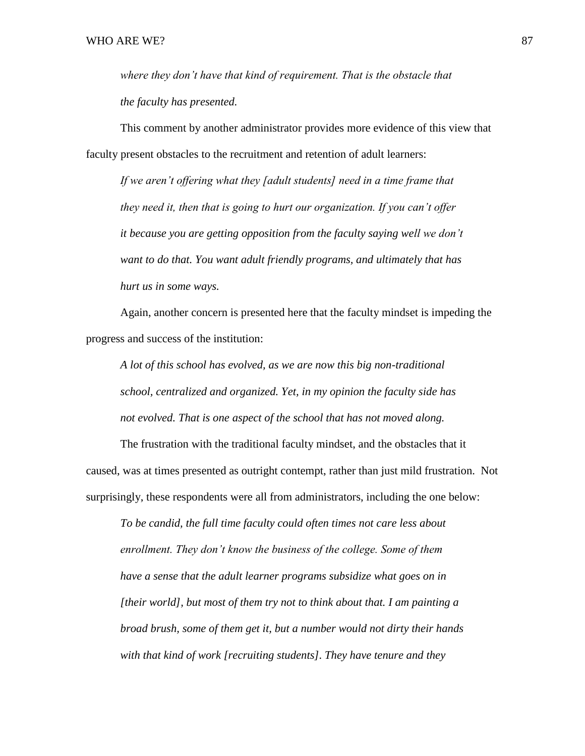*where they don't have that kind of requirement. That is the obstacle that the faculty has presented.*

This comment by another administrator provides more evidence of this view that faculty present obstacles to the recruitment and retention of adult learners:

*If we aren't offering what they [adult students] need in a time frame that they need it, then that is going to hurt our organization. If you can't offer it because you are getting opposition from the faculty saying well we don't want to do that. You want adult friendly programs, and ultimately that has hurt us in some ways.* 

Again, another concern is presented here that the faculty mindset is impeding the progress and success of the institution:

*A lot of this school has evolved, as we are now this big non-traditional school, centralized and organized. Yet, in my opinion the faculty side has not evolved. That is one aspect of the school that has not moved along.* 

The frustration with the traditional faculty mindset, and the obstacles that it caused, was at times presented as outright contempt, rather than just mild frustration. Not surprisingly, these respondents were all from administrators, including the one below:

*To be candid, the full time faculty could often times not care less about enrollment. They don't know the business of the college. Some of them have a sense that the adult learner programs subsidize what goes on in [their world], but most of them try not to think about that. I am painting a broad brush, some of them get it, but a number would not dirty their hands with that kind of work [recruiting students]. They have tenure and they*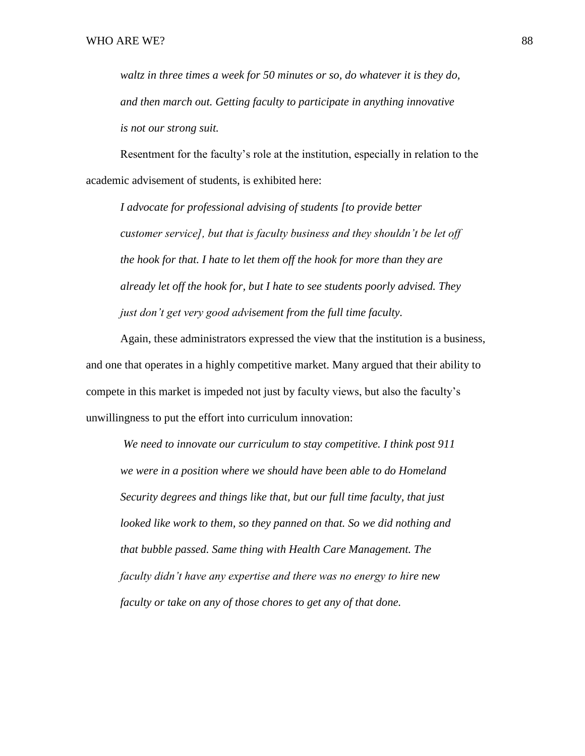*waltz in three times a week for 50 minutes or so, do whatever it is they do, and then march out. Getting faculty to participate in anything innovative is not our strong suit.* 

Resentment for the faculty's role at the institution, especially in relation to the academic advisement of students, is exhibited here:

*I advocate for professional advising of students [to provide better customer service], but that is faculty business and they shouldn't be let off the hook for that. I hate to let them off the hook for more than they are already let off the hook for, but I hate to see students poorly advised. They just don't get very good advisement from the full time faculty.*

Again, these administrators expressed the view that the institution is a business, and one that operates in a highly competitive market. Many argued that their ability to compete in this market is impeded not just by faculty views, but also the faculty's unwillingness to put the effort into curriculum innovation:

*We need to innovate our curriculum to stay competitive. I think post 911 we were in a position where we should have been able to do Homeland Security degrees and things like that, but our full time faculty, that just looked like work to them, so they panned on that. So we did nothing and that bubble passed. Same thing with Health Care Management. The faculty didn't have any expertise and there was no energy to hire new faculty or take on any of those chores to get any of that done.*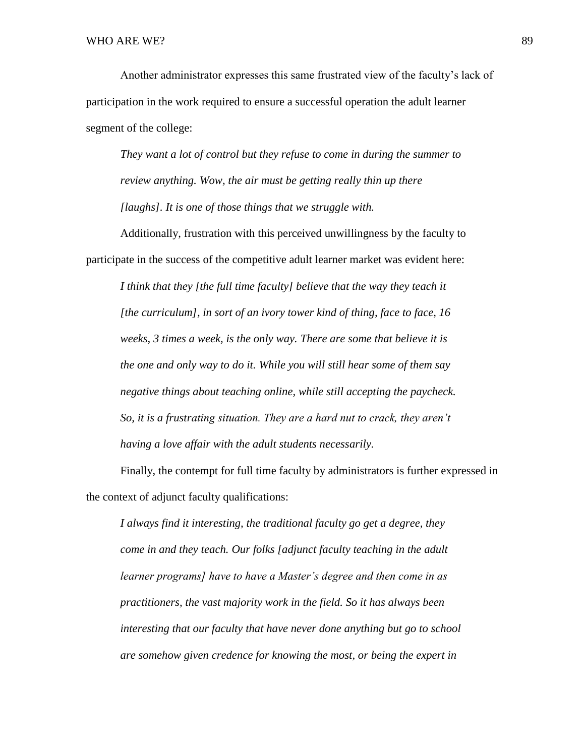Another administrator expresses this same frustrated view of the faculty's lack of participation in the work required to ensure a successful operation the adult learner segment of the college:

*They want a lot of control but they refuse to come in during the summer to review anything. Wow, the air must be getting really thin up there [laughs]. It is one of those things that we struggle with.* 

Additionally, frustration with this perceived unwillingness by the faculty to participate in the success of the competitive adult learner market was evident here:

*I think that they [the full time faculty] believe that the way they teach it [the curriculum], in sort of an ivory tower kind of thing, face to face, 16 weeks, 3 times a week, is the only way. There are some that believe it is the one and only way to do it. While you will still hear some of them say negative things about teaching online, while still accepting the paycheck. So, it is a frustrating situation. They are a hard nut to crack, they aren't having a love affair with the adult students necessarily.* 

Finally, the contempt for full time faculty by administrators is further expressed in the context of adjunct faculty qualifications:

*I always find it interesting, the traditional faculty go get a degree, they come in and they teach. Our folks [adjunct faculty teaching in the adult learner programs] have to have a Master's degree and then come in as practitioners, the vast majority work in the field. So it has always been interesting that our faculty that have never done anything but go to school are somehow given credence for knowing the most, or being the expert in*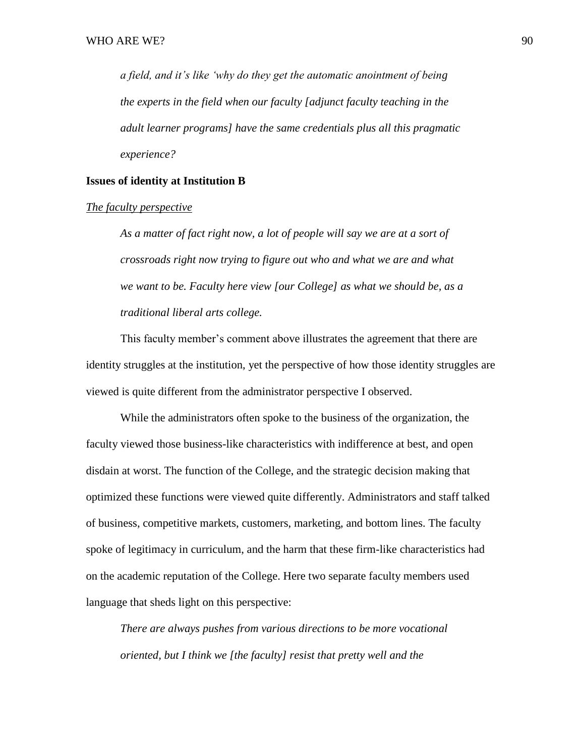*a field, and it's like 'why do they get the automatic anointment of being the experts in the field when our faculty [adjunct faculty teaching in the adult learner programs] have the same credentials plus all this pragmatic experience?*

## **Issues of identity at Institution B**

#### *The faculty perspective*

*As a matter of fact right now, a lot of people will say we are at a sort of crossroads right now trying to figure out who and what we are and what we want to be. Faculty here view [our College] as what we should be, as a traditional liberal arts college.*

This faculty member's comment above illustrates the agreement that there are identity struggles at the institution, yet the perspective of how those identity struggles are viewed is quite different from the administrator perspective I observed.

While the administrators often spoke to the business of the organization, the faculty viewed those business-like characteristics with indifference at best, and open disdain at worst. The function of the College, and the strategic decision making that optimized these functions were viewed quite differently. Administrators and staff talked of business, competitive markets, customers, marketing, and bottom lines. The faculty spoke of legitimacy in curriculum, and the harm that these firm-like characteristics had on the academic reputation of the College. Here two separate faculty members used language that sheds light on this perspective:

*There are always pushes from various directions to be more vocational oriented, but I think we [the faculty] resist that pretty well and the*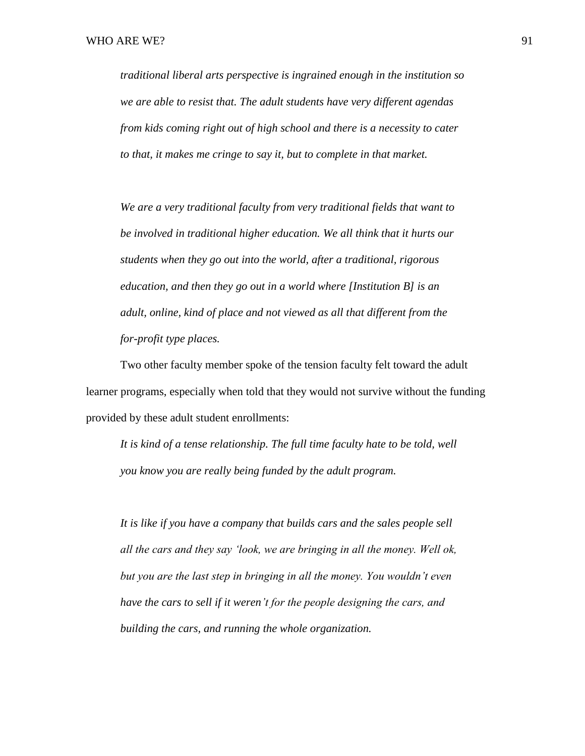*traditional liberal arts perspective is ingrained enough in the institution so we are able to resist that. The adult students have very different agendas from kids coming right out of high school and there is a necessity to cater to that, it makes me cringe to say it, but to complete in that market.*

*We are a very traditional faculty from very traditional fields that want to be involved in traditional higher education. We all think that it hurts our students when they go out into the world, after a traditional, rigorous education, and then they go out in a world where [Institution B] is an adult, online, kind of place and not viewed as all that different from the for-profit type places.* 

Two other faculty member spoke of the tension faculty felt toward the adult learner programs, especially when told that they would not survive without the funding provided by these adult student enrollments:

*It is kind of a tense relationship. The full time faculty hate to be told, well you know you are really being funded by the adult program.* 

*It is like if you have a company that builds cars and the sales people sell all the cars and they say 'look, we are bringing in all the money. Well ok, but you are the last step in bringing in all the money. You wouldn't even have the cars to sell if it weren't for the people designing the cars, and building the cars, and running the whole organization.*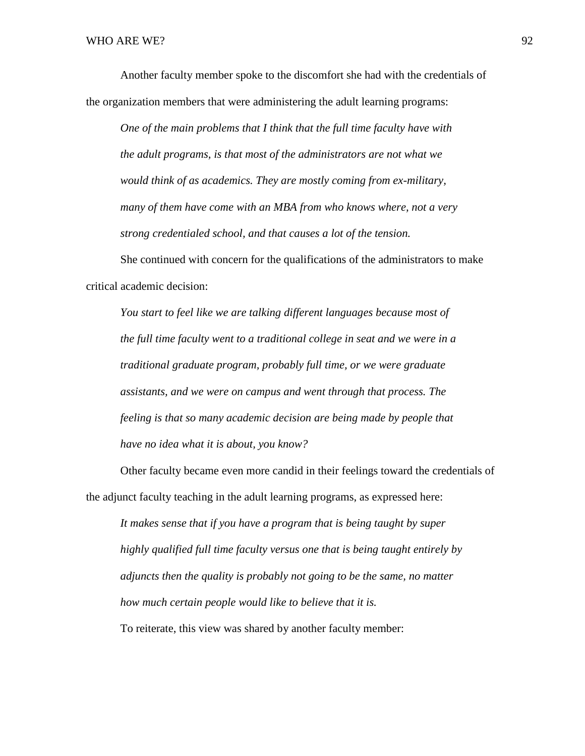Another faculty member spoke to the discomfort she had with the credentials of the organization members that were administering the adult learning programs:

*One of the main problems that I think that the full time faculty have with the adult programs, is that most of the administrators are not what we would think of as academics. They are mostly coming from ex-military, many of them have come with an MBA from who knows where, not a very strong credentialed school, and that causes a lot of the tension.* 

She continued with concern for the qualifications of the administrators to make critical academic decision:

*You start to feel like we are talking different languages because most of the full time faculty went to a traditional college in seat and we were in a traditional graduate program, probably full time, or we were graduate assistants, and we were on campus and went through that process. The feeling is that so many academic decision are being made by people that have no idea what it is about, you know?*

Other faculty became even more candid in their feelings toward the credentials of the adjunct faculty teaching in the adult learning programs, as expressed here:

*It makes sense that if you have a program that is being taught by super highly qualified full time faculty versus one that is being taught entirely by adjuncts then the quality is probably not going to be the same, no matter how much certain people would like to believe that it is.*  To reiterate, this view was shared by another faculty member: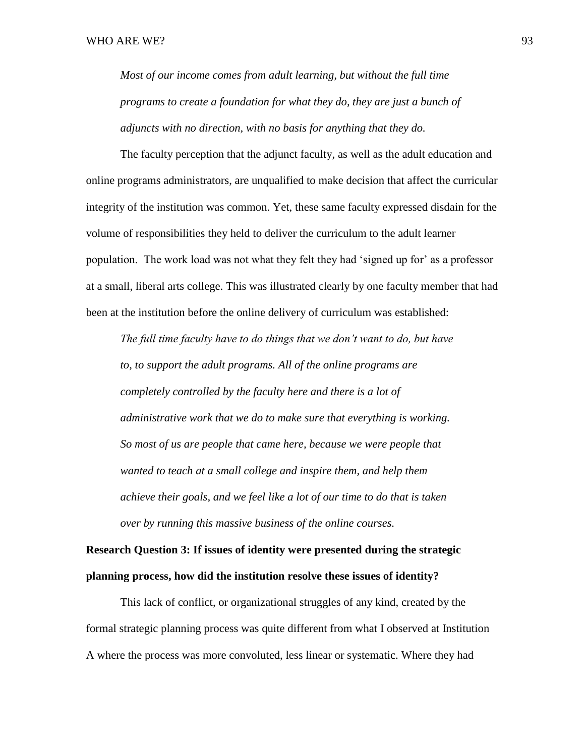*Most of our income comes from adult learning, but without the full time programs to create a foundation for what they do, they are just a bunch of adjuncts with no direction, with no basis for anything that they do.* 

The faculty perception that the adjunct faculty, as well as the adult education and online programs administrators, are unqualified to make decision that affect the curricular integrity of the institution was common. Yet, these same faculty expressed disdain for the volume of responsibilities they held to deliver the curriculum to the adult learner population. The work load was not what they felt they had 'signed up for' as a professor at a small, liberal arts college. This was illustrated clearly by one faculty member that had been at the institution before the online delivery of curriculum was established:

*The full time faculty have to do things that we don't want to do, but have to, to support the adult programs. All of the online programs are completely controlled by the faculty here and there is a lot of administrative work that we do to make sure that everything is working. So most of us are people that came here, because we were people that wanted to teach at a small college and inspire them, and help them achieve their goals, and we feel like a lot of our time to do that is taken over by running this massive business of the online courses.* 

**Research Question 3: If issues of identity were presented during the strategic planning process, how did the institution resolve these issues of identity?** 

This lack of conflict, or organizational struggles of any kind, created by the formal strategic planning process was quite different from what I observed at Institution A where the process was more convoluted, less linear or systematic. Where they had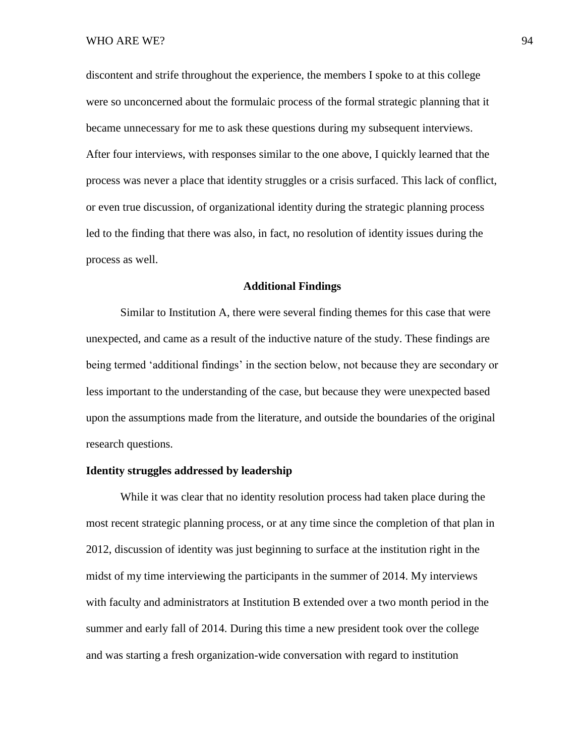discontent and strife throughout the experience, the members I spoke to at this college were so unconcerned about the formulaic process of the formal strategic planning that it became unnecessary for me to ask these questions during my subsequent interviews. After four interviews, with responses similar to the one above, I quickly learned that the process was never a place that identity struggles or a crisis surfaced. This lack of conflict, or even true discussion, of organizational identity during the strategic planning process led to the finding that there was also, in fact, no resolution of identity issues during the process as well.

## **Additional Findings**

Similar to Institution A, there were several finding themes for this case that were unexpected, and came as a result of the inductive nature of the study. These findings are being termed 'additional findings' in the section below, not because they are secondary or less important to the understanding of the case, but because they were unexpected based upon the assumptions made from the literature, and outside the boundaries of the original research questions.

## **Identity struggles addressed by leadership**

While it was clear that no identity resolution process had taken place during the most recent strategic planning process, or at any time since the completion of that plan in 2012, discussion of identity was just beginning to surface at the institution right in the midst of my time interviewing the participants in the summer of 2014. My interviews with faculty and administrators at Institution B extended over a two month period in the summer and early fall of 2014. During this time a new president took over the college and was starting a fresh organization-wide conversation with regard to institution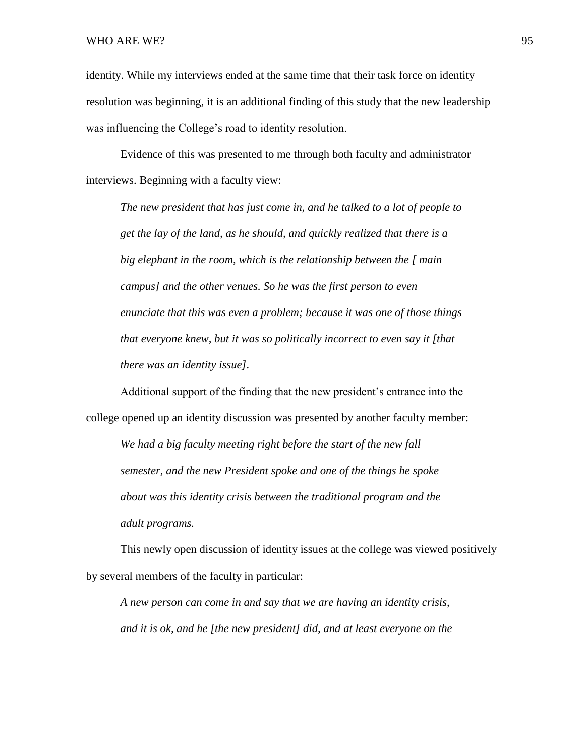identity. While my interviews ended at the same time that their task force on identity resolution was beginning, it is an additional finding of this study that the new leadership was influencing the College's road to identity resolution.

Evidence of this was presented to me through both faculty and administrator interviews. Beginning with a faculty view:

*The new president that has just come in, and he talked to a lot of people to get the lay of the land, as he should, and quickly realized that there is a big elephant in the room, which is the relationship between the [ main campus] and the other venues. So he was the first person to even enunciate that this was even a problem; because it was one of those things that everyone knew, but it was so politically incorrect to even say it [that there was an identity issue].*

Additional support of the finding that the new president's entrance into the college opened up an identity discussion was presented by another faculty member:

*We had a big faculty meeting right before the start of the new fall semester, and the new President spoke and one of the things he spoke about was this identity crisis between the traditional program and the adult programs.* 

This newly open discussion of identity issues at the college was viewed positively by several members of the faculty in particular:

*A new person can come in and say that we are having an identity crisis, and it is ok, and he [the new president] did, and at least everyone on the*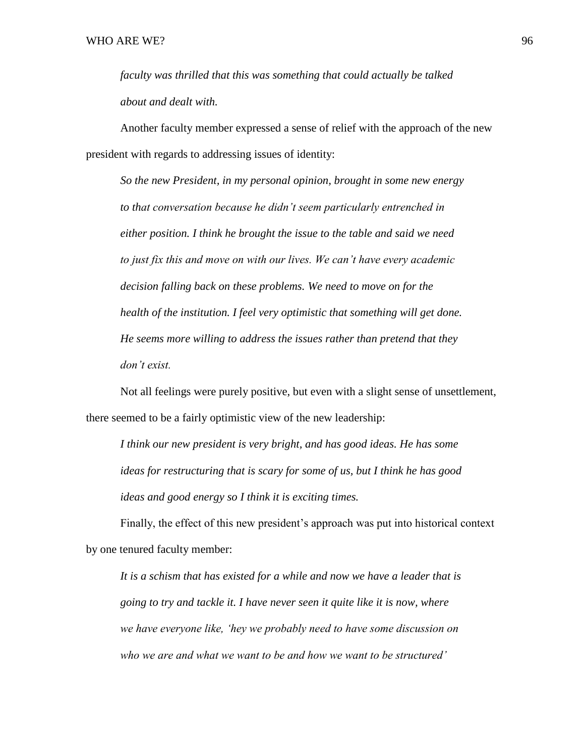*faculty was thrilled that this was something that could actually be talked about and dealt with.* 

Another faculty member expressed a sense of relief with the approach of the new president with regards to addressing issues of identity:

*So the new President, in my personal opinion, brought in some new energy to that conversation because he didn't seem particularly entrenched in either position. I think he brought the issue to the table and said we need to just fix this and move on with our lives. We can't have every academic decision falling back on these problems. We need to move on for the health of the institution. I feel very optimistic that something will get done. He seems more willing to address the issues rather than pretend that they don't exist.* 

Not all feelings were purely positive, but even with a slight sense of unsettlement, there seemed to be a fairly optimistic view of the new leadership:

*I think our new president is very bright, and has good ideas. He has some ideas for restructuring that is scary for some of us, but I think he has good ideas and good energy so I think it is exciting times.* 

Finally, the effect of this new president's approach was put into historical context by one tenured faculty member:

*It is a schism that has existed for a while and now we have a leader that is going to try and tackle it. I have never seen it quite like it is now, where we have everyone like, 'hey we probably need to have some discussion on who we are and what we want to be and how we want to be structured'*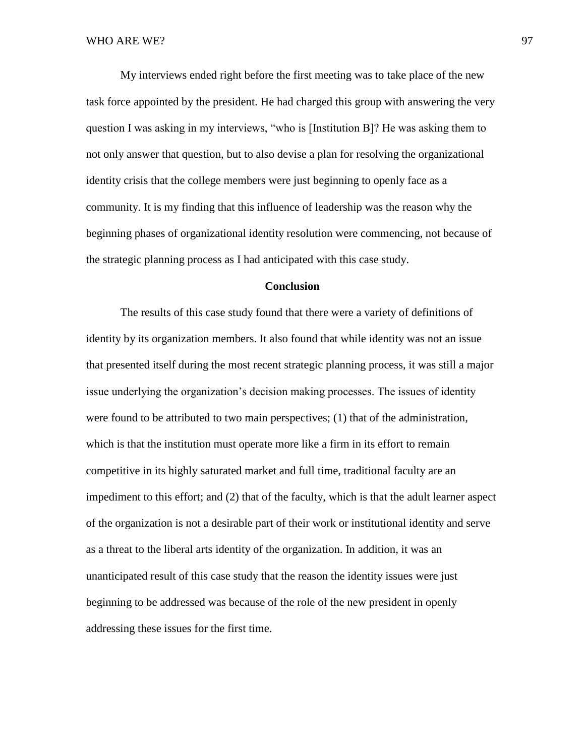My interviews ended right before the first meeting was to take place of the new task force appointed by the president. He had charged this group with answering the very question I was asking in my interviews, "who is [Institution B]? He was asking them to not only answer that question, but to also devise a plan for resolving the organizational identity crisis that the college members were just beginning to openly face as a community. It is my finding that this influence of leadership was the reason why the beginning phases of organizational identity resolution were commencing, not because of the strategic planning process as I had anticipated with this case study.

## **Conclusion**

The results of this case study found that there were a variety of definitions of identity by its organization members. It also found that while identity was not an issue that presented itself during the most recent strategic planning process, it was still a major issue underlying the organization's decision making processes. The issues of identity were found to be attributed to two main perspectives; (1) that of the administration, which is that the institution must operate more like a firm in its effort to remain competitive in its highly saturated market and full time, traditional faculty are an impediment to this effort; and (2) that of the faculty, which is that the adult learner aspect of the organization is not a desirable part of their work or institutional identity and serve as a threat to the liberal arts identity of the organization. In addition, it was an unanticipated result of this case study that the reason the identity issues were just beginning to be addressed was because of the role of the new president in openly addressing these issues for the first time.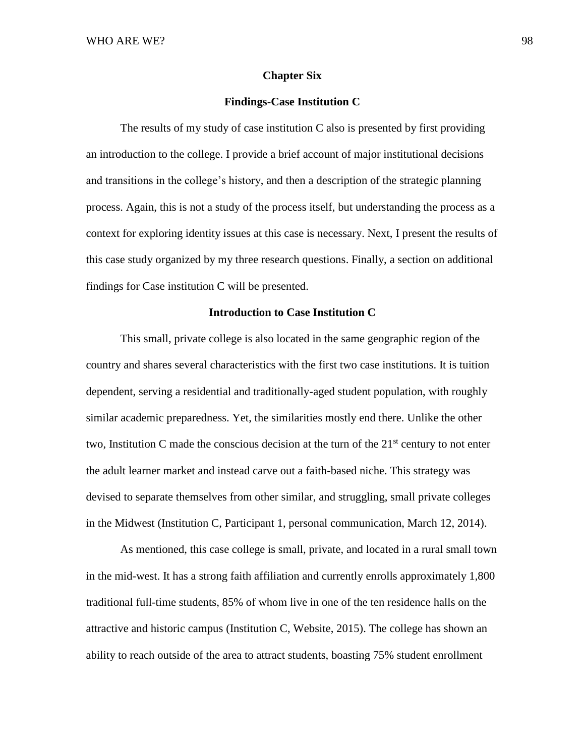#### **Chapter Six**

## **Findings-Case Institution C**

The results of my study of case institution C also is presented by first providing an introduction to the college. I provide a brief account of major institutional decisions and transitions in the college's history, and then a description of the strategic planning process. Again, this is not a study of the process itself, but understanding the process as a context for exploring identity issues at this case is necessary. Next, I present the results of this case study organized by my three research questions. Finally, a section on additional findings for Case institution C will be presented.

## **Introduction to Case Institution C**

This small, private college is also located in the same geographic region of the country and shares several characteristics with the first two case institutions. It is tuition dependent, serving a residential and traditionally-aged student population, with roughly similar academic preparedness. Yet, the similarities mostly end there. Unlike the other two, Institution C made the conscious decision at the turn of the  $21<sup>st</sup>$  century to not enter the adult learner market and instead carve out a faith-based niche. This strategy was devised to separate themselves from other similar, and struggling, small private colleges in the Midwest (Institution C, Participant 1, personal communication, March 12, 2014).

As mentioned, this case college is small, private, and located in a rural small town in the mid-west. It has a strong faith affiliation and currently enrolls approximately 1,800 traditional full-time students, 85% of whom live in one of the ten residence halls on the attractive and historic campus (Institution C, Website, 2015). The college has shown an ability to reach outside of the area to attract students, boasting 75% student enrollment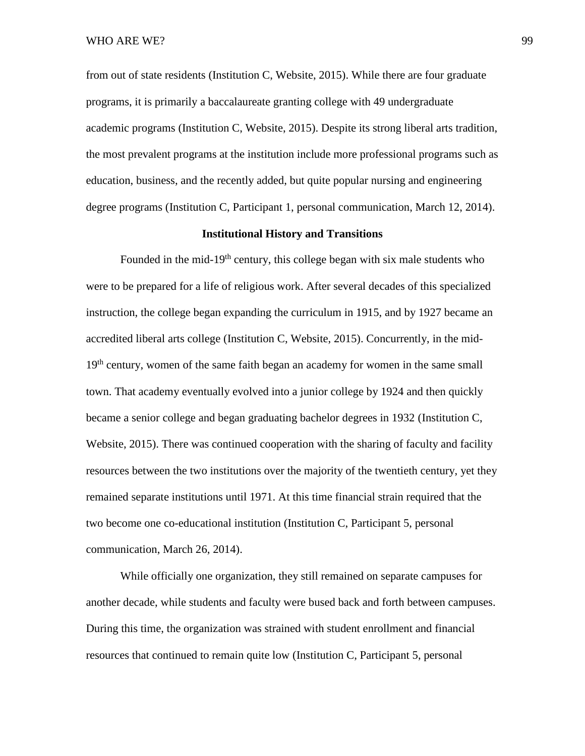WHO ARE WE? 99

from out of state residents (Institution C, Website, 2015). While there are four graduate programs, it is primarily a baccalaureate granting college with 49 undergraduate academic programs (Institution C, Website, 2015). Despite its strong liberal arts tradition, the most prevalent programs at the institution include more professional programs such as education, business, and the recently added, but quite popular nursing and engineering degree programs (Institution C, Participant 1, personal communication, March 12, 2014).

# **Institutional History and Transitions**

Founded in the mid-19<sup>th</sup> century, this college began with six male students who were to be prepared for a life of religious work. After several decades of this specialized instruction, the college began expanding the curriculum in 1915, and by 1927 became an accredited liberal arts college (Institution C, Website, 2015). Concurrently, in the mid-19<sup>th</sup> century, women of the same faith began an academy for women in the same small town. That academy eventually evolved into a junior college by 1924 and then quickly became a senior college and began graduating bachelor degrees in 1932 (Institution C, Website, 2015). There was continued cooperation with the sharing of faculty and facility resources between the two institutions over the majority of the twentieth century, yet they remained separate institutions until 1971. At this time financial strain required that the two become one co-educational institution (Institution C, Participant 5, personal communication, March 26, 2014).

While officially one organization, they still remained on separate campuses for another decade, while students and faculty were bused back and forth between campuses. During this time, the organization was strained with student enrollment and financial resources that continued to remain quite low (Institution C, Participant 5, personal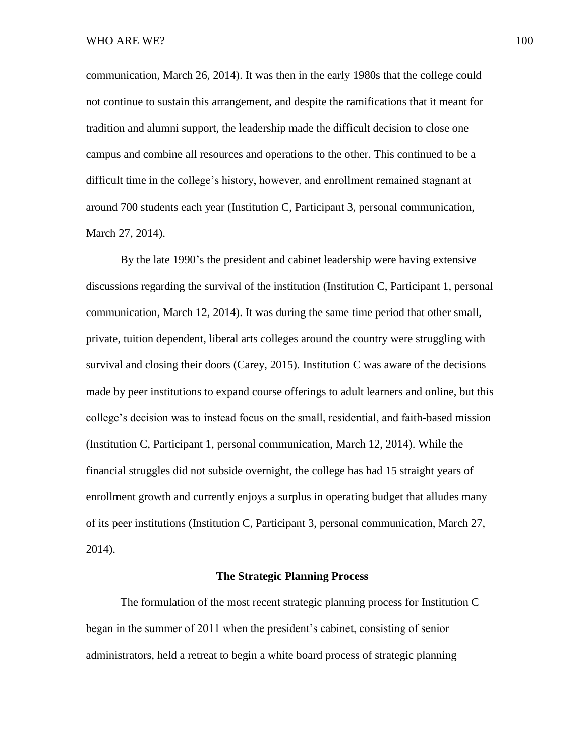communication, March 26, 2014). It was then in the early 1980s that the college could not continue to sustain this arrangement, and despite the ramifications that it meant for tradition and alumni support, the leadership made the difficult decision to close one campus and combine all resources and operations to the other. This continued to be a difficult time in the college's history, however, and enrollment remained stagnant at around 700 students each year (Institution C, Participant 3, personal communication, March 27, 2014).

By the late 1990's the president and cabinet leadership were having extensive discussions regarding the survival of the institution (Institution C, Participant 1, personal communication, March 12, 2014). It was during the same time period that other small, private, tuition dependent, liberal arts colleges around the country were struggling with survival and closing their doors (Carey, 2015). Institution C was aware of the decisions made by peer institutions to expand course offerings to adult learners and online, but this college's decision was to instead focus on the small, residential, and faith-based mission (Institution C, Participant 1, personal communication, March 12, 2014). While the financial struggles did not subside overnight, the college has had 15 straight years of enrollment growth and currently enjoys a surplus in operating budget that alludes many of its peer institutions (Institution C, Participant 3, personal communication, March 27, 2014).

## **The Strategic Planning Process**

The formulation of the most recent strategic planning process for Institution C began in the summer of 2011 when the president's cabinet, consisting of senior administrators, held a retreat to begin a white board process of strategic planning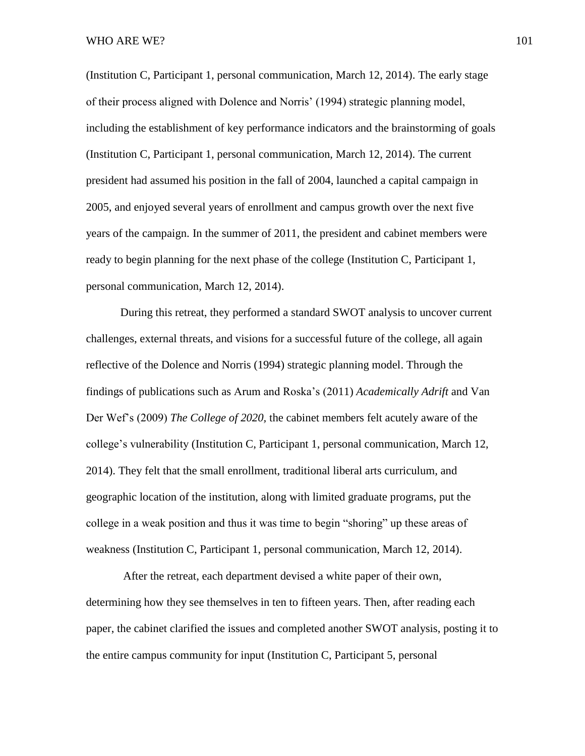(Institution C, Participant 1, personal communication, March 12, 2014). The early stage of their process aligned with Dolence and Norris' (1994) strategic planning model, including the establishment of key performance indicators and the brainstorming of goals (Institution C, Participant 1, personal communication, March 12, 2014). The current president had assumed his position in the fall of 2004, launched a capital campaign in 2005, and enjoyed several years of enrollment and campus growth over the next five years of the campaign. In the summer of 2011, the president and cabinet members were ready to begin planning for the next phase of the college (Institution C, Participant 1, personal communication, March 12, 2014).

During this retreat, they performed a standard SWOT analysis to uncover current challenges, external threats, and visions for a successful future of the college, all again reflective of the Dolence and Norris (1994) strategic planning model. Through the findings of publications such as Arum and Roska's (2011) *Academically Adrift* and Van Der Wef's (2009) *The College of 2020,* the cabinet members felt acutely aware of the college's vulnerability (Institution C, Participant 1, personal communication, March 12, 2014). They felt that the small enrollment, traditional liberal arts curriculum, and geographic location of the institution, along with limited graduate programs, put the college in a weak position and thus it was time to begin "shoring" up these areas of weakness (Institution C, Participant 1, personal communication, March 12, 2014).

After the retreat, each department devised a white paper of their own, determining how they see themselves in ten to fifteen years. Then, after reading each paper, the cabinet clarified the issues and completed another SWOT analysis, posting it to the entire campus community for input (Institution C, Participant 5, personal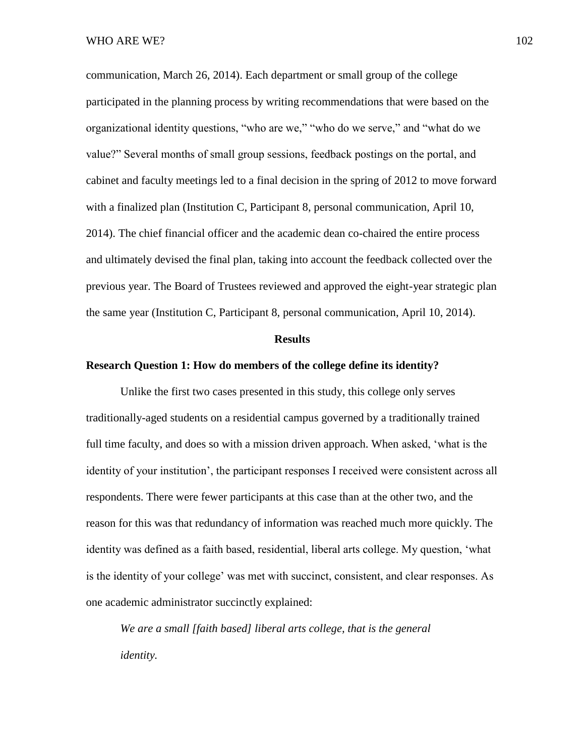communication, March 26, 2014). Each department or small group of the college participated in the planning process by writing recommendations that were based on the organizational identity questions, "who are we," "who do we serve," and "what do we value?" Several months of small group sessions, feedback postings on the portal, and cabinet and faculty meetings led to a final decision in the spring of 2012 to move forward with a finalized plan (Institution C, Participant 8, personal communication, April 10, 2014). The chief financial officer and the academic dean co-chaired the entire process and ultimately devised the final plan, taking into account the feedback collected over the previous year. The Board of Trustees reviewed and approved the eight-year strategic plan the same year (Institution C, Participant 8, personal communication, April 10, 2014).

#### **Results**

## **Research Question 1: How do members of the college define its identity?**

Unlike the first two cases presented in this study, this college only serves traditionally-aged students on a residential campus governed by a traditionally trained full time faculty, and does so with a mission driven approach. When asked, 'what is the identity of your institution', the participant responses I received were consistent across all respondents. There were fewer participants at this case than at the other two, and the reason for this was that redundancy of information was reached much more quickly. The identity was defined as a faith based, residential, liberal arts college. My question, 'what is the identity of your college' was met with succinct, consistent, and clear responses. As one academic administrator succinctly explained:

*We are a small [faith based] liberal arts college, that is the general identity.*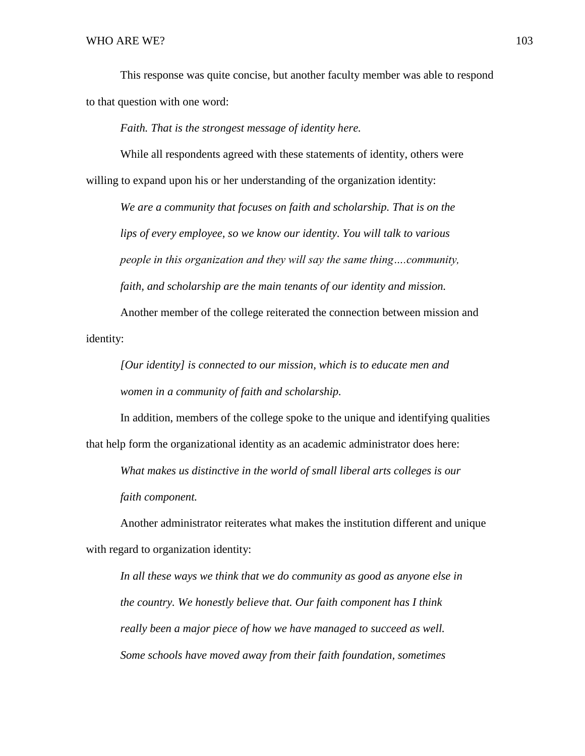This response was quite concise, but another faculty member was able to respond to that question with one word:

*Faith. That is the strongest message of identity here.* 

While all respondents agreed with these statements of identity, others were willing to expand upon his or her understanding of the organization identity:

*We are a community that focuses on faith and scholarship. That is on the lips of every employee, so we know our identity. You will talk to various people in this organization and they will say the same thing….community, faith, and scholarship are the main tenants of our identity and mission.* 

Another member of the college reiterated the connection between mission and identity:

*[Our identity] is connected to our mission, which is to educate men and women in a community of faith and scholarship.*

In addition, members of the college spoke to the unique and identifying qualities that help form the organizational identity as an academic administrator does here:

*What makes us distinctive in the world of small liberal arts colleges is our faith component.*

Another administrator reiterates what makes the institution different and unique with regard to organization identity:

*In all these ways we think that we do community as good as anyone else in the country. We honestly believe that. Our faith component has I think really been a major piece of how we have managed to succeed as well. Some schools have moved away from their faith foundation, sometimes*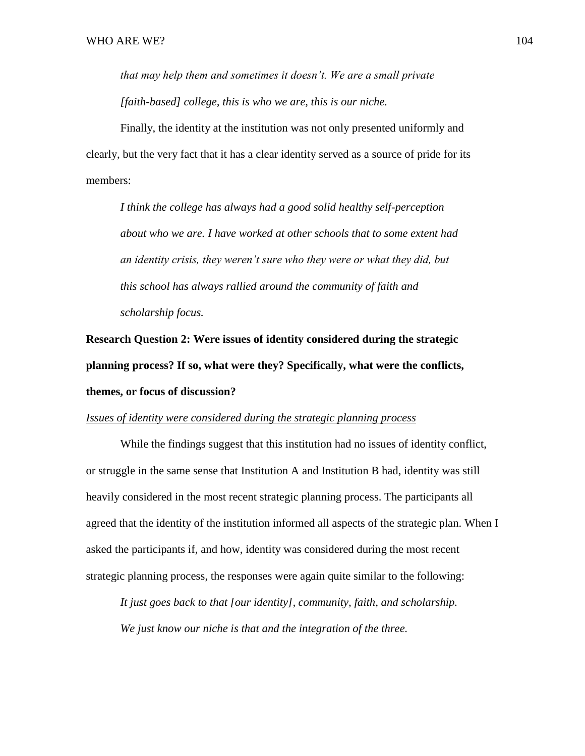*that may help them and sometimes it doesn't. We are a small private [faith-based] college, this is who we are, this is our niche.* 

Finally, the identity at the institution was not only presented uniformly and clearly, but the very fact that it has a clear identity served as a source of pride for its members:

*I think the college has always had a good solid healthy self-perception about who we are. I have worked at other schools that to some extent had an identity crisis, they weren't sure who they were or what they did, but this school has always rallied around the community of faith and scholarship focus.*

**Research Question 2: Were issues of identity considered during the strategic planning process? If so, what were they? Specifically, what were the conflicts, themes, or focus of discussion?**

# *Issues of identity were considered during the strategic planning process*

While the findings suggest that this institution had no issues of identity conflict, or struggle in the same sense that Institution A and Institution B had, identity was still heavily considered in the most recent strategic planning process. The participants all agreed that the identity of the institution informed all aspects of the strategic plan. When I asked the participants if, and how, identity was considered during the most recent strategic planning process, the responses were again quite similar to the following:

*It just goes back to that [our identity], community, faith, and scholarship. We just know our niche is that and the integration of the three.*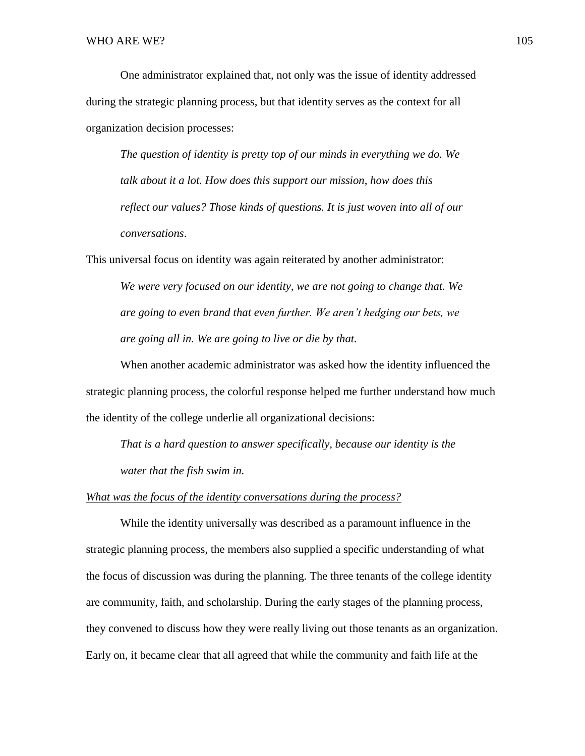One administrator explained that, not only was the issue of identity addressed during the strategic planning process, but that identity serves as the context for all organization decision processes:

*The question of identity is pretty top of our minds in everything we do. We talk about it a lot. How does this support our mission, how does this reflect our values? Those kinds of questions. It is just woven into all of our conversations*.

This universal focus on identity was again reiterated by another administrator:

*We were very focused on our identity, we are not going to change that. We are going to even brand that even further. We aren't hedging our bets, we are going all in. We are going to live or die by that.* 

When another academic administrator was asked how the identity influenced the strategic planning process, the colorful response helped me further understand how much the identity of the college underlie all organizational decisions:

*That is a hard question to answer specifically, because our identity is the water that the fish swim in.* 

#### *What was the focus of the identity conversations during the process?*

While the identity universally was described as a paramount influence in the strategic planning process, the members also supplied a specific understanding of what the focus of discussion was during the planning. The three tenants of the college identity are community, faith, and scholarship. During the early stages of the planning process, they convened to discuss how they were really living out those tenants as an organization. Early on, it became clear that all agreed that while the community and faith life at the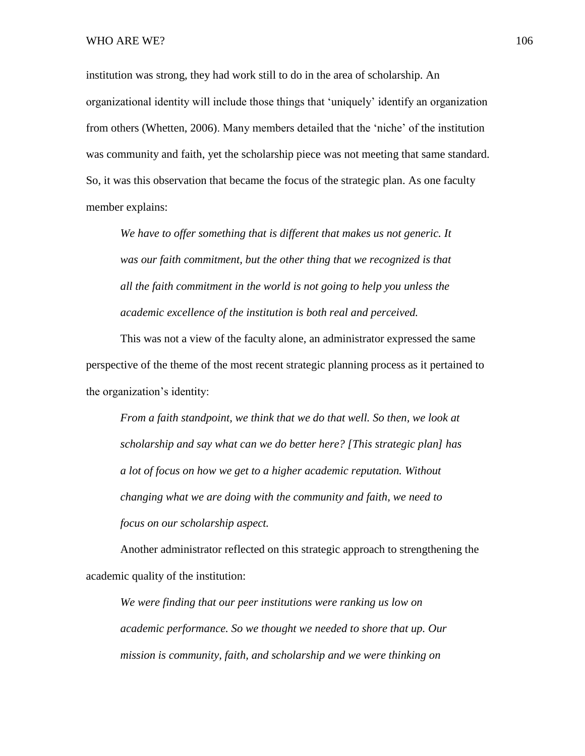institution was strong, they had work still to do in the area of scholarship. An organizational identity will include those things that 'uniquely' identify an organization from others (Whetten, 2006). Many members detailed that the 'niche' of the institution was community and faith, yet the scholarship piece was not meeting that same standard. So, it was this observation that became the focus of the strategic plan. As one faculty member explains:

*We have to offer something that is different that makes us not generic. It was our faith commitment, but the other thing that we recognized is that all the faith commitment in the world is not going to help you unless the academic excellence of the institution is both real and perceived.* 

This was not a view of the faculty alone, an administrator expressed the same perspective of the theme of the most recent strategic planning process as it pertained to the organization's identity:

*From a faith standpoint, we think that we do that well. So then, we look at scholarship and say what can we do better here? [This strategic plan] has a lot of focus on how we get to a higher academic reputation. Without changing what we are doing with the community and faith, we need to focus on our scholarship aspect.*

Another administrator reflected on this strategic approach to strengthening the academic quality of the institution:

*We were finding that our peer institutions were ranking us low on academic performance. So we thought we needed to shore that up. Our mission is community, faith, and scholarship and we were thinking on*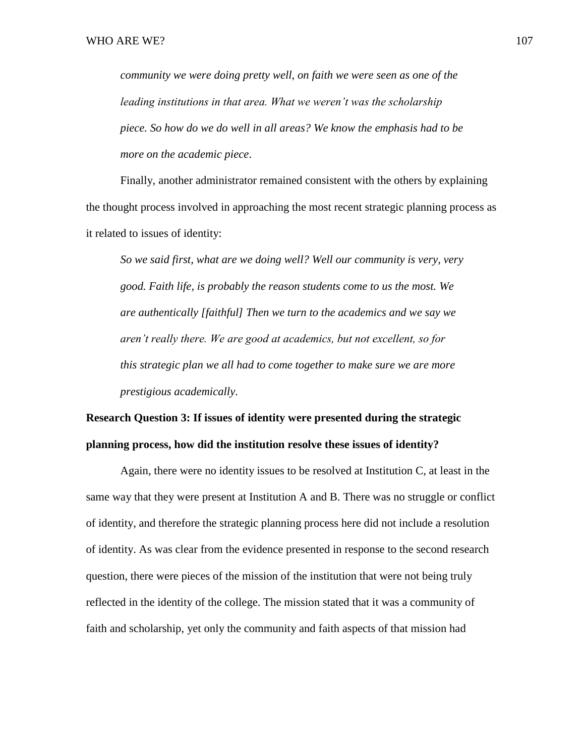*community we were doing pretty well, on faith we were seen as one of the leading institutions in that area. What we weren't was the scholarship piece. So how do we do well in all areas? We know the emphasis had to be more on the academic piece*.

Finally, another administrator remained consistent with the others by explaining the thought process involved in approaching the most recent strategic planning process as it related to issues of identity:

*So we said first, what are we doing well? Well our community is very, very good. Faith life, is probably the reason students come to us the most. We are authentically [faithful] Then we turn to the academics and we say we aren't really there. We are good at academics, but not excellent, so for this strategic plan we all had to come together to make sure we are more prestigious academically.* 

# **Research Question 3: If issues of identity were presented during the strategic planning process, how did the institution resolve these issues of identity?**

Again, there were no identity issues to be resolved at Institution C, at least in the same way that they were present at Institution A and B. There was no struggle or conflict of identity, and therefore the strategic planning process here did not include a resolution of identity. As was clear from the evidence presented in response to the second research question, there were pieces of the mission of the institution that were not being truly reflected in the identity of the college. The mission stated that it was a community of faith and scholarship, yet only the community and faith aspects of that mission had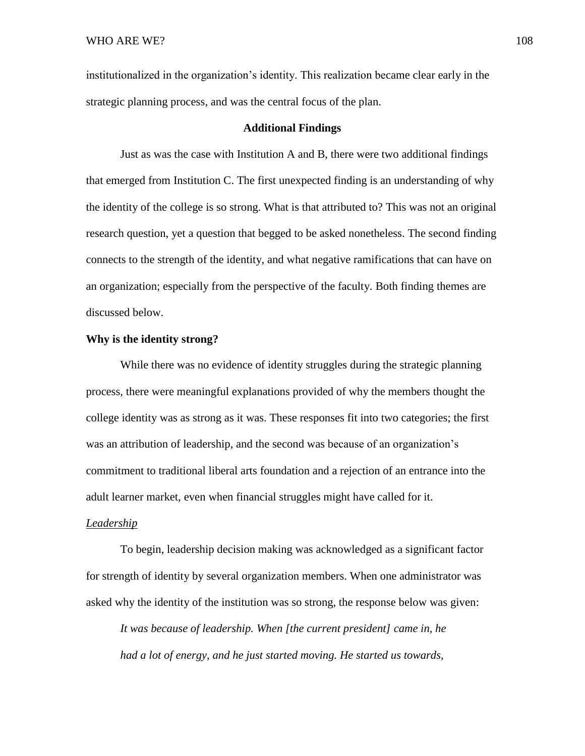institutionalized in the organization's identity. This realization became clear early in the strategic planning process, and was the central focus of the plan.

## **Additional Findings**

Just as was the case with Institution A and B, there were two additional findings that emerged from Institution C. The first unexpected finding is an understanding of why the identity of the college is so strong. What is that attributed to? This was not an original research question, yet a question that begged to be asked nonetheless. The second finding connects to the strength of the identity, and what negative ramifications that can have on an organization; especially from the perspective of the faculty. Both finding themes are discussed below.

## **Why is the identity strong?**

While there was no evidence of identity struggles during the strategic planning process, there were meaningful explanations provided of why the members thought the college identity was as strong as it was. These responses fit into two categories; the first was an attribution of leadership, and the second was because of an organization's commitment to traditional liberal arts foundation and a rejection of an entrance into the adult learner market, even when financial struggles might have called for it.

#### *Leadership*

To begin, leadership decision making was acknowledged as a significant factor for strength of identity by several organization members. When one administrator was asked why the identity of the institution was so strong, the response below was given:

*It was because of leadership. When [the current president] came in, he had a lot of energy, and he just started moving. He started us towards,*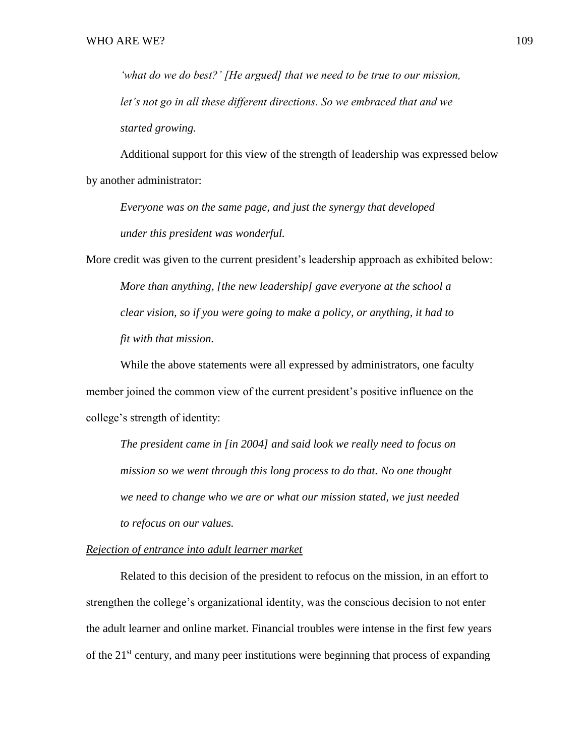*'what do we do best?' [He argued] that we need to be true to our mission, let's not go in all these different directions. So we embraced that and we started growing.* 

Additional support for this view of the strength of leadership was expressed below by another administrator:

*Everyone was on the same page, and just the synergy that developed under this president was wonderful.*

More credit was given to the current president's leadership approach as exhibited below: *More than anything, [the new leadership] gave everyone at the school a clear vision, so if you were going to make a policy, or anything, it had to fit with that mission.*

While the above statements were all expressed by administrators, one faculty member joined the common view of the current president's positive influence on the college's strength of identity:

*The president came in [in 2004] and said look we really need to focus on mission so we went through this long process to do that. No one thought we need to change who we are or what our mission stated, we just needed to refocus on our values.* 

## *Rejection of entrance into adult learner market*

Related to this decision of the president to refocus on the mission, in an effort to strengthen the college's organizational identity, was the conscious decision to not enter the adult learner and online market. Financial troubles were intense in the first few years of the  $21<sup>st</sup>$  century, and many peer institutions were beginning that process of expanding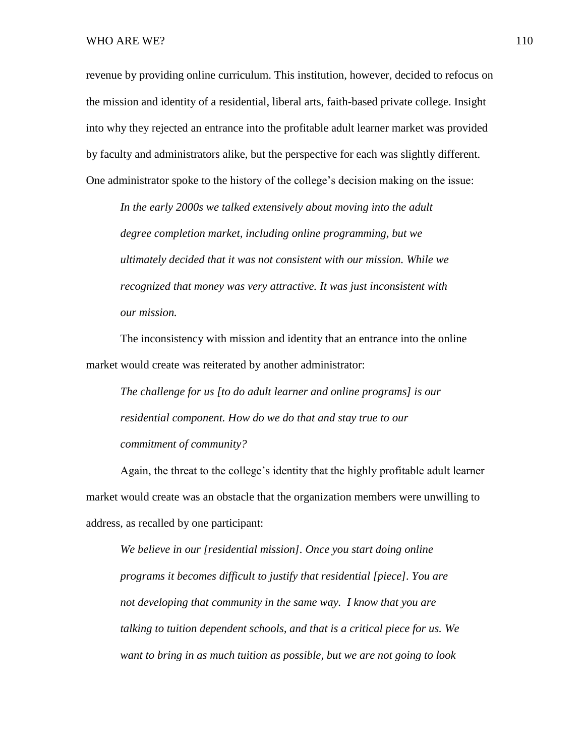#### WHO ARE WE?  $110$

revenue by providing online curriculum. This institution, however, decided to refocus on the mission and identity of a residential, liberal arts, faith-based private college. Insight into why they rejected an entrance into the profitable adult learner market was provided by faculty and administrators alike, but the perspective for each was slightly different. One administrator spoke to the history of the college's decision making on the issue:

*In the early 2000s we talked extensively about moving into the adult degree completion market, including online programming, but we ultimately decided that it was not consistent with our mission. While we recognized that money was very attractive. It was just inconsistent with our mission.*

The inconsistency with mission and identity that an entrance into the online market would create was reiterated by another administrator:

*The challenge for us [to do adult learner and online programs] is our residential component. How do we do that and stay true to our commitment of community?*

Again, the threat to the college's identity that the highly profitable adult learner market would create was an obstacle that the organization members were unwilling to address, as recalled by one participant:

*We believe in our [residential mission]. Once you start doing online programs it becomes difficult to justify that residential [piece]. You are not developing that community in the same way. I know that you are talking to tuition dependent schools, and that is a critical piece for us. We want to bring in as much tuition as possible, but we are not going to look*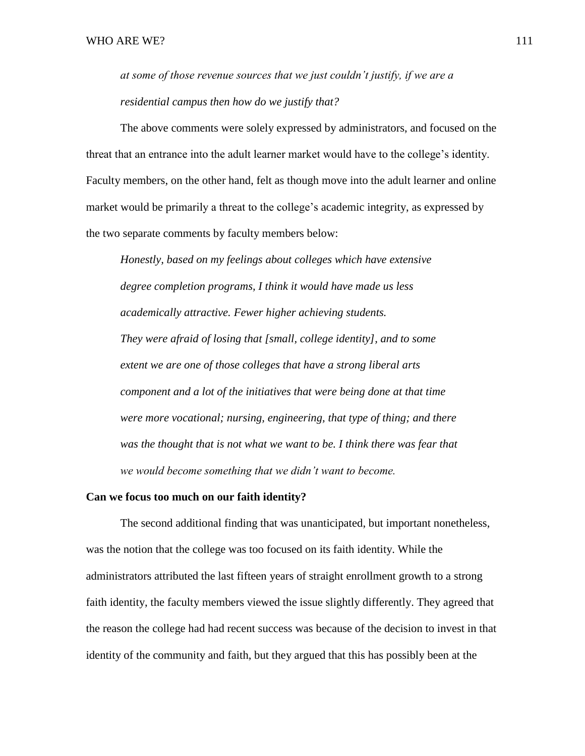*at some of those revenue sources that we just couldn't justify, if we are a residential campus then how do we justify that?*

The above comments were solely expressed by administrators, and focused on the threat that an entrance into the adult learner market would have to the college's identity. Faculty members, on the other hand, felt as though move into the adult learner and online market would be primarily a threat to the college's academic integrity, as expressed by the two separate comments by faculty members below:

*Honestly, based on my feelings about colleges which have extensive degree completion programs, I think it would have made us less academically attractive. Fewer higher achieving students. They were afraid of losing that [small, college identity], and to some extent we are one of those colleges that have a strong liberal arts component and a lot of the initiatives that were being done at that time were more vocational; nursing, engineering, that type of thing; and there*  was the thought that is not what we want to be. I think there was fear that *we would become something that we didn't want to become.* 

#### **Can we focus too much on our faith identity?**

The second additional finding that was unanticipated, but important nonetheless, was the notion that the college was too focused on its faith identity. While the administrators attributed the last fifteen years of straight enrollment growth to a strong faith identity, the faculty members viewed the issue slightly differently. They agreed that the reason the college had had recent success was because of the decision to invest in that identity of the community and faith, but they argued that this has possibly been at the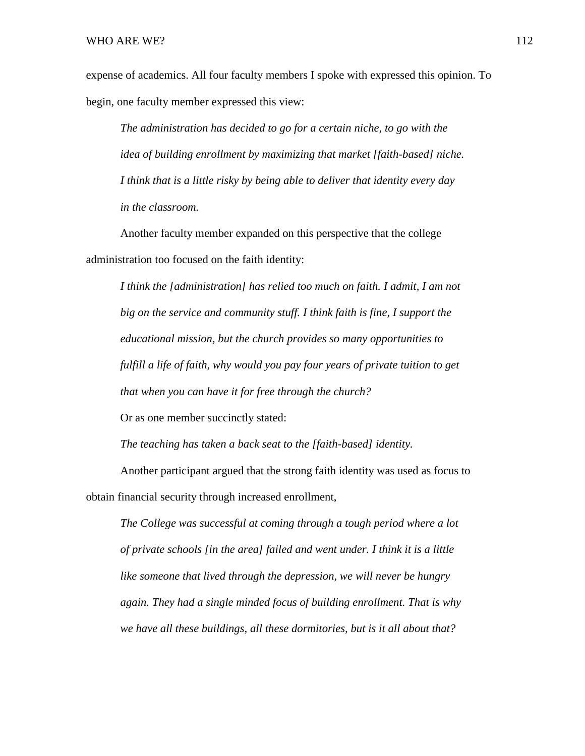expense of academics. All four faculty members I spoke with expressed this opinion. To begin, one faculty member expressed this view:

*The administration has decided to go for a certain niche, to go with the idea of building enrollment by maximizing that market [faith-based] niche. I think that is a little risky by being able to deliver that identity every day in the classroom.* 

Another faculty member expanded on this perspective that the college administration too focused on the faith identity:

*I think the [administration] has relied too much on faith. I admit, I am not big on the service and community stuff. I think faith is fine, I support the educational mission, but the church provides so many opportunities to fulfill a life of faith, why would you pay four years of private tuition to get that when you can have it for free through the church?*

Or as one member succinctly stated:

*The teaching has taken a back seat to the [faith-based] identity.*

Another participant argued that the strong faith identity was used as focus to obtain financial security through increased enrollment,

*The College was successful at coming through a tough period where a lot of private schools [in the area] failed and went under. I think it is a little like someone that lived through the depression, we will never be hungry again. They had a single minded focus of building enrollment. That is why we have all these buildings, all these dormitories, but is it all about that?*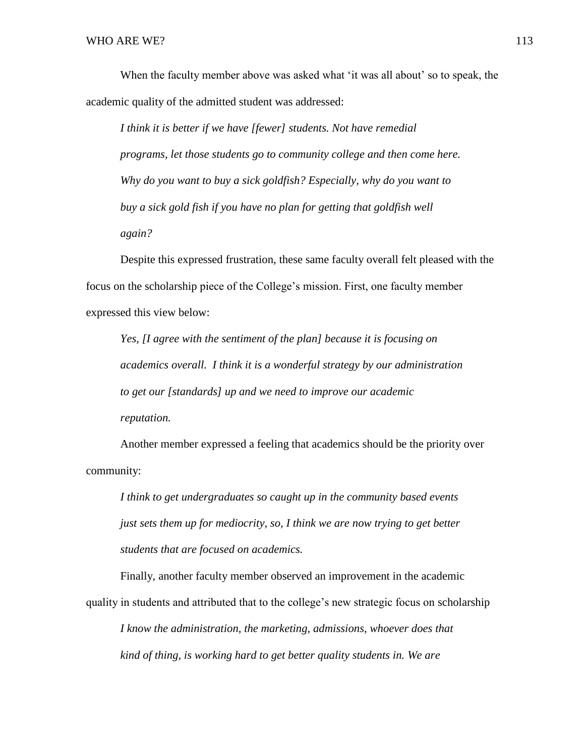When the faculty member above was asked what 'it was all about' so to speak, the academic quality of the admitted student was addressed:

*I think it is better if we have [fewer] students. Not have remedial programs, let those students go to community college and then come here. Why do you want to buy a sick goldfish? Especially, why do you want to buy a sick gold fish if you have no plan for getting that goldfish well again?*

Despite this expressed frustration, these same faculty overall felt pleased with the focus on the scholarship piece of the College's mission. First, one faculty member expressed this view below:

*Yes, [I agree with the sentiment of the plan] because it is focusing on academics overall. I think it is a wonderful strategy by our administration to get our [standards] up and we need to improve our academic reputation.*

Another member expressed a feeling that academics should be the priority over community:

*I think to get undergraduates so caught up in the community based events just sets them up for mediocrity, so, I think we are now trying to get better students that are focused on academics.* 

Finally, another faculty member observed an improvement in the academic quality in students and attributed that to the college's new strategic focus on scholarship

*I know the administration, the marketing, admissions, whoever does that kind of thing, is working hard to get better quality students in. We are*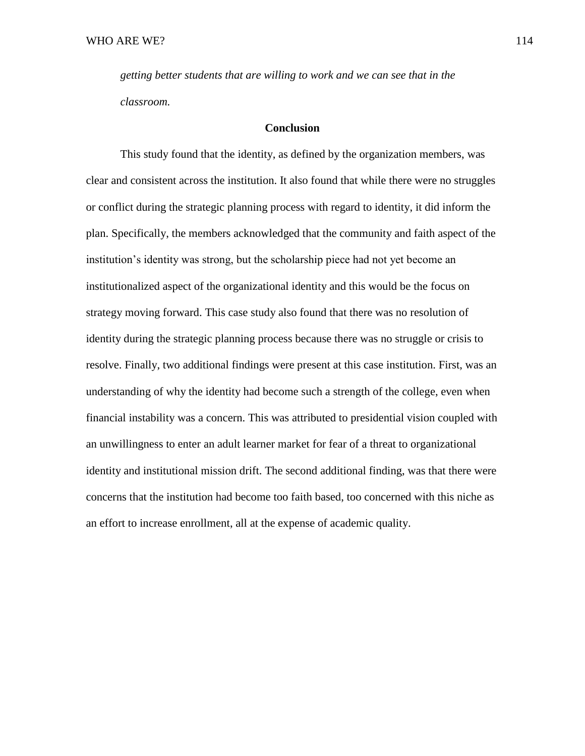*getting better students that are willing to work and we can see that in the classroom.* 

## **Conclusion**

This study found that the identity, as defined by the organization members, was clear and consistent across the institution. It also found that while there were no struggles or conflict during the strategic planning process with regard to identity, it did inform the plan. Specifically, the members acknowledged that the community and faith aspect of the institution's identity was strong, but the scholarship piece had not yet become an institutionalized aspect of the organizational identity and this would be the focus on strategy moving forward. This case study also found that there was no resolution of identity during the strategic planning process because there was no struggle or crisis to resolve. Finally, two additional findings were present at this case institution. First, was an understanding of why the identity had become such a strength of the college, even when financial instability was a concern. This was attributed to presidential vision coupled with an unwillingness to enter an adult learner market for fear of a threat to organizational identity and institutional mission drift. The second additional finding, was that there were concerns that the institution had become too faith based, too concerned with this niche as an effort to increase enrollment, all at the expense of academic quality.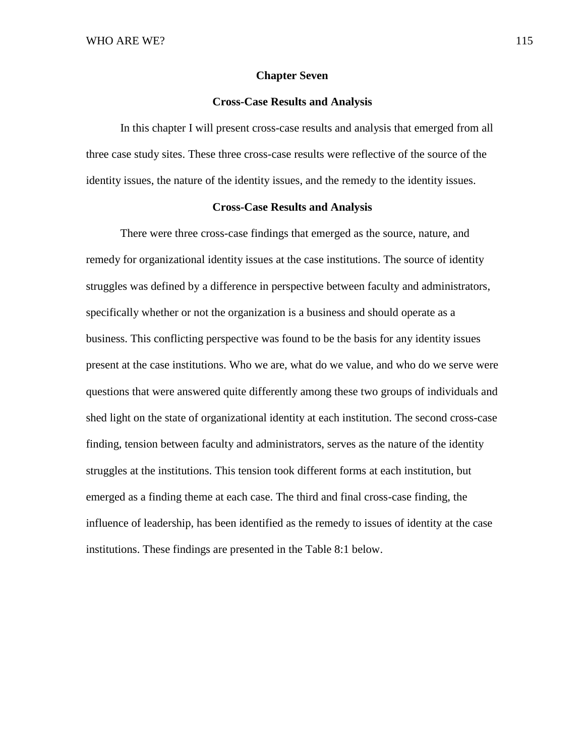#### **Chapter Seven**

#### **Cross-Case Results and Analysis**

In this chapter I will present cross-case results and analysis that emerged from all three case study sites. These three cross-case results were reflective of the source of the identity issues, the nature of the identity issues, and the remedy to the identity issues.

## **Cross-Case Results and Analysis**

There were three cross-case findings that emerged as the source, nature, and remedy for organizational identity issues at the case institutions. The source of identity struggles was defined by a difference in perspective between faculty and administrators, specifically whether or not the organization is a business and should operate as a business. This conflicting perspective was found to be the basis for any identity issues present at the case institutions. Who we are, what do we value, and who do we serve were questions that were answered quite differently among these two groups of individuals and shed light on the state of organizational identity at each institution. The second cross-case finding, tension between faculty and administrators, serves as the nature of the identity struggles at the institutions. This tension took different forms at each institution, but emerged as a finding theme at each case. The third and final cross-case finding, the influence of leadership, has been identified as the remedy to issues of identity at the case institutions. These findings are presented in the Table 8:1 below.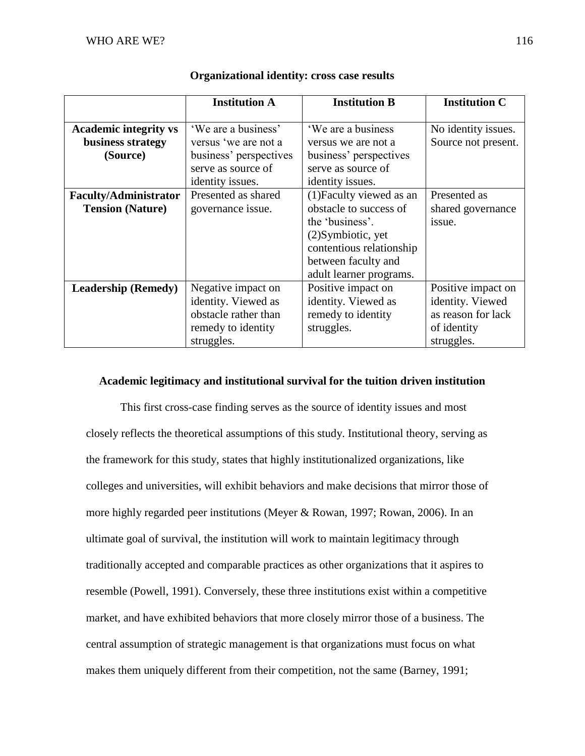|                              | <b>Institution A</b>   | <b>Institution B</b>     | <b>Institution C</b> |
|------------------------------|------------------------|--------------------------|----------------------|
|                              |                        |                          |                      |
| <b>Academic integrity vs</b> | 'We are a business'    | 'We are a business       | No identity issues.  |
| business strategy            | versus 'we are not a   | versus we are not a      | Source not present.  |
| (Source)                     | business' perspectives | business' perspectives   |                      |
|                              | serve as source of     | serve as source of       |                      |
|                              | identity issues.       | identity issues.         |                      |
| <b>Faculty/Administrator</b> | Presented as shared    | (1) Faculty viewed as an | Presented as         |
| <b>Tension (Nature)</b>      | governance issue.      | obstacle to success of   | shared governance    |
|                              |                        | the 'business'.          | issue.               |
|                              |                        | (2) Symbiotic, yet       |                      |
|                              |                        | contentious relationship |                      |
|                              |                        | between faculty and      |                      |
|                              |                        | adult learner programs.  |                      |
| <b>Leadership (Remedy)</b>   | Negative impact on     | Positive impact on       | Positive impact on   |
|                              | identity. Viewed as    | identity. Viewed as      | identity. Viewed     |
|                              | obstacle rather than   | remedy to identity       | as reason for lack   |
|                              | remedy to identity     | struggles.               | of identity          |
|                              | struggles.             |                          | struggles.           |

# **Organizational identity: cross case results**

# **Academic legitimacy and institutional survival for the tuition driven institution**

This first cross-case finding serves as the source of identity issues and most closely reflects the theoretical assumptions of this study. Institutional theory, serving as the framework for this study, states that highly institutionalized organizations, like colleges and universities, will exhibit behaviors and make decisions that mirror those of more highly regarded peer institutions (Meyer & Rowan, 1997; Rowan, 2006). In an ultimate goal of survival, the institution will work to maintain legitimacy through traditionally accepted and comparable practices as other organizations that it aspires to resemble (Powell, 1991). Conversely, these three institutions exist within a competitive market, and have exhibited behaviors that more closely mirror those of a business. The central assumption of strategic management is that organizations must focus on what makes them uniquely different from their competition, not the same (Barney, 1991;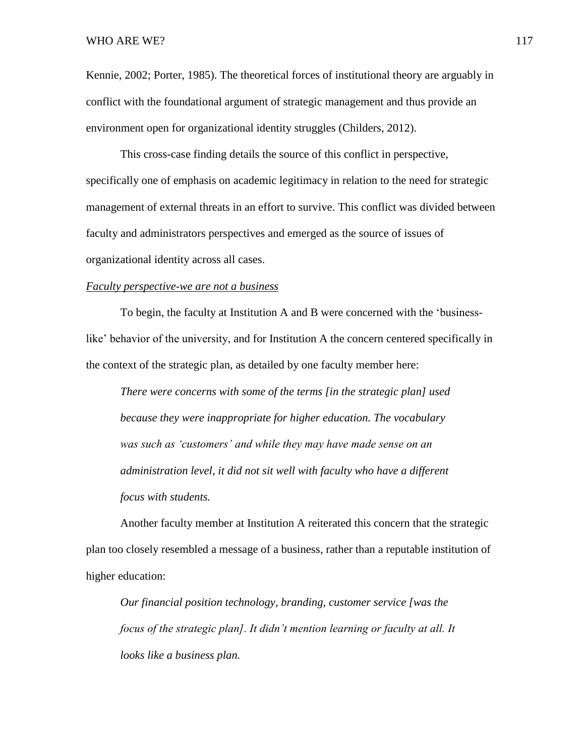Kennie, 2002; Porter, 1985). The theoretical forces of institutional theory are arguably in conflict with the foundational argument of strategic management and thus provide an environment open for organizational identity struggles (Childers, 2012).

This cross-case finding details the source of this conflict in perspective, specifically one of emphasis on academic legitimacy in relation to the need for strategic management of external threats in an effort to survive. This conflict was divided between faculty and administrators perspectives and emerged as the source of issues of organizational identity across all cases.

### *Faculty perspective-we are not a business*

To begin, the faculty at Institution A and B were concerned with the 'businesslike' behavior of the university, and for Institution A the concern centered specifically in the context of the strategic plan, as detailed by one faculty member here:

*There were concerns with some of the terms [in the strategic plan] used because they were inappropriate for higher education. The vocabulary was such as 'customers' and while they may have made sense on an administration level, it did not sit well with faculty who have a different focus with students.* 

Another faculty member at Institution A reiterated this concern that the strategic plan too closely resembled a message of a business, rather than a reputable institution of higher education:

*Our financial position technology, branding, customer service [was the focus of the strategic plan]. It didn't mention learning or faculty at all. It looks like a business plan.*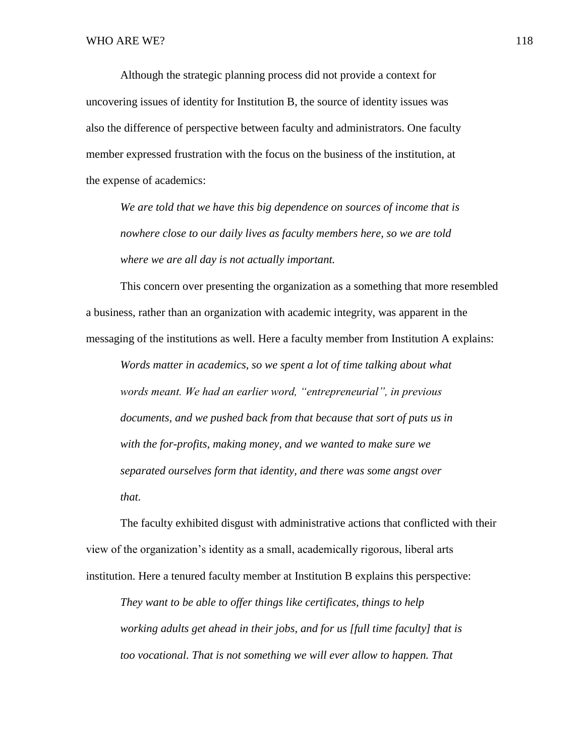Although the strategic planning process did not provide a context for uncovering issues of identity for Institution B, the source of identity issues was also the difference of perspective between faculty and administrators. One faculty member expressed frustration with the focus on the business of the institution, at the expense of academics:

*We are told that we have this big dependence on sources of income that is nowhere close to our daily lives as faculty members here, so we are told where we are all day is not actually important.*

This concern over presenting the organization as a something that more resembled a business, rather than an organization with academic integrity, was apparent in the messaging of the institutions as well. Here a faculty member from Institution A explains:

*Words matter in academics, so we spent a lot of time talking about what words meant. We had an earlier word, "entrepreneurial", in previous documents, and we pushed back from that because that sort of puts us in with the for-profits, making money, and we wanted to make sure we separated ourselves form that identity, and there was some angst over that.*

The faculty exhibited disgust with administrative actions that conflicted with their view of the organization's identity as a small, academically rigorous, liberal arts institution. Here a tenured faculty member at Institution B explains this perspective:

*They want to be able to offer things like certificates, things to help working adults get ahead in their jobs, and for us [full time faculty] that is too vocational. That is not something we will ever allow to happen. That*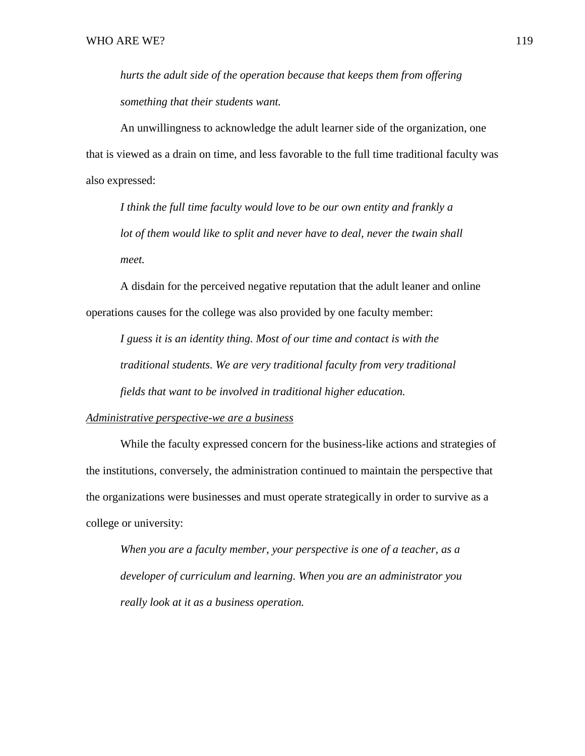*hurts the adult side of the operation because that keeps them from offering something that their students want.*

An unwillingness to acknowledge the adult learner side of the organization, one that is viewed as a drain on time, and less favorable to the full time traditional faculty was also expressed:

*I think the full time faculty would love to be our own entity and frankly a lot of them would like to split and never have to deal, never the twain shall meet.*

A disdain for the perceived negative reputation that the adult leaner and online operations causes for the college was also provided by one faculty member:

*I guess it is an identity thing. Most of our time and contact is with the traditional students. We are very traditional faculty from very traditional fields that want to be involved in traditional higher education.* 

## *Administrative perspective-we are a business*

While the faculty expressed concern for the business-like actions and strategies of the institutions, conversely, the administration continued to maintain the perspective that the organizations were businesses and must operate strategically in order to survive as a college or university:

*When you are a faculty member, your perspective is one of a teacher, as a developer of curriculum and learning. When you are an administrator you really look at it as a business operation.*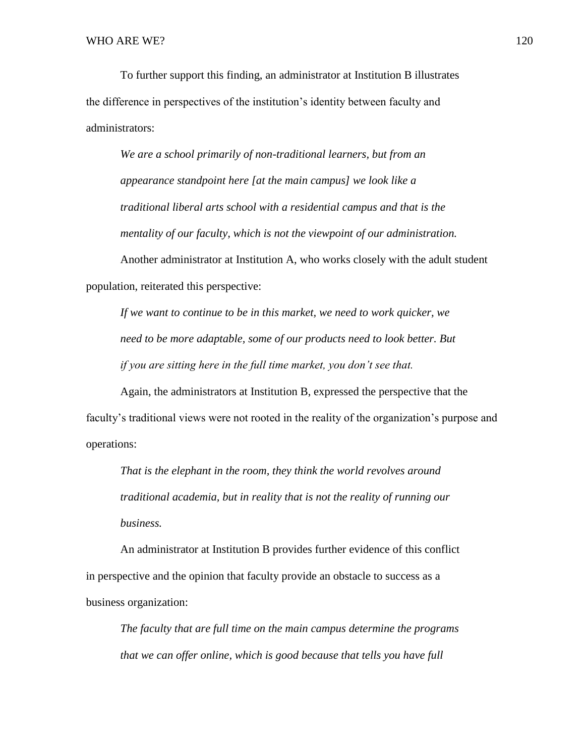To further support this finding, an administrator at Institution B illustrates the difference in perspectives of the institution's identity between faculty and administrators:

*We are a school primarily of non-traditional learners, but from an appearance standpoint here [at the main campus] we look like a traditional liberal arts school with a residential campus and that is the mentality of our faculty, which is not the viewpoint of our administration.*

Another administrator at Institution A, who works closely with the adult student population, reiterated this perspective:

*If we want to continue to be in this market, we need to work quicker, we need to be more adaptable, some of our products need to look better. But if you are sitting here in the full time market, you don't see that.* 

Again, the administrators at Institution B, expressed the perspective that the faculty's traditional views were not rooted in the reality of the organization's purpose and operations:

*That is the elephant in the room, they think the world revolves around traditional academia, but in reality that is not the reality of running our business.* 

An administrator at Institution B provides further evidence of this conflict in perspective and the opinion that faculty provide an obstacle to success as a business organization:

*The faculty that are full time on the main campus determine the programs that we can offer online, which is good because that tells you have full*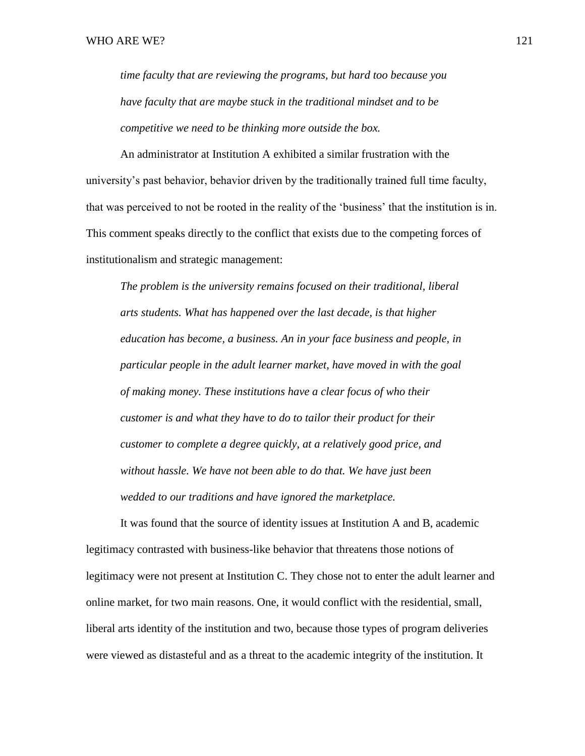*time faculty that are reviewing the programs, but hard too because you have faculty that are maybe stuck in the traditional mindset and to be competitive we need to be thinking more outside the box.*

An administrator at Institution A exhibited a similar frustration with the university's past behavior, behavior driven by the traditionally trained full time faculty, that was perceived to not be rooted in the reality of the 'business' that the institution is in. This comment speaks directly to the conflict that exists due to the competing forces of institutionalism and strategic management:

*The problem is the university remains focused on their traditional, liberal arts students. What has happened over the last decade, is that higher education has become, a business. An in your face business and people, in particular people in the adult learner market, have moved in with the goal of making money. These institutions have a clear focus of who their customer is and what they have to do to tailor their product for their customer to complete a degree quickly, at a relatively good price, and without hassle. We have not been able to do that. We have just been wedded to our traditions and have ignored the marketplace.* 

It was found that the source of identity issues at Institution A and B, academic legitimacy contrasted with business-like behavior that threatens those notions of legitimacy were not present at Institution C. They chose not to enter the adult learner and online market, for two main reasons. One, it would conflict with the residential, small, liberal arts identity of the institution and two, because those types of program deliveries were viewed as distasteful and as a threat to the academic integrity of the institution. It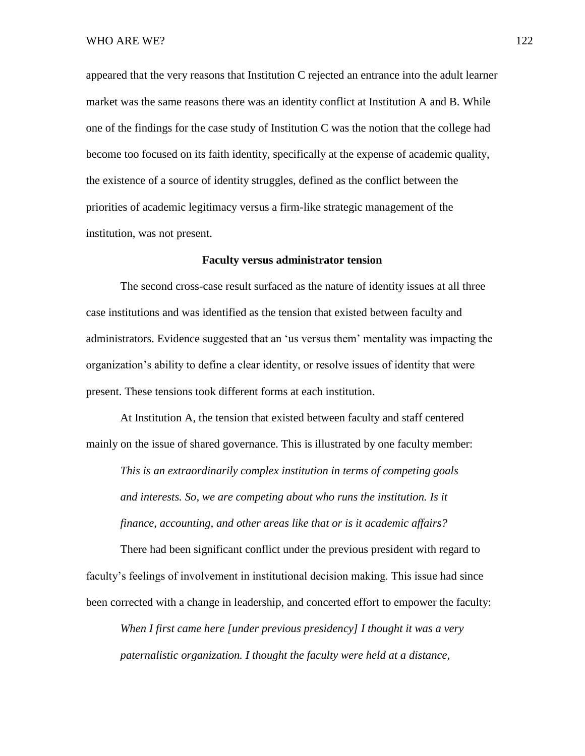appeared that the very reasons that Institution C rejected an entrance into the adult learner market was the same reasons there was an identity conflict at Institution A and B. While one of the findings for the case study of Institution C was the notion that the college had become too focused on its faith identity, specifically at the expense of academic quality, the existence of a source of identity struggles, defined as the conflict between the priorities of academic legitimacy versus a firm-like strategic management of the institution, was not present.

### **Faculty versus administrator tension**

The second cross-case result surfaced as the nature of identity issues at all three case institutions and was identified as the tension that existed between faculty and administrators. Evidence suggested that an 'us versus them' mentality was impacting the organization's ability to define a clear identity, or resolve issues of identity that were present. These tensions took different forms at each institution.

At Institution A, the tension that existed between faculty and staff centered mainly on the issue of shared governance. This is illustrated by one faculty member:

*This is an extraordinarily complex institution in terms of competing goals and interests. So, we are competing about who runs the institution. Is it finance, accounting, and other areas like that or is it academic affairs?*

There had been significant conflict under the previous president with regard to faculty's feelings of involvement in institutional decision making. This issue had since been corrected with a change in leadership, and concerted effort to empower the faculty:

*When I first came here [under previous presidency] I thought it was a very paternalistic organization. I thought the faculty were held at a distance,*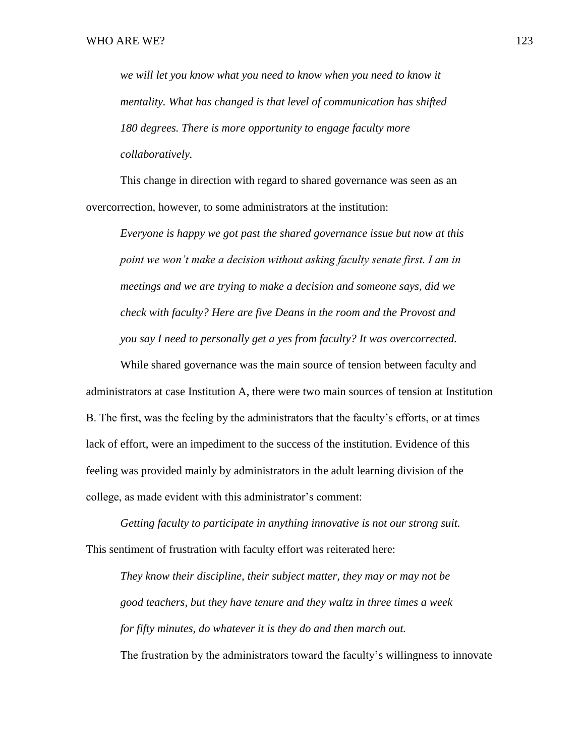*we will let you know what you need to know when you need to know it mentality. What has changed is that level of communication has shifted 180 degrees. There is more opportunity to engage faculty more collaboratively.* 

This change in direction with regard to shared governance was seen as an overcorrection, however, to some administrators at the institution:

*Everyone is happy we got past the shared governance issue but now at this point we won't make a decision without asking faculty senate first. I am in meetings and we are trying to make a decision and someone says, did we check with faculty? Here are five Deans in the room and the Provost and you say I need to personally get a yes from faculty? It was overcorrected.* 

While shared governance was the main source of tension between faculty and administrators at case Institution A, there were two main sources of tension at Institution B. The first, was the feeling by the administrators that the faculty's efforts, or at times lack of effort, were an impediment to the success of the institution. Evidence of this feeling was provided mainly by administrators in the adult learning division of the college, as made evident with this administrator's comment:

*Getting faculty to participate in anything innovative is not our strong suit.* This sentiment of frustration with faculty effort was reiterated here:

*They know their discipline, their subject matter, they may or may not be good teachers, but they have tenure and they waltz in three times a week for fifty minutes, do whatever it is they do and then march out.* The frustration by the administrators toward the faculty's willingness to innovate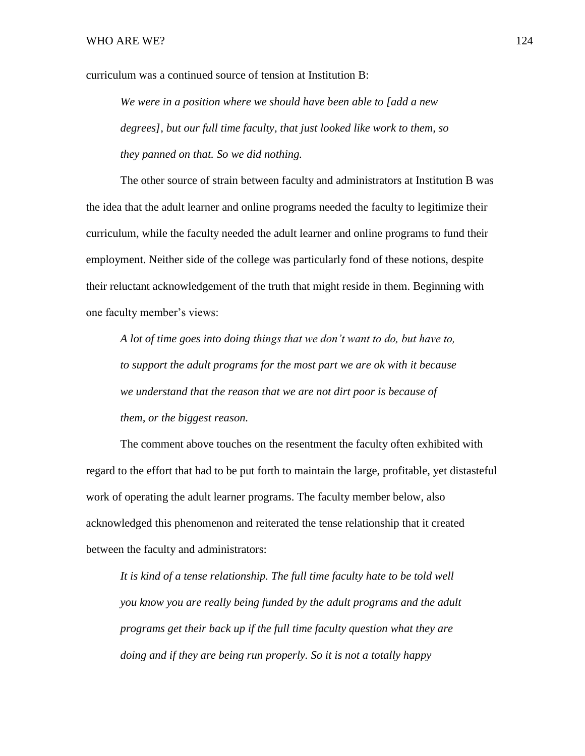curriculum was a continued source of tension at Institution B:

*We were in a position where we should have been able to [add a new degrees], but our full time faculty, that just looked like work to them, so they panned on that. So we did nothing.* 

The other source of strain between faculty and administrators at Institution B was the idea that the adult learner and online programs needed the faculty to legitimize their curriculum, while the faculty needed the adult learner and online programs to fund their employment. Neither side of the college was particularly fond of these notions, despite their reluctant acknowledgement of the truth that might reside in them. Beginning with one faculty member's views:

*A lot of time goes into doing things that we don't want to do, but have to, to support the adult programs for the most part we are ok with it because we understand that the reason that we are not dirt poor is because of them, or the biggest reason.*

The comment above touches on the resentment the faculty often exhibited with regard to the effort that had to be put forth to maintain the large, profitable, yet distasteful work of operating the adult learner programs. The faculty member below, also acknowledged this phenomenon and reiterated the tense relationship that it created between the faculty and administrators:

*It is kind of a tense relationship. The full time faculty hate to be told well you know you are really being funded by the adult programs and the adult programs get their back up if the full time faculty question what they are doing and if they are being run properly. So it is not a totally happy*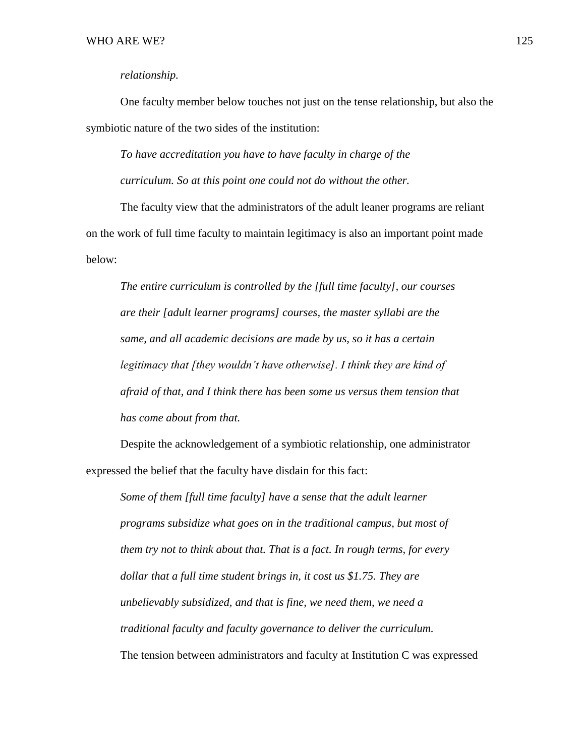## *relationship.*

One faculty member below touches not just on the tense relationship, but also the symbiotic nature of the two sides of the institution:

*To have accreditation you have to have faculty in charge of the curriculum. So at this point one could not do without the other.* 

The faculty view that the administrators of the adult leaner programs are reliant on the work of full time faculty to maintain legitimacy is also an important point made below:

*The entire curriculum is controlled by the [full time faculty], our courses are their [adult learner programs] courses, the master syllabi are the same, and all academic decisions are made by us, so it has a certain legitimacy that [they wouldn't have otherwise]. I think they are kind of afraid of that, and I think there has been some us versus them tension that has come about from that.*

Despite the acknowledgement of a symbiotic relationship, one administrator expressed the belief that the faculty have disdain for this fact:

*Some of them [full time faculty] have a sense that the adult learner programs subsidize what goes on in the traditional campus, but most of them try not to think about that. That is a fact. In rough terms, for every dollar that a full time student brings in, it cost us \$1.75. They are unbelievably subsidized, and that is fine, we need them, we need a traditional faculty and faculty governance to deliver the curriculum.* The tension between administrators and faculty at Institution C was expressed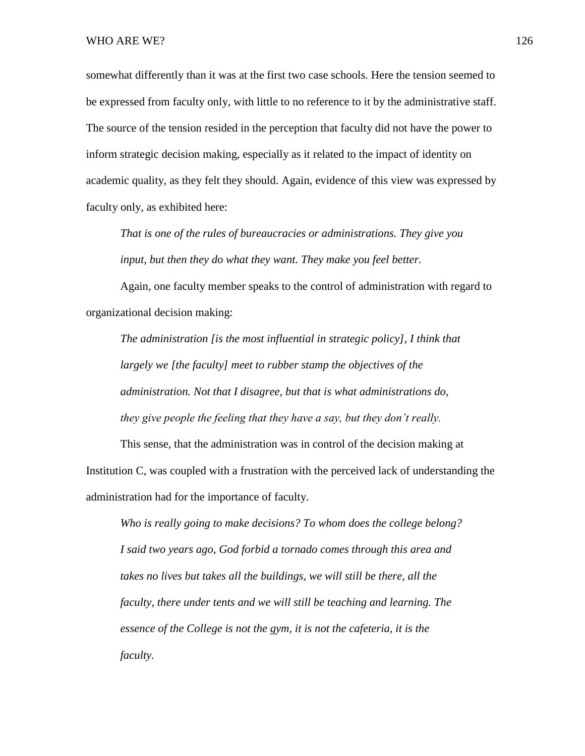somewhat differently than it was at the first two case schools. Here the tension seemed to be expressed from faculty only, with little to no reference to it by the administrative staff. The source of the tension resided in the perception that faculty did not have the power to inform strategic decision making, especially as it related to the impact of identity on academic quality, as they felt they should. Again, evidence of this view was expressed by faculty only, as exhibited here:

*That is one of the rules of bureaucracies or administrations. They give you input, but then they do what they want. They make you feel better.* 

Again, one faculty member speaks to the control of administration with regard to organizational decision making:

*The administration [is the most influential in strategic policy], I think that largely we [the faculty] meet to rubber stamp the objectives of the administration. Not that I disagree, but that is what administrations do, they give people the feeling that they have a say, but they don't really.* 

This sense, that the administration was in control of the decision making at Institution C, was coupled with a frustration with the perceived lack of understanding the administration had for the importance of faculty.

*Who is really going to make decisions? To whom does the college belong? I said two years ago, God forbid a tornado comes through this area and takes no lives but takes all the buildings, we will still be there, all the faculty, there under tents and we will still be teaching and learning. The essence of the College is not the gym, it is not the cafeteria, it is the faculty.*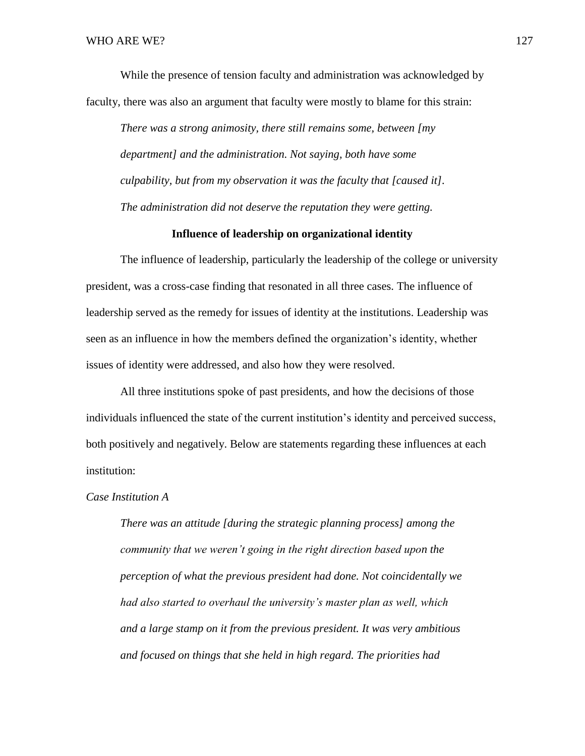While the presence of tension faculty and administration was acknowledged by faculty, there was also an argument that faculty were mostly to blame for this strain:

*There was a strong animosity, there still remains some, between [my department] and the administration. Not saying, both have some culpability, but from my observation it was the faculty that [caused it]. The administration did not deserve the reputation they were getting.* 

## **Influence of leadership on organizational identity**

The influence of leadership, particularly the leadership of the college or university president, was a cross-case finding that resonated in all three cases. The influence of leadership served as the remedy for issues of identity at the institutions. Leadership was seen as an influence in how the members defined the organization's identity, whether issues of identity were addressed, and also how they were resolved.

All three institutions spoke of past presidents, and how the decisions of those individuals influenced the state of the current institution's identity and perceived success, both positively and negatively. Below are statements regarding these influences at each institution:

## *Case Institution A*

*There was an attitude [during the strategic planning process] among the community that we weren't going in the right direction based upon the perception of what the previous president had done. Not coincidentally we had also started to overhaul the university's master plan as well, which and a large stamp on it from the previous president. It was very ambitious and focused on things that she held in high regard. The priorities had*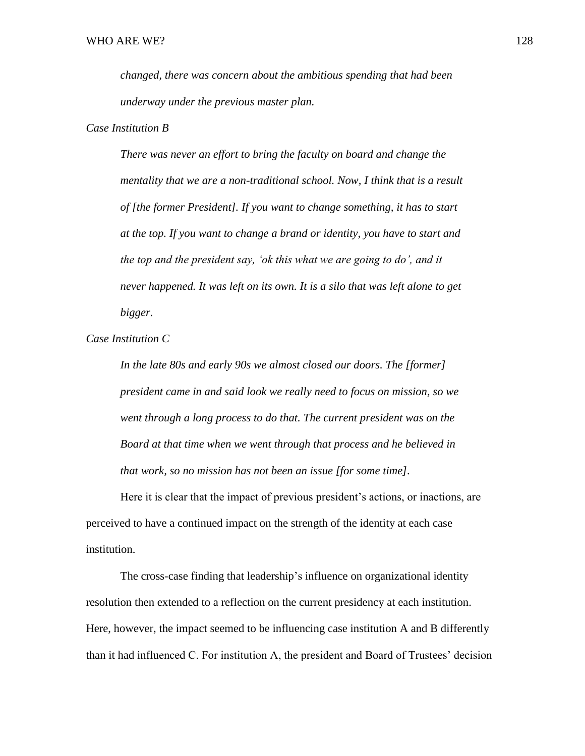*changed, there was concern about the ambitious spending that had been underway under the previous master plan.* 

### *Case Institution B*

*There was never an effort to bring the faculty on board and change the mentality that we are a non-traditional school. Now, I think that is a result of [the former President]. If you want to change something, it has to start at the top. If you want to change a brand or identity, you have to start and the top and the president say, 'ok this what we are going to do', and it never happened. It was left on its own. It is a silo that was left alone to get bigger.* 

*Case Institution C*

*In the late 80s and early 90s we almost closed our doors. The [former] president came in and said look we really need to focus on mission, so we went through a long process to do that. The current president was on the Board at that time when we went through that process and he believed in that work, so no mission has not been an issue [for some time].*

Here it is clear that the impact of previous president's actions, or inactions, are perceived to have a continued impact on the strength of the identity at each case institution.

The cross-case finding that leadership's influence on organizational identity resolution then extended to a reflection on the current presidency at each institution. Here, however, the impact seemed to be influencing case institution A and B differently than it had influenced C. For institution A, the president and Board of Trustees' decision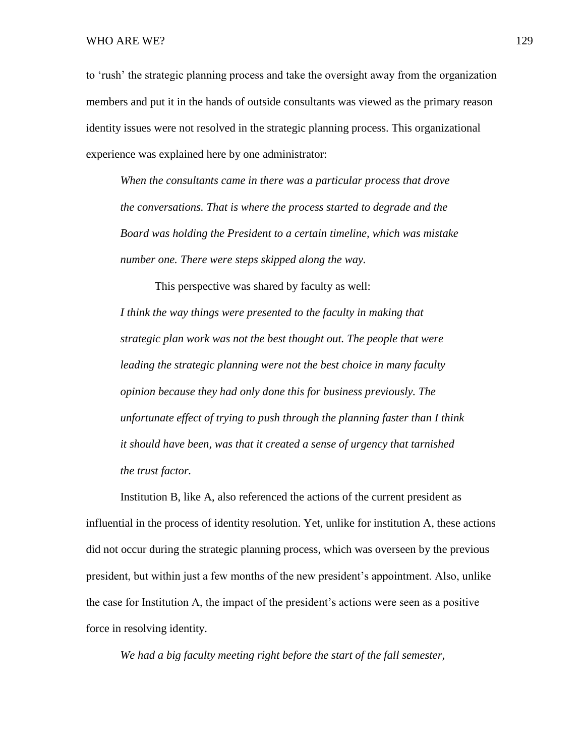to 'rush' the strategic planning process and take the oversight away from the organization members and put it in the hands of outside consultants was viewed as the primary reason identity issues were not resolved in the strategic planning process. This organizational experience was explained here by one administrator:

*When the consultants came in there was a particular process that drove the conversations. That is where the process started to degrade and the Board was holding the President to a certain timeline, which was mistake number one. There were steps skipped along the way.*

This perspective was shared by faculty as well: *I think the way things were presented to the faculty in making that strategic plan work was not the best thought out. The people that were leading the strategic planning were not the best choice in many faculty opinion because they had only done this for business previously. The unfortunate effect of trying to push through the planning faster than I think it should have been, was that it created a sense of urgency that tarnished the trust factor.* 

Institution B, like A, also referenced the actions of the current president as influential in the process of identity resolution. Yet, unlike for institution A, these actions did not occur during the strategic planning process, which was overseen by the previous president, but within just a few months of the new president's appointment. Also, unlike the case for Institution A, the impact of the president's actions were seen as a positive force in resolving identity.

*We had a big faculty meeting right before the start of the fall semester,*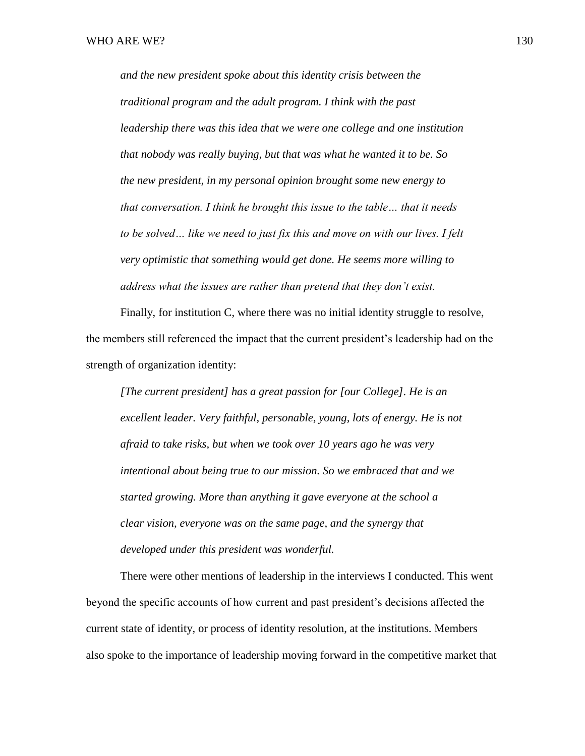*and the new president spoke about this identity crisis between the traditional program and the adult program. I think with the past leadership there was this idea that we were one college and one institution that nobody was really buying, but that was what he wanted it to be. So the new president, in my personal opinion brought some new energy to that conversation. I think he brought this issue to the table… that it needs to be solved… like we need to just fix this and move on with our lives. I felt very optimistic that something would get done. He seems more willing to address what the issues are rather than pretend that they don't exist.* 

Finally, for institution C, where there was no initial identity struggle to resolve, the members still referenced the impact that the current president's leadership had on the strength of organization identity:

*[The current president] has a great passion for [our College]. He is an*  excellent leader. Very faithful, personable, young, lots of energy. He is not *afraid to take risks, but when we took over 10 years ago he was very intentional about being true to our mission. So we embraced that and we started growing. More than anything it gave everyone at the school a clear vision, everyone was on the same page, and the synergy that developed under this president was wonderful.*

There were other mentions of leadership in the interviews I conducted. This went beyond the specific accounts of how current and past president's decisions affected the current state of identity, or process of identity resolution, at the institutions. Members also spoke to the importance of leadership moving forward in the competitive market that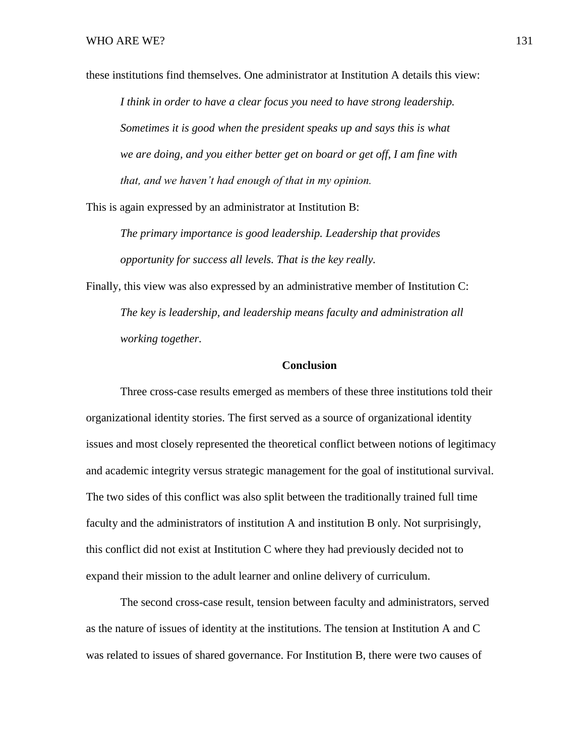these institutions find themselves. One administrator at Institution A details this view: *I think in order to have a clear focus you need to have strong leadership. Sometimes it is good when the president speaks up and says this is what we are doing, and you either better get on board or get off, I am fine with that, and we haven't had enough of that in my opinion.*

This is again expressed by an administrator at Institution B:

*The primary importance is good leadership. Leadership that provides opportunity for success all levels. That is the key really.*

Finally, this view was also expressed by an administrative member of Institution C: *The key is leadership, and leadership means faculty and administration all working together.* 

#### **Conclusion**

Three cross-case results emerged as members of these three institutions told their organizational identity stories. The first served as a source of organizational identity issues and most closely represented the theoretical conflict between notions of legitimacy and academic integrity versus strategic management for the goal of institutional survival. The two sides of this conflict was also split between the traditionally trained full time faculty and the administrators of institution A and institution B only. Not surprisingly, this conflict did not exist at Institution C where they had previously decided not to expand their mission to the adult learner and online delivery of curriculum.

The second cross-case result, tension between faculty and administrators, served as the nature of issues of identity at the institutions. The tension at Institution A and C was related to issues of shared governance. For Institution B, there were two causes of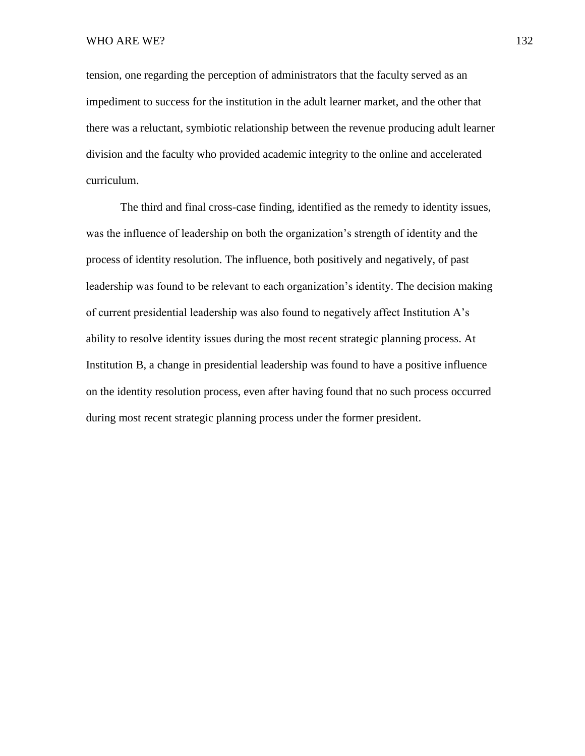tension, one regarding the perception of administrators that the faculty served as an impediment to success for the institution in the adult learner market, and the other that there was a reluctant, symbiotic relationship between the revenue producing adult learner division and the faculty who provided academic integrity to the online and accelerated curriculum.

The third and final cross-case finding, identified as the remedy to identity issues, was the influence of leadership on both the organization's strength of identity and the process of identity resolution. The influence, both positively and negatively, of past leadership was found to be relevant to each organization's identity. The decision making of current presidential leadership was also found to negatively affect Institution A's ability to resolve identity issues during the most recent strategic planning process. At Institution B, a change in presidential leadership was found to have a positive influence on the identity resolution process, even after having found that no such process occurred during most recent strategic planning process under the former president.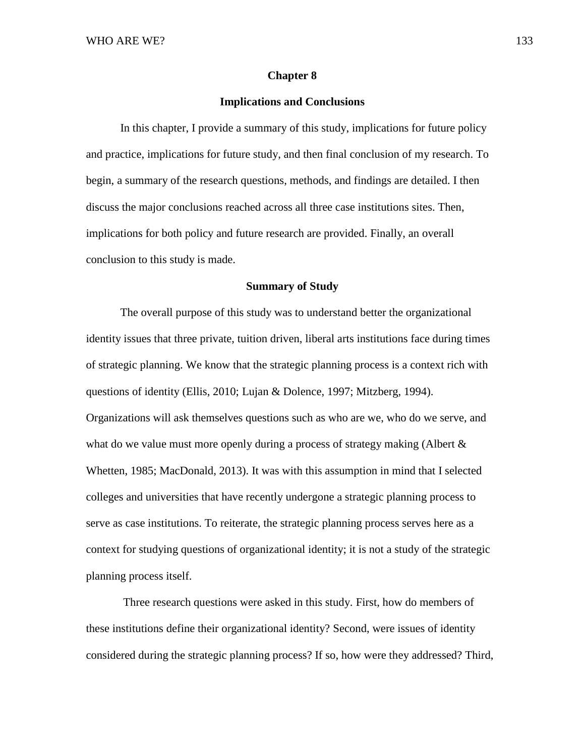#### **Chapter 8**

## **Implications and Conclusions**

In this chapter, I provide a summary of this study, implications for future policy and practice, implications for future study, and then final conclusion of my research. To begin, a summary of the research questions, methods, and findings are detailed. I then discuss the major conclusions reached across all three case institutions sites. Then, implications for both policy and future research are provided. Finally, an overall conclusion to this study is made.

#### **Summary of Study**

The overall purpose of this study was to understand better the organizational identity issues that three private, tuition driven, liberal arts institutions face during times of strategic planning. We know that the strategic planning process is a context rich with questions of identity (Ellis, 2010; Lujan & Dolence, 1997; Mitzberg, 1994). Organizations will ask themselves questions such as who are we, who do we serve, and what do we value must more openly during a process of strategy making (Albert  $\&$ Whetten, 1985; MacDonald, 2013). It was with this assumption in mind that I selected colleges and universities that have recently undergone a strategic planning process to serve as case institutions. To reiterate, the strategic planning process serves here as a context for studying questions of organizational identity; it is not a study of the strategic planning process itself.

Three research questions were asked in this study. First, how do members of these institutions define their organizational identity? Second, were issues of identity considered during the strategic planning process? If so, how were they addressed? Third,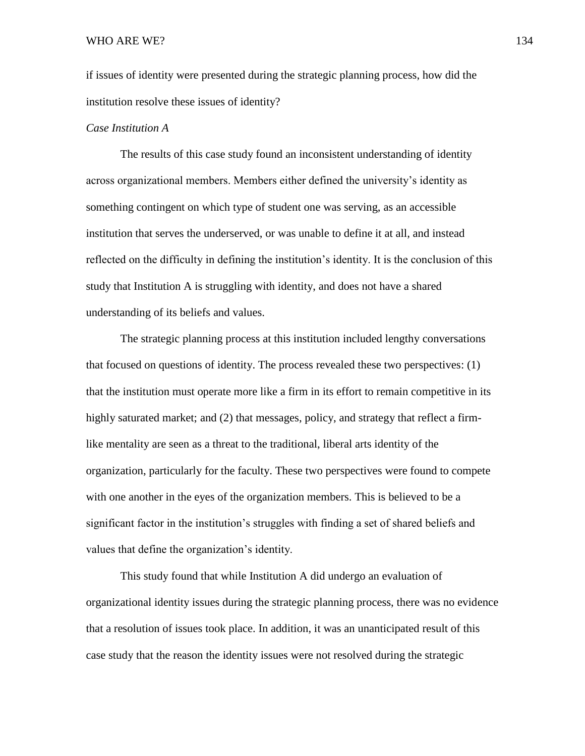if issues of identity were presented during the strategic planning process, how did the institution resolve these issues of identity?

## *Case Institution A*

The results of this case study found an inconsistent understanding of identity across organizational members. Members either defined the university's identity as something contingent on which type of student one was serving, as an accessible institution that serves the underserved, or was unable to define it at all, and instead reflected on the difficulty in defining the institution's identity. It is the conclusion of this study that Institution A is struggling with identity, and does not have a shared understanding of its beliefs and values.

The strategic planning process at this institution included lengthy conversations that focused on questions of identity. The process revealed these two perspectives: (1) that the institution must operate more like a firm in its effort to remain competitive in its highly saturated market; and (2) that messages, policy, and strategy that reflect a firmlike mentality are seen as a threat to the traditional, liberal arts identity of the organization, particularly for the faculty. These two perspectives were found to compete with one another in the eyes of the organization members. This is believed to be a significant factor in the institution's struggles with finding a set of shared beliefs and values that define the organization's identity.

This study found that while Institution A did undergo an evaluation of organizational identity issues during the strategic planning process, there was no evidence that a resolution of issues took place. In addition, it was an unanticipated result of this case study that the reason the identity issues were not resolved during the strategic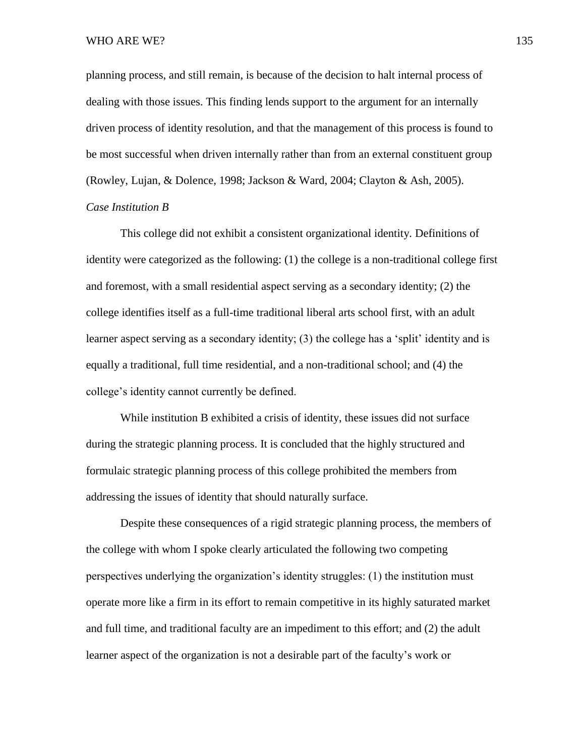planning process, and still remain, is because of the decision to halt internal process of dealing with those issues. This finding lends support to the argument for an internally driven process of identity resolution, and that the management of this process is found to be most successful when driven internally rather than from an external constituent group (Rowley, Lujan, & Dolence, 1998; Jackson & Ward, 2004; Clayton & Ash, 2005). *Case Institution B*

This college did not exhibit a consistent organizational identity. Definitions of identity were categorized as the following: (1) the college is a non-traditional college first and foremost, with a small residential aspect serving as a secondary identity; (2) the college identifies itself as a full-time traditional liberal arts school first, with an adult learner aspect serving as a secondary identity; (3) the college has a 'split' identity and is equally a traditional, full time residential, and a non-traditional school; and (4) the college's identity cannot currently be defined.

While institution B exhibited a crisis of identity, these issues did not surface during the strategic planning process. It is concluded that the highly structured and formulaic strategic planning process of this college prohibited the members from addressing the issues of identity that should naturally surface.

Despite these consequences of a rigid strategic planning process, the members of the college with whom I spoke clearly articulated the following two competing perspectives underlying the organization's identity struggles: (1) the institution must operate more like a firm in its effort to remain competitive in its highly saturated market and full time, and traditional faculty are an impediment to this effort; and (2) the adult learner aspect of the organization is not a desirable part of the faculty's work or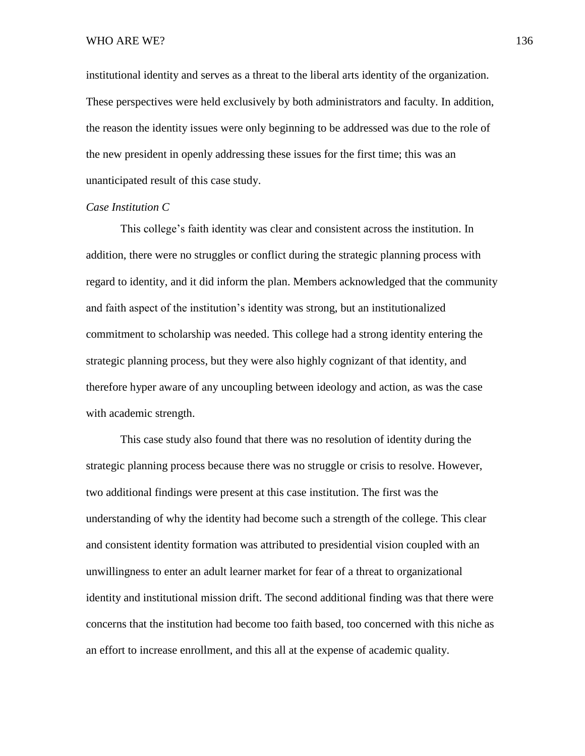#### WHO ARE WE? 136

institutional identity and serves as a threat to the liberal arts identity of the organization. These perspectives were held exclusively by both administrators and faculty. In addition, the reason the identity issues were only beginning to be addressed was due to the role of the new president in openly addressing these issues for the first time; this was an unanticipated result of this case study.

#### *Case Institution C*

This college's faith identity was clear and consistent across the institution. In addition, there were no struggles or conflict during the strategic planning process with regard to identity, and it did inform the plan. Members acknowledged that the community and faith aspect of the institution's identity was strong, but an institutionalized commitment to scholarship was needed. This college had a strong identity entering the strategic planning process, but they were also highly cognizant of that identity, and therefore hyper aware of any uncoupling between ideology and action, as was the case with academic strength.

This case study also found that there was no resolution of identity during the strategic planning process because there was no struggle or crisis to resolve. However, two additional findings were present at this case institution. The first was the understanding of why the identity had become such a strength of the college. This clear and consistent identity formation was attributed to presidential vision coupled with an unwillingness to enter an adult learner market for fear of a threat to organizational identity and institutional mission drift. The second additional finding was that there were concerns that the institution had become too faith based, too concerned with this niche as an effort to increase enrollment, and this all at the expense of academic quality.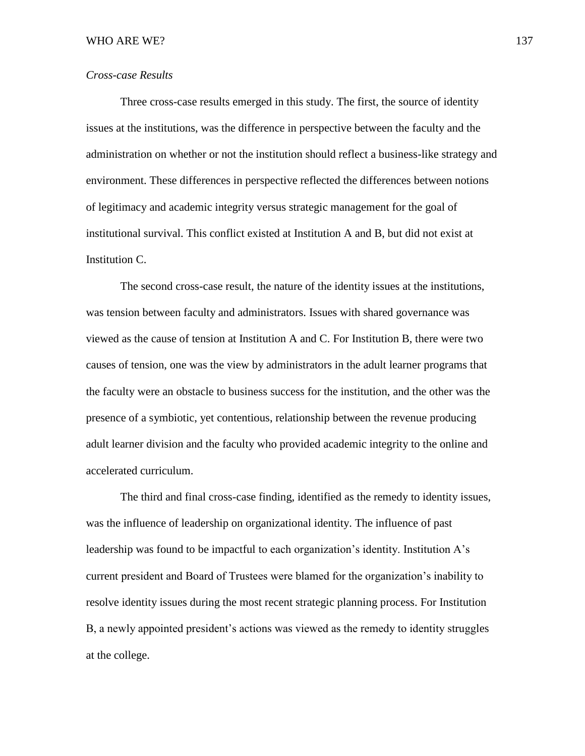## *Cross-case Results*

Three cross-case results emerged in this study. The first, the source of identity issues at the institutions, was the difference in perspective between the faculty and the administration on whether or not the institution should reflect a business-like strategy and environment. These differences in perspective reflected the differences between notions of legitimacy and academic integrity versus strategic management for the goal of institutional survival. This conflict existed at Institution A and B, but did not exist at Institution C.

The second cross-case result, the nature of the identity issues at the institutions, was tension between faculty and administrators. Issues with shared governance was viewed as the cause of tension at Institution A and C. For Institution B, there were two causes of tension, one was the view by administrators in the adult learner programs that the faculty were an obstacle to business success for the institution, and the other was the presence of a symbiotic, yet contentious, relationship between the revenue producing adult learner division and the faculty who provided academic integrity to the online and accelerated curriculum.

The third and final cross-case finding, identified as the remedy to identity issues, was the influence of leadership on organizational identity. The influence of past leadership was found to be impactful to each organization's identity. Institution A's current president and Board of Trustees were blamed for the organization's inability to resolve identity issues during the most recent strategic planning process. For Institution B, a newly appointed president's actions was viewed as the remedy to identity struggles at the college.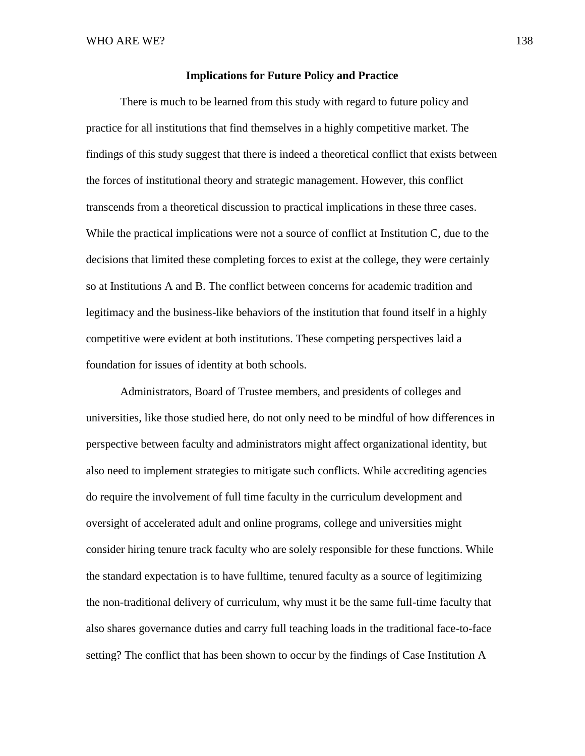### **Implications for Future Policy and Practice**

There is much to be learned from this study with regard to future policy and practice for all institutions that find themselves in a highly competitive market. The findings of this study suggest that there is indeed a theoretical conflict that exists between the forces of institutional theory and strategic management. However, this conflict transcends from a theoretical discussion to practical implications in these three cases. While the practical implications were not a source of conflict at Institution C, due to the decisions that limited these completing forces to exist at the college, they were certainly so at Institutions A and B. The conflict between concerns for academic tradition and legitimacy and the business-like behaviors of the institution that found itself in a highly competitive were evident at both institutions. These competing perspectives laid a foundation for issues of identity at both schools.

Administrators, Board of Trustee members, and presidents of colleges and universities, like those studied here, do not only need to be mindful of how differences in perspective between faculty and administrators might affect organizational identity, but also need to implement strategies to mitigate such conflicts. While accrediting agencies do require the involvement of full time faculty in the curriculum development and oversight of accelerated adult and online programs, college and universities might consider hiring tenure track faculty who are solely responsible for these functions. While the standard expectation is to have fulltime, tenured faculty as a source of legitimizing the non-traditional delivery of curriculum, why must it be the same full-time faculty that also shares governance duties and carry full teaching loads in the traditional face-to-face setting? The conflict that has been shown to occur by the findings of Case Institution A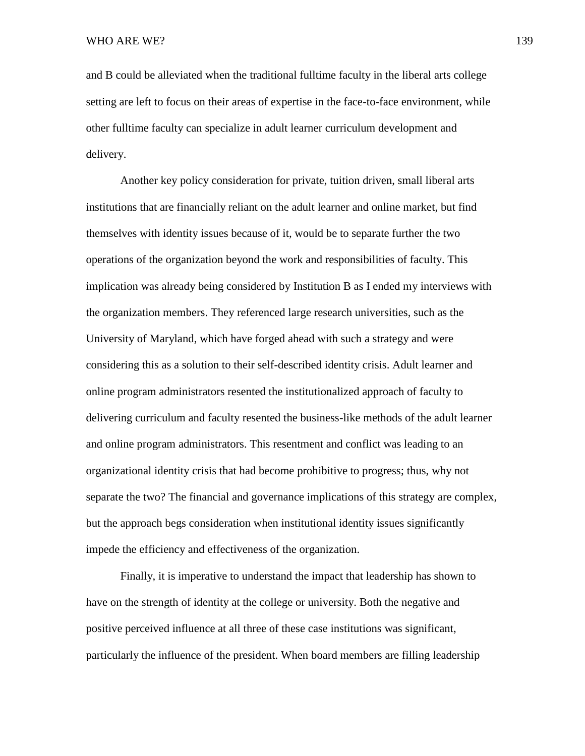and B could be alleviated when the traditional fulltime faculty in the liberal arts college setting are left to focus on their areas of expertise in the face-to-face environment, while other fulltime faculty can specialize in adult learner curriculum development and delivery.

Another key policy consideration for private, tuition driven, small liberal arts institutions that are financially reliant on the adult learner and online market, but find themselves with identity issues because of it, would be to separate further the two operations of the organization beyond the work and responsibilities of faculty. This implication was already being considered by Institution B as I ended my interviews with the organization members. They referenced large research universities, such as the University of Maryland, which have forged ahead with such a strategy and were considering this as a solution to their self-described identity crisis. Adult learner and online program administrators resented the institutionalized approach of faculty to delivering curriculum and faculty resented the business-like methods of the adult learner and online program administrators. This resentment and conflict was leading to an organizational identity crisis that had become prohibitive to progress; thus, why not separate the two? The financial and governance implications of this strategy are complex, but the approach begs consideration when institutional identity issues significantly impede the efficiency and effectiveness of the organization.

Finally, it is imperative to understand the impact that leadership has shown to have on the strength of identity at the college or university. Both the negative and positive perceived influence at all three of these case institutions was significant, particularly the influence of the president. When board members are filling leadership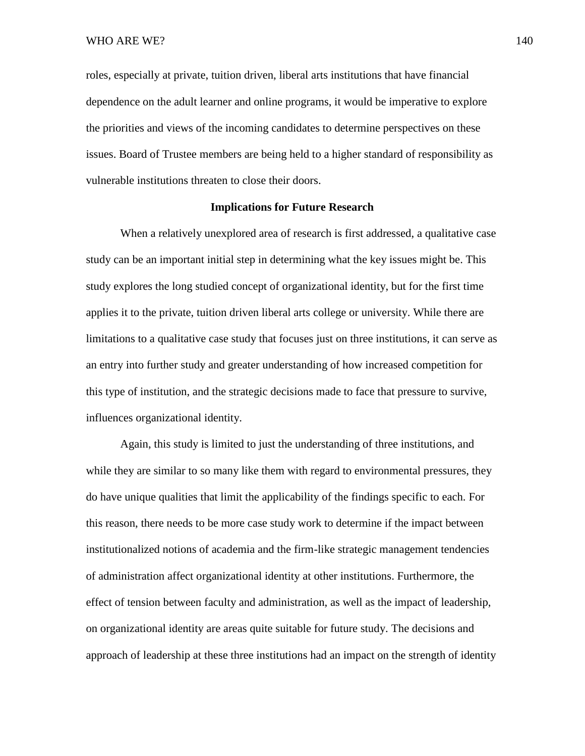roles, especially at private, tuition driven, liberal arts institutions that have financial dependence on the adult learner and online programs, it would be imperative to explore the priorities and views of the incoming candidates to determine perspectives on these issues. Board of Trustee members are being held to a higher standard of responsibility as vulnerable institutions threaten to close their doors.

### **Implications for Future Research**

When a relatively unexplored area of research is first addressed, a qualitative case study can be an important initial step in determining what the key issues might be. This study explores the long studied concept of organizational identity, but for the first time applies it to the private, tuition driven liberal arts college or university. While there are limitations to a qualitative case study that focuses just on three institutions, it can serve as an entry into further study and greater understanding of how increased competition for this type of institution, and the strategic decisions made to face that pressure to survive, influences organizational identity.

Again, this study is limited to just the understanding of three institutions, and while they are similar to so many like them with regard to environmental pressures, they do have unique qualities that limit the applicability of the findings specific to each. For this reason, there needs to be more case study work to determine if the impact between institutionalized notions of academia and the firm-like strategic management tendencies of administration affect organizational identity at other institutions. Furthermore, the effect of tension between faculty and administration, as well as the impact of leadership, on organizational identity are areas quite suitable for future study. The decisions and approach of leadership at these three institutions had an impact on the strength of identity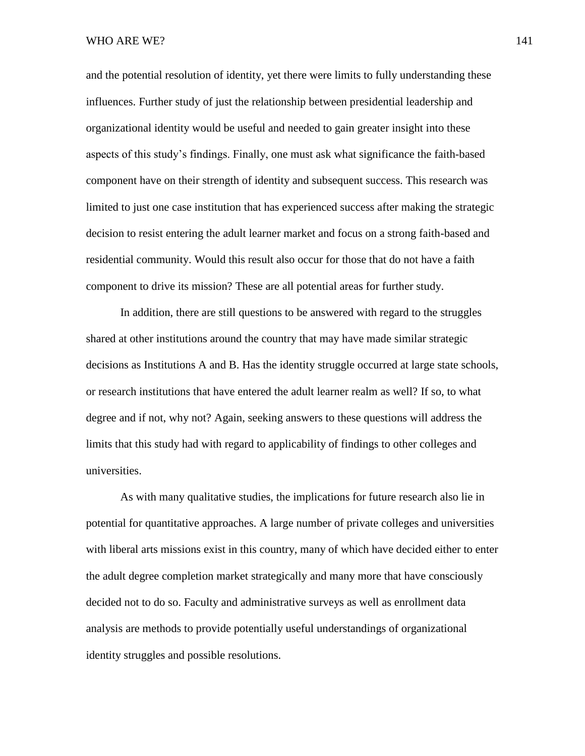and the potential resolution of identity, yet there were limits to fully understanding these influences. Further study of just the relationship between presidential leadership and organizational identity would be useful and needed to gain greater insight into these aspects of this study's findings. Finally, one must ask what significance the faith-based component have on their strength of identity and subsequent success. This research was limited to just one case institution that has experienced success after making the strategic decision to resist entering the adult learner market and focus on a strong faith-based and residential community. Would this result also occur for those that do not have a faith component to drive its mission? These are all potential areas for further study.

In addition, there are still questions to be answered with regard to the struggles shared at other institutions around the country that may have made similar strategic decisions as Institutions A and B. Has the identity struggle occurred at large state schools, or research institutions that have entered the adult learner realm as well? If so, to what degree and if not, why not? Again, seeking answers to these questions will address the limits that this study had with regard to applicability of findings to other colleges and universities.

As with many qualitative studies, the implications for future research also lie in potential for quantitative approaches. A large number of private colleges and universities with liberal arts missions exist in this country, many of which have decided either to enter the adult degree completion market strategically and many more that have consciously decided not to do so. Faculty and administrative surveys as well as enrollment data analysis are methods to provide potentially useful understandings of organizational identity struggles and possible resolutions.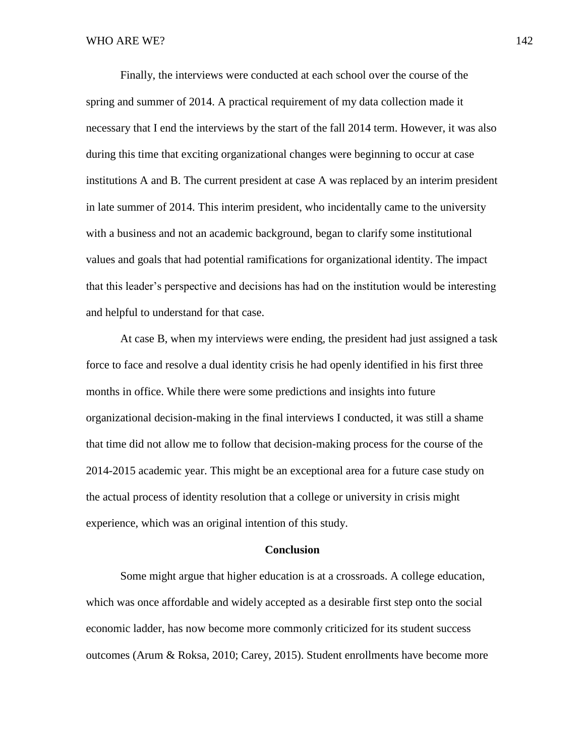Finally, the interviews were conducted at each school over the course of the spring and summer of 2014. A practical requirement of my data collection made it necessary that I end the interviews by the start of the fall 2014 term. However, it was also during this time that exciting organizational changes were beginning to occur at case institutions A and B. The current president at case A was replaced by an interim president in late summer of 2014. This interim president, who incidentally came to the university with a business and not an academic background, began to clarify some institutional values and goals that had potential ramifications for organizational identity. The impact that this leader's perspective and decisions has had on the institution would be interesting and helpful to understand for that case.

At case B, when my interviews were ending, the president had just assigned a task force to face and resolve a dual identity crisis he had openly identified in his first three months in office. While there were some predictions and insights into future organizational decision-making in the final interviews I conducted, it was still a shame that time did not allow me to follow that decision-making process for the course of the 2014-2015 academic year. This might be an exceptional area for a future case study on the actual process of identity resolution that a college or university in crisis might experience, which was an original intention of this study.

#### **Conclusion**

Some might argue that higher education is at a crossroads. A college education, which was once affordable and widely accepted as a desirable first step onto the social economic ladder, has now become more commonly criticized for its student success outcomes (Arum & Roksa, 2010; Carey, 2015). Student enrollments have become more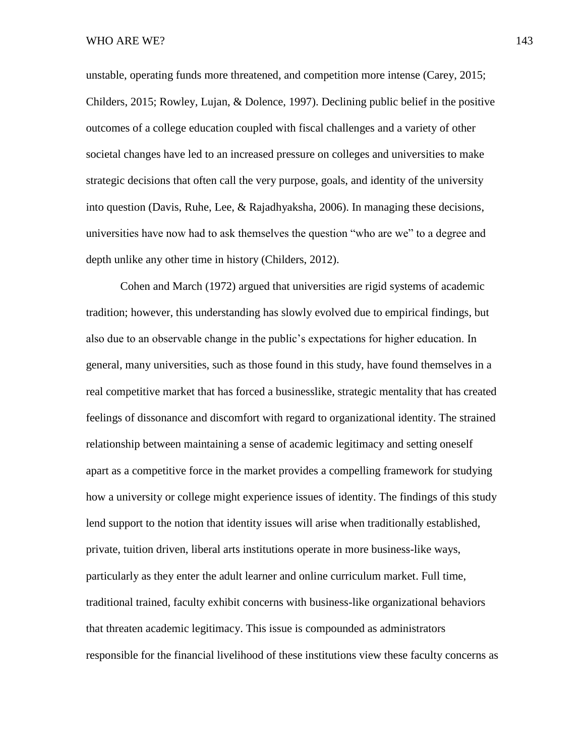unstable, operating funds more threatened, and competition more intense (Carey, 2015; Childers, 2015; Rowley, Lujan, & Dolence, 1997). Declining public belief in the positive outcomes of a college education coupled with fiscal challenges and a variety of other societal changes have led to an increased pressure on colleges and universities to make strategic decisions that often call the very purpose, goals, and identity of the university into question (Davis, Ruhe, Lee, & Rajadhyaksha, 2006). In managing these decisions, universities have now had to ask themselves the question "who are we" to a degree and depth unlike any other time in history (Childers, 2012).

Cohen and March (1972) argued that universities are rigid systems of academic tradition; however, this understanding has slowly evolved due to empirical findings, but also due to an observable change in the public's expectations for higher education. In general, many universities, such as those found in this study, have found themselves in a real competitive market that has forced a businesslike, strategic mentality that has created feelings of dissonance and discomfort with regard to organizational identity. The strained relationship between maintaining a sense of academic legitimacy and setting oneself apart as a competitive force in the market provides a compelling framework for studying how a university or college might experience issues of identity. The findings of this study lend support to the notion that identity issues will arise when traditionally established, private, tuition driven, liberal arts institutions operate in more business-like ways, particularly as they enter the adult learner and online curriculum market. Full time, traditional trained, faculty exhibit concerns with business-like organizational behaviors that threaten academic legitimacy. This issue is compounded as administrators responsible for the financial livelihood of these institutions view these faculty concerns as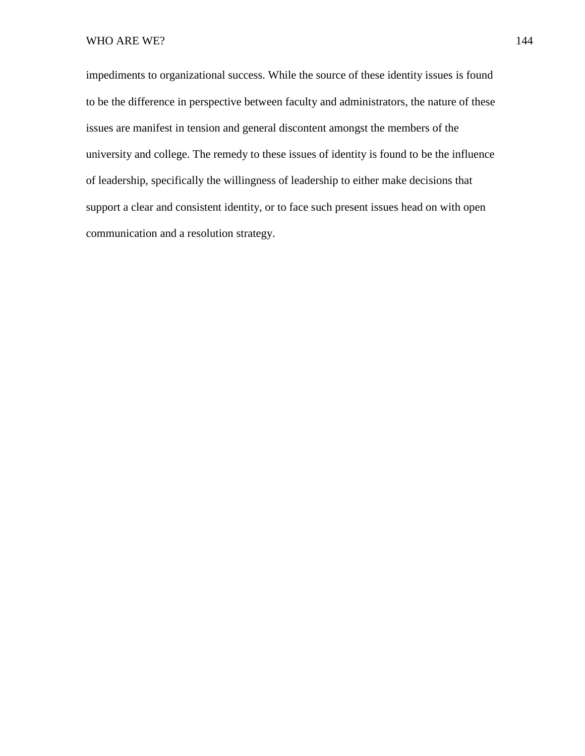impediments to organizational success. While the source of these identity issues is found to be the difference in perspective between faculty and administrators, the nature of these issues are manifest in tension and general discontent amongst the members of the university and college. The remedy to these issues of identity is found to be the influence of leadership, specifically the willingness of leadership to either make decisions that support a clear and consistent identity, or to face such present issues head on with open communication and a resolution strategy.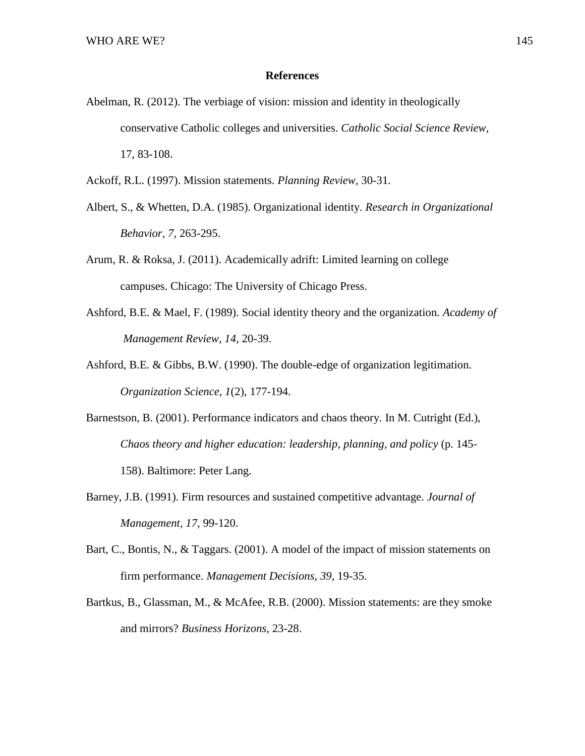## **References**

- Abelman, R. (2012). The verbiage of vision: mission and identity in theologically conservative Catholic colleges and universities. *Catholic Social Science Review,* 17, 83-108.
- Ackoff, R.L. (1997). Mission statements. *Planning Review*, 30-31.
- Albert, S., & Whetten, D.A. (1985). Organizational identity. *Research in Organizational Behavior, 7*, 263-295.
- Arum, R. & Roksa, J. (2011). Academically adrift: Limited learning on college campuses. Chicago: The University of Chicago Press.
- Ashford, B.E. & Mael, F. (1989). Social identity theory and the organization. *Academy of Management Review, 14,* 20-39.
- Ashford, B.E. & Gibbs, B.W. (1990). The double-edge of organization legitimation. *Organization Science, 1*(2), 177-194.
- Barnestson, B. (2001). Performance indicators and chaos theory. In M. Cutright (Ed.), *Chaos theory and higher education: leadership, planning, and policy* (p. 145- 158). Baltimore: Peter Lang.
- Barney, J.B. (1991). Firm resources and sustained competitive advantage. *Journal of Management, 17,* 99-120.
- Bart, C., Bontis, N., & Taggars. (2001). A model of the impact of mission statements on firm performance. *Management Decisions, 39*, 19-35.
- Bartkus, B., Glassman, M., & McAfee, R.B. (2000). Mission statements: are they smoke and mirrors? *Business Horizons,* 23-28.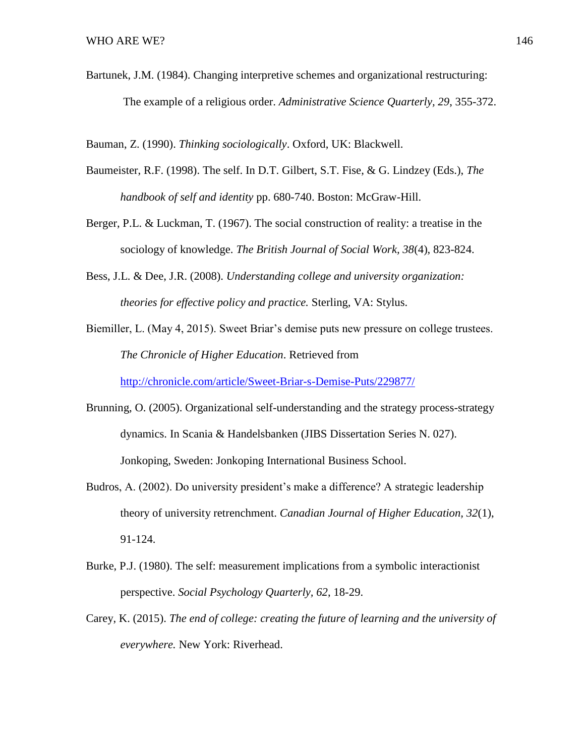Bartunek, J.M. (1984). Changing interpretive schemes and organizational restructuring: The example of a religious order. *Administrative Science Quarterly, 29*, 355-372.

Bauman, Z. (1990). *Thinking sociologically*. Oxford, UK: Blackwell.

- Baumeister, R.F. (1998). The self. In D.T. Gilbert, S.T. Fise, & G. Lindzey (Eds.), *The handbook of self and identity* pp. 680-740. Boston: McGraw-Hill.
- Berger, P.L. & Luckman, T. (1967). The social construction of reality: a treatise in the sociology of knowledge. *The British Journal of Social Work, 38*(4), 823-824.
- Bess, J.L. & Dee, J.R. (2008). *Understanding college and university organization: theories for effective policy and practice.* Sterling, VA: Stylus.

Biemiller, L. (May 4, 2015). Sweet Briar's demise puts new pressure on college trustees. *The Chronicle of Higher Education*. Retrieved from <http://chronicle.com/article/Sweet-Briar-s-Demise-Puts/229877/>

- Brunning, O. (2005). Organizational self-understanding and the strategy process-strategy dynamics. In Scania & Handelsbanken (JIBS Dissertation Series N. 027). Jonkoping, Sweden: Jonkoping International Business School.
- Budros, A. (2002). Do university president's make a difference? A strategic leadership theory of university retrenchment. *Canadian Journal of Higher Education, 32*(1), 91-124.
- Burke, P.J. (1980). The self: measurement implications from a symbolic interactionist perspective. *Social Psychology Quarterly, 62*, 18-29.
- Carey, K. (2015). *The end of college: creating the future of learning and the university of everywhere.* New York: Riverhead.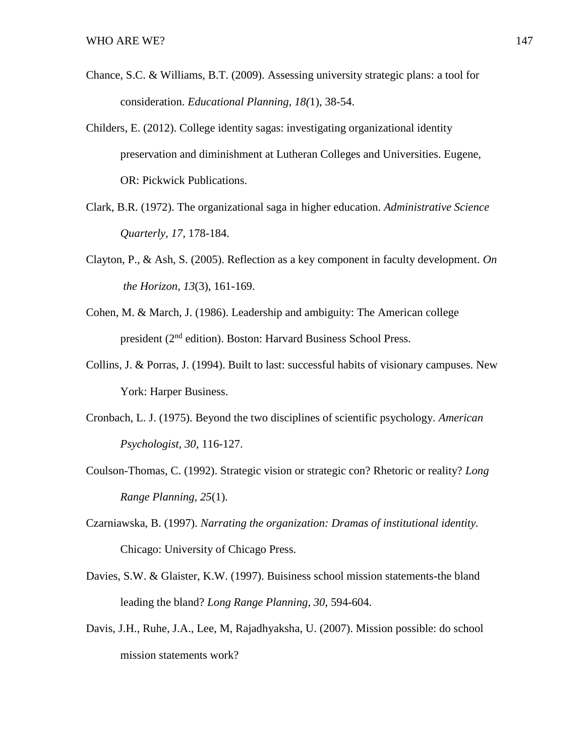- Chance, S.C. & Williams, B.T. (2009). Assessing university strategic plans: a tool for consideration. *Educational Planning, 18(*1), 38-54.
- Childers, E. (2012). College identity sagas: investigating organizational identity preservation and diminishment at Lutheran Colleges and Universities. Eugene, OR: Pickwick Publications.
- Clark, B.R. (1972). The organizational saga in higher education. *Administrative Science Quarterly, 17,* 178-184.
- Clayton, P., & Ash, S. (2005). Reflection as a key component in faculty development. *On the Horizon, 13*(3), 161-169.
- Cohen, M. & March, J. (1986). Leadership and ambiguity: The American college president (2nd edition). Boston: Harvard Business School Press.
- Collins, J. & Porras, J. (1994). Built to last: successful habits of visionary campuses. New York: Harper Business.
- Cronbach, L. J. (1975). Beyond the two disciplines of scientific psychology. *American Psychologist, 30,* 116-127.
- Coulson-Thomas, C. (1992). Strategic vision or strategic con? Rhetoric or reality? *Long Range Planning, 25*(1).
- Czarniawska, B. (1997). *Narrating the organization: Dramas of institutional identity.* Chicago: University of Chicago Press.
- Davies, S.W. & Glaister, K.W. (1997). Buisiness school mission statements-the bland leading the bland? *Long Range Planning, 30*, 594-604.
- Davis, J.H., Ruhe, J.A., Lee, M, Rajadhyaksha, U. (2007). Mission possible: do school mission statements work?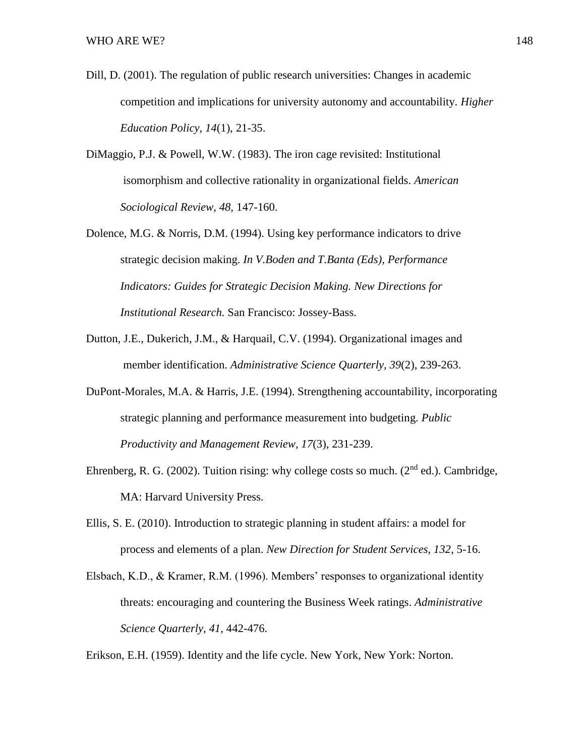- Dill, D. (2001). The regulation of public research universities: Changes in academic competition and implications for university autonomy and accountability. *Higher Education Policy, 14*(1), 21-35.
- DiMaggio, P.J. & Powell, W.W. (1983). The iron cage revisited: Institutional isomorphism and collective rationality in organizational fields. *American Sociological Review, 48,* 147-160.
- Dolence, M.G. & Norris, D.M. (1994). Using key performance indicators to drive strategic decision making. *In V.Boden and T.Banta (Eds), Performance Indicators: Guides for Strategic Decision Making. New Directions for Institutional Research.* San Francisco: Jossey-Bass.
- Dutton, J.E., Dukerich, J.M., & Harquail, C.V. (1994). Organizational images and member identification. *Administrative Science Quarterly, 39*(2), 239-263.
- DuPont-Morales, M.A. & Harris, J.E. (1994). Strengthening accountability, incorporating strategic planning and performance measurement into budgeting. *Public Productivity and Management Review, 17*(3), 231-239.
- Ehrenberg, R. G. (2002). Tuition rising: why college costs so much. ( $2<sup>nd</sup>$  ed.). Cambridge, MA: Harvard University Press.
- Ellis, S. E. (2010). Introduction to strategic planning in student affairs: a model for process and elements of a plan. *New Direction for Student Services, 132*, 5-16.
- Elsbach, K.D., & Kramer, R.M. (1996). Members' responses to organizational identity threats: encouraging and countering the Business Week ratings. *Administrative Science Quarterly, 41,* 442-476.

Erikson, E.H. (1959). Identity and the life cycle. New York, New York: Norton.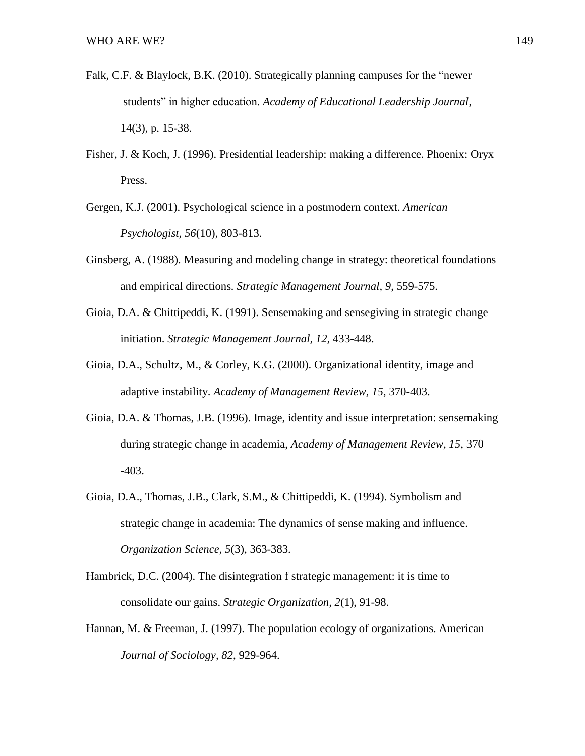- Falk, C.F. & Blaylock, B.K. (2010). Strategically planning campuses for the "newer students" in higher education. *Academy of Educational Leadership Journal*, 14(3), p. 15-38.
- Fisher, J. & Koch, J. (1996). Presidential leadership: making a difference. Phoenix: Oryx Press.
- Gergen, K.J. (2001). Psychological science in a postmodern context. *American Psychologist, 56*(10), 803-813.
- Ginsberg, A. (1988). Measuring and modeling change in strategy: theoretical foundations and empirical directions*. Strategic Management Journal, 9*, 559-575.
- Gioia, D.A. & Chittipeddi, K. (1991). Sensemaking and sensegiving in strategic change initiation. *Strategic Management Journal, 12,* 433-448.
- Gioia, D.A., Schultz, M., & Corley, K.G. (2000). Organizational identity, image and adaptive instability. *Academy of Management Review, 15*, 370-403.
- Gioia, D.A. & Thomas, J.B. (1996). Image, identity and issue interpretation: sensemaking during strategic change in academia, *Academy of Management Review, 15*, 370 -403.
- Gioia, D.A., Thomas, J.B., Clark, S.M., & Chittipeddi, K. (1994). Symbolism and strategic change in academia: The dynamics of sense making and influence. *Organization Science, 5*(3), 363-383.
- Hambrick, D.C. (2004). The disintegration f strategic management: it is time to consolidate our gains. *Strategic Organization, 2*(1), 91-98.
- Hannan, M. & Freeman, J. (1997). The population ecology of organizations. American *Journal of Sociology, 82*, 929-964.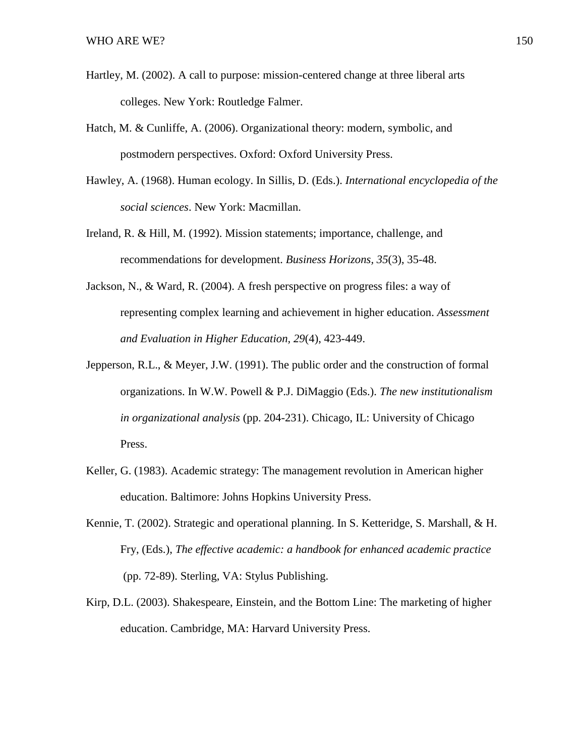- Hartley, M. (2002). A call to purpose: mission-centered change at three liberal arts colleges. New York: Routledge Falmer.
- Hatch, M. & Cunliffe, A. (2006). Organizational theory: modern, symbolic, and postmodern perspectives. Oxford: Oxford University Press.
- Hawley, A. (1968). Human ecology. In Sillis, D. (Eds.). *International encyclopedia of the social sciences*. New York: Macmillan.
- Ireland, R. & Hill, M. (1992). Mission statements; importance, challenge, and recommendations for development. *Business Horizons, 35*(3), 35-48.
- Jackson, N., & Ward, R. (2004). A fresh perspective on progress files: a way of representing complex learning and achievement in higher education. *Assessment and Evaluation in Higher Education, 29*(4), 423-449.
- Jepperson, R.L., & Meyer, J.W. (1991). The public order and the construction of formal organizations. In W.W. Powell & P.J. DiMaggio (Eds.). *The new institutionalism in organizational analysis* (pp. 204-231). Chicago, IL: University of Chicago Press.
- Keller, G. (1983). Academic strategy: The management revolution in American higher education. Baltimore: Johns Hopkins University Press.
- Kennie, T. (2002). Strategic and operational planning. In S. Ketteridge, S. Marshall, & H. Fry, (Eds.), *The effective academic: a handbook for enhanced academic practice* (pp. 72-89). Sterling, VA: Stylus Publishing.
- Kirp, D.L. (2003). Shakespeare, Einstein, and the Bottom Line: The marketing of higher education. Cambridge, MA: Harvard University Press.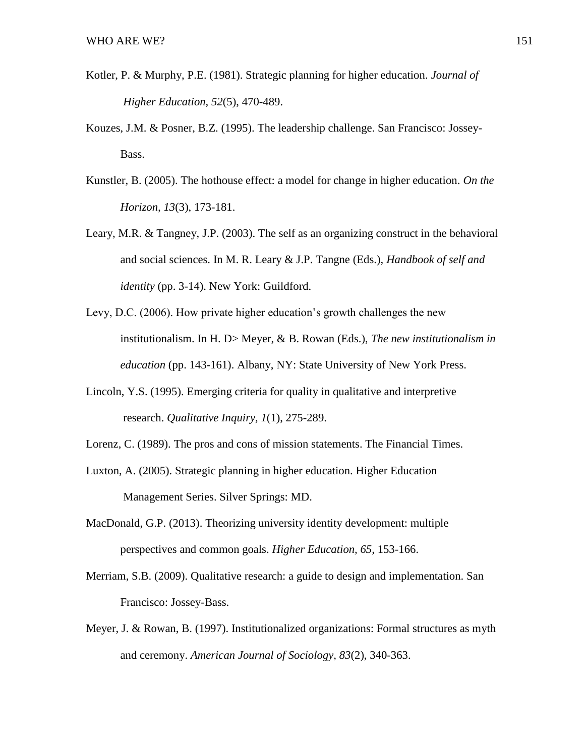- Kotler, P. & Murphy, P.E. (1981). Strategic planning for higher education. *Journal of Higher Education, 52*(5), 470-489.
- Kouzes, J.M. & Posner, B.Z. (1995). The leadership challenge. San Francisco: Jossey-Bass.
- Kunstler, B. (2005). The hothouse effect: a model for change in higher education. *On the Horizon, 13*(3), 173-181.
- Leary, M.R. & Tangney, J.P. (2003). The self as an organizing construct in the behavioral and social sciences. In M. R. Leary & J.P. Tangne (Eds.), *Handbook of self and identity* (pp. 3-14). New York: Guildford.
- Levy, D.C. (2006). How private higher education's growth challenges the new institutionalism. In H. D> Meyer, & B. Rowan (Eds.), *The new institutionalism in education* (pp. 143-161). Albany, NY: State University of New York Press.
- Lincoln, Y.S. (1995). Emerging criteria for quality in qualitative and interpretive research. *Qualitative Inquiry, 1*(1), 275-289.
- Lorenz, C. (1989). The pros and cons of mission statements. The Financial Times.
- Luxton, A. (2005). Strategic planning in higher education. Higher Education Management Series. Silver Springs: MD.
- MacDonald, G.P. (2013). Theorizing university identity development: multiple perspectives and common goals. *Higher Education, 65,* 153-166.
- Merriam, S.B. (2009). Qualitative research: a guide to design and implementation. San Francisco: Jossey-Bass.
- Meyer, J. & Rowan, B. (1997). Institutionalized organizations: Formal structures as myth and ceremony. *American Journal of Sociology, 83*(2), 340-363.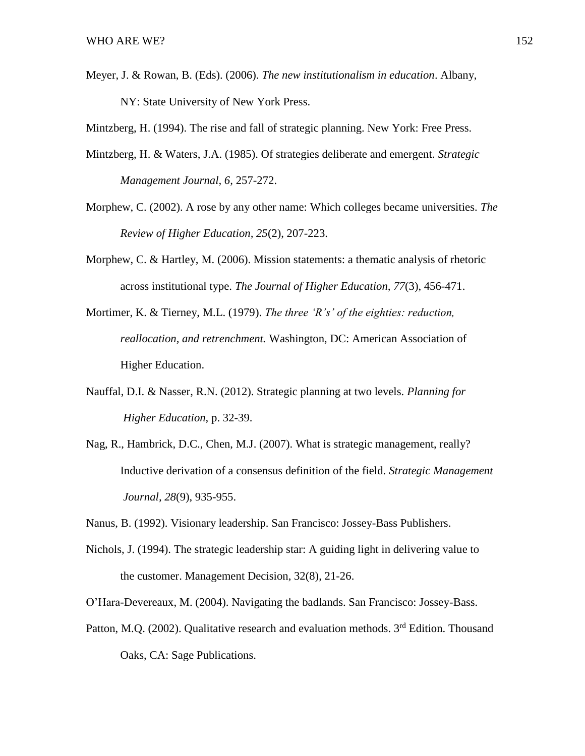Meyer, J. & Rowan, B. (Eds). (2006). *The new institutionalism in education*. Albany, NY: State University of New York Press.

Mintzberg, H. (1994). The rise and fall of strategic planning. New York: Free Press.

- Mintzberg, H. & Waters, J.A. (1985). Of strategies deliberate and emergent. *Strategic Management Journal, 6,* 257-272.
- Morphew, C. (2002). A rose by any other name: Which colleges became universities. *The Review of Higher Education, 25*(2), 207-223.
- Morphew, C. & Hartley, M. (2006). Mission statements: a thematic analysis of rhetoric across institutional type. *The Journal of Higher Education, 77*(3), 456-471.
- Mortimer, K. & Tierney, M.L. (1979). *The three 'R's' of the eighties: reduction, reallocation, and retrenchment.* Washington, DC: American Association of Higher Education.
- Nauffal, D.I. & Nasser, R.N. (2012). Strategic planning at two levels. *Planning for Higher Education,* p. 32-39.
- Nag, R., Hambrick, D.C., Chen, M.J. (2007). What is strategic management, really? Inductive derivation of a consensus definition of the field. *Strategic Management Journal, 28*(9), 935-955.
- Nanus, B. (1992). Visionary leadership. San Francisco: Jossey-Bass Publishers.
- Nichols, J. (1994). The strategic leadership star: A guiding light in delivering value to the customer. Management Decision, 32(8), 21-26.
- O'Hara-Devereaux, M. (2004). Navigating the badlands. San Francisco: Jossey-Bass.
- Patton, M.Q. (2002). Qualitative research and evaluation methods. 3<sup>rd</sup> Edition. Thousand Oaks, CA: Sage Publications.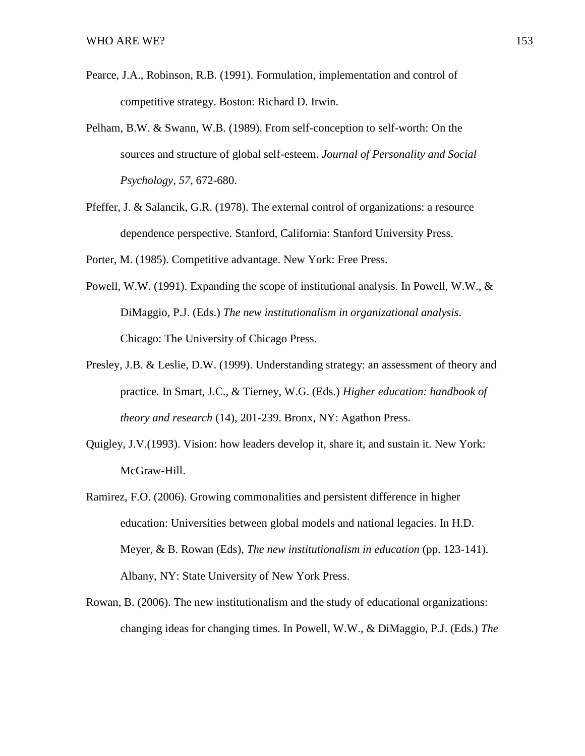- Pearce, J.A., Robinson, R.B. (1991). Formulation, implementation and control of competitive strategy. Boston: Richard D. Irwin.
- Pelham, B.W. & Swann, W.B. (1989). From self-conception to self-worth: On the sources and structure of global self-esteem. *Journal of Personality and Social Psychology, 57,* 672-680.
- Pfeffer, J. & Salancik, G.R. (1978). The external control of organizations: a resource dependence perspective. Stanford, California: Stanford University Press.

Porter, M. (1985). Competitive advantage. New York: Free Press.

- Powell, W.W. (1991). Expanding the scope of institutional analysis. In Powell, W.W., & DiMaggio, P.J. (Eds.) *The new institutionalism in organizational analysis*. Chicago: The University of Chicago Press.
- Presley, J.B. & Leslie, D.W. (1999). Understanding strategy: an assessment of theory and practice. In Smart, J.C., & Tierney, W.G. (Eds.) *Higher education: handbook of theory and research* (14), 201-239. Bronx, NY: Agathon Press.
- Quigley, J.V.(1993). Vision: how leaders develop it, share it, and sustain it. New York: McGraw-Hill.
- Ramirez, F.O. (2006). Growing commonalities and persistent difference in higher education: Universities between global models and national legacies. In H.D. Meyer, & B. Rowan (Eds), *The new institutionalism in education* (pp. 123-141). Albany, NY: State University of New York Press.
- Rowan, B. (2006). The new institutionalism and the study of educational organizations: changing ideas for changing times. In Powell, W.W., & DiMaggio, P.J. (Eds.) *The*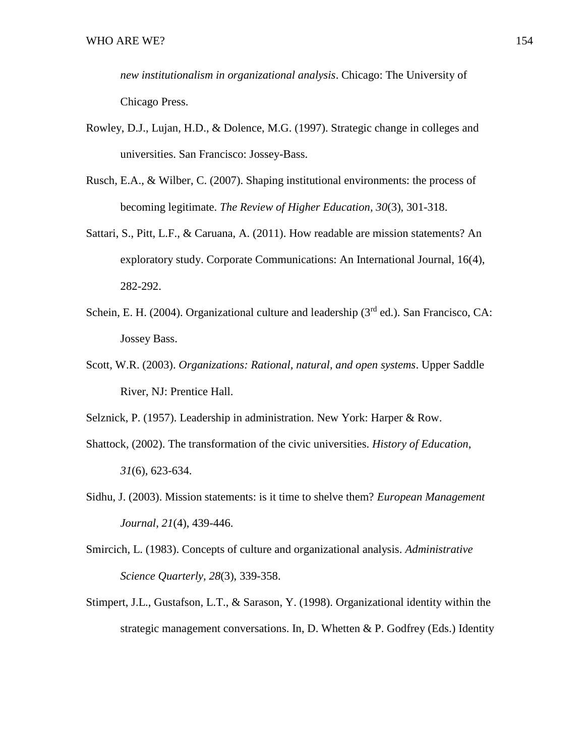*new institutionalism in organizational analysis*. Chicago: The University of Chicago Press.

- Rowley, D.J., Lujan, H.D., & Dolence, M.G. (1997). Strategic change in colleges and universities. San Francisco: Jossey-Bass.
- Rusch, E.A., & Wilber, C. (2007). Shaping institutional environments: the process of becoming legitimate. *The Review of Higher Education, 30*(3), 301-318.
- Sattari, S., Pitt, L.F., & Caruana, A. (2011). How readable are mission statements? An exploratory study. Corporate Communications: An International Journal, 16(4), 282-292.
- Schein, E. H. (2004). Organizational culture and leadership ( $3<sup>rd</sup>$  ed.). San Francisco, CA: Jossey Bass.
- Scott, W.R. (2003). *Organizations: Rational, natural, and open systems*. Upper Saddle River, NJ: Prentice Hall.

Selznick, P. (1957). Leadership in administration. New York: Harper & Row.

- Shattock, (2002). The transformation of the civic universities. *History of Education*, *31*(6), 623-634.
- Sidhu, J. (2003). Mission statements: is it time to shelve them? *European Management Journal, 21*(4), 439-446.
- Smircich, L. (1983). Concepts of culture and organizational analysis. *Administrative Science Quarterly, 28*(3), 339-358.
- Stimpert, J.L., Gustafson, L.T., & Sarason, Y. (1998). Organizational identity within the strategic management conversations. In, D. Whetten & P. Godfrey (Eds.) Identity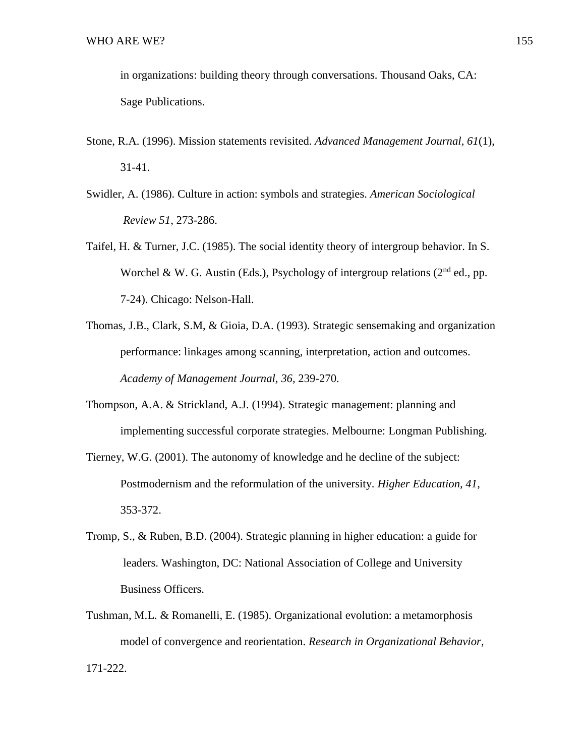in organizations: building theory through conversations. Thousand Oaks, CA: Sage Publications.

- Stone, R.A. (1996). Mission statements revisited. *Advanced Management Journal, 61*(1), 31-41.
- Swidler, A. (1986). Culture in action: symbols and strategies. *American Sociological Review 51*, 273-286.
- Taifel, H. & Turner, J.C. (1985). The social identity theory of intergroup behavior. In S. Worchel & W. G. Austin (Eds.), Psychology of intergroup relations ( $2<sup>nd</sup>$  ed., pp. 7-24). Chicago: Nelson-Hall.
- Thomas, J.B., Clark, S.M, & Gioia, D.A. (1993). Strategic sensemaking and organization performance: linkages among scanning, interpretation, action and outcomes. *Academy of Management Journal, 36,* 239-270.
- Thompson, A.A. & Strickland, A.J. (1994). Strategic management: planning and implementing successful corporate strategies. Melbourne: Longman Publishing.
- Tierney, W.G. (2001). The autonomy of knowledge and he decline of the subject: Postmodernism and the reformulation of the university. *Higher Education, 41*, 353-372.
- Tromp, S., & Ruben, B.D. (2004). Strategic planning in higher education: a guide for leaders. Washington, DC: National Association of College and University Business Officers.
- Tushman, M.L. & Romanelli, E. (1985). Organizational evolution: a metamorphosis model of convergence and reorientation. *Research in Organizational Behavior*, 171-222.